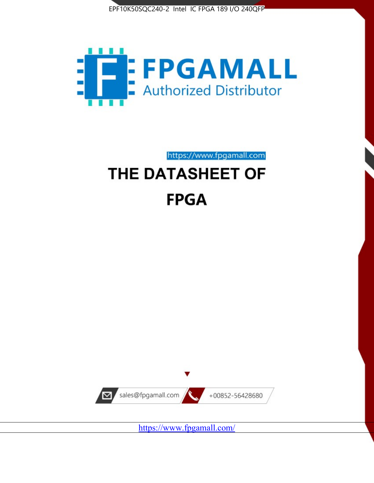



https://www.fpgamall.com

# THE DATASHEET OF **FPGA**



<https://www.fpgamall.com/>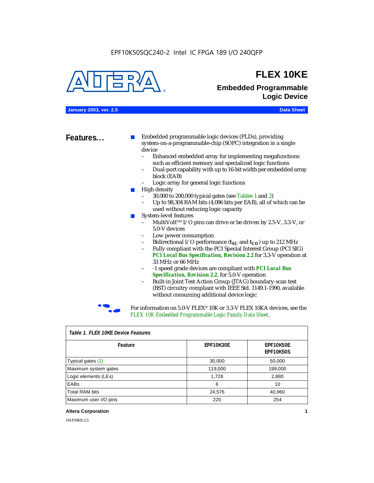

### **FLEX 10KE**

### **Embedded Programmable Logic Device**

**January 2003, ver. 2.5 Data Sheet**

**Features...** ■ Embedded programmable logic devices (PLDs), providing system-on-a-programmable-chip (SOPC) integration in a single device

- Enhanced embedded array for implementing megafunctions such as efficient memory and specialized logic functions
- Dual-port capability with up to 16-bit width per embedded array block (EAB)
- Logic array for general logic functions
- High density
	- 30,000 to 200,000 typical gates (see Tables 1 and 2)
	- Up to 98,304 RAM bits (4,096 bits per EAB), all of which can be used without reducing logic capacity
- System-level features
	- MultiVolt<sup>™</sup> I/O pins can drive or be driven by 2.5-V, 3.3-V, or 5.0-V devices
	- Low power consumption
	- Bidirectional I/O performance  $(t_{SI}$  and  $t_{CO}$ ) up to 212 MHz
	- Fully compliant with the PCI Special Interest Group (PCI SIG) *PCI Local Bus Specification, Revision 2.2* for 3.3-V operation at 33 MHz or 66 MHz
	- -1 speed grade devices are compliant with *PCI Local Bus Specification, Revision 2.2*, for 5.0-V operation
	- Built-in Joint Test Action Group (JTAG) boundary-scan test (BST) circuitry compliant with IEEE Std. 1149.1-1990, available without consuming additional device logic



For information on 5.0-V FLEX<sup>®</sup> 10K or 3.3-V FLEX 10KA devices, see the *FLEX 10K Embedded Programmable Logic Family Data Sheet*.

| Tadie T. Flex Tuke Device Features |                  |                               |  |  |
|------------------------------------|------------------|-------------------------------|--|--|
| Feature                            | <b>EPF10K30E</b> | EPF10K50E<br><b>EPF10K50S</b> |  |  |
| Typical gates (1)                  | 30,000           | 50,000                        |  |  |
| Maximum system gates               | 119,000          | 199,000                       |  |  |
| Logic elements (LEs)               | 1,728            | 2,880                         |  |  |
| EABs                               | 6                | 10                            |  |  |
| <b>Total RAM bits</b>              | 24,576           | 40,960                        |  |  |
| Maximum user I/O pins              | 220              | 254                           |  |  |

#### *Table 1. FLEX 10KE Device Features*

#### **Altera Corporation 1**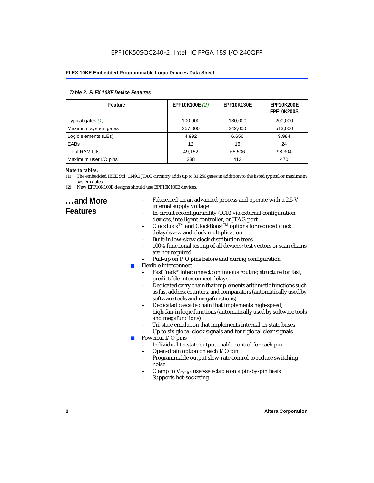| Table 2. FLEX 10KE Device Features |                |                   |                                        |  |
|------------------------------------|----------------|-------------------|----------------------------------------|--|
| Feature                            | EPF10K100E (2) | <b>EPF10K130E</b> | <b>EPF10K200E</b><br><b>EPF10K200S</b> |  |
| Typical gates (1)                  | 100,000        | 130,000           | 200,000                                |  |
| Maximum system gates               | 257,000        | 342,000           | 513,000                                |  |
| Logic elements (LEs)               | 4,992          | 6,656             | 9,984                                  |  |
| <b>EABs</b>                        | 12             | 16                | 24                                     |  |
| <b>Total RAM bits</b>              | 49,152         | 65,536            | 98,304                                 |  |
| Maximum user I/O pins              | 338            | 413               | 470                                    |  |

#### *Note to tables:*

- (1) The embedded IEEE Std. 1149.1 JTAG circuitry adds up to 31,250 gates in addition to the listed typical or maximum system gates.
- (2) New EPF10K100B designs should use EPF10K100E devices.

### **...and More Features**

- Fabricated on an advanced process and operate with a 2.5-V internal supply voltage
- In-circuit reconfigurability (ICR) via external configuration devices, intelligent controller, or JTAG port
- ClockLockTM and ClockBoostTM options for reduced clock delay/skew and clock multiplication
- Built-in low-skew clock distribution trees
- 100% functional testing of all devices; test vectors or scan chains are not required
- Pull-up on I/O pins before and during configuration
- Flexible interconnect
	- FastTrack<sup>®</sup> Interconnect continuous routing structure for fast, predictable interconnect delays
	- Dedicated carry chain that implements arithmetic functions such as fast adders, counters, and comparators (automatically used by software tools and megafunctions)
	- Dedicated cascade chain that implements high-speed, high-fan-in logic functions (automatically used by software tools and megafunctions)
	- Tri-state emulation that implements internal tri-state buses
	- Up to six global clock signals and four global clear signals
	- Powerful I/O pins
		- Individual tri-state output enable control for each pin
		- Open-drain option on each I/O pin
		- Programmable output slew-rate control to reduce switching noise
		- Clamp to  $V_{\text{CCIO}}$  user-selectable on a pin-by-pin basis
		- Supports hot-socketing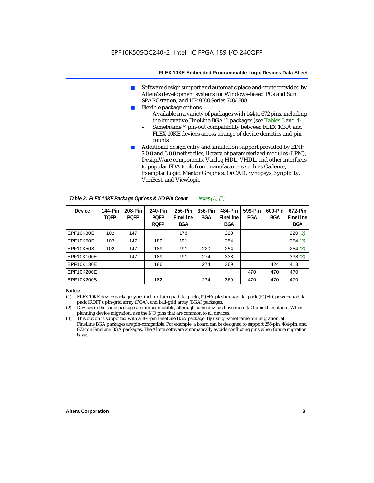- Software design support and automatic place-and-route provided by Altera's development systems for Windows-based PCs and Sun SPARCstation, and HP 9000 Series 700/800
- Flexible package options
	- Available in a variety of packages with 144 to 672 pins, including the innovative FineLine BGA<sup>TM</sup> packages (see Tables 3 and 4)
	- SameFrame™ pin-out compatibility between FLEX 10KA and FLEX 10KE devices across a range of device densities and pin counts
- Additional design entry and simulation support provided by EDIF 2 0 0 and 3 0 0 netlist files, library of parameterized modules (LPM), DesignWare components, Verilog HDL, VHDL, and other interfaces to popular EDA tools from manufacturers such as Cadence, Exemplar Logic, Mentor Graphics, OrCAD, Synopsys, Synplicity, VeriBest, and Viewlogic

| Table 3. FLEX 10KE Package Options & I/O Pin Count<br><i>Notes <math>(1)</math>, <math>(2)</math></i> |                               |                        |                                       |                                   |                |                                   |                |                       |                                   |
|-------------------------------------------------------------------------------------------------------|-------------------------------|------------------------|---------------------------------------|-----------------------------------|----------------|-----------------------------------|----------------|-----------------------|-----------------------------------|
| <b>Device</b>                                                                                         | <b>144-Pin</b><br><b>TOFP</b> | 208-Pin<br><b>POFP</b> | 240-Pin<br><b>PQFP</b><br><b>ROFP</b> | 256-Pin<br>FineLine<br><b>BGA</b> | 356-Pin<br>BGA | 484-Pin<br>FineLine<br><b>BGA</b> | 599-Pin<br>PGA | 600-Pin<br><b>BGA</b> | 672-Pin<br>FineLine<br><b>BGA</b> |
| EPF10K30E                                                                                             | 102                           | 147                    |                                       | 176                               |                | 220                               |                |                       | 220(3)                            |
| EPF10K50E                                                                                             | 102                           | 147                    | 189                                   | 191                               |                | 254                               |                |                       | 254(3)                            |
| <b>EPF10K50S</b>                                                                                      | 102                           | 147                    | 189                                   | 191                               | 220            | 254                               |                |                       | 254(3)                            |
| EPF10K100E                                                                                            |                               | 147                    | 189                                   | 191                               | 274            | 338                               |                |                       | 338(3)                            |
| EPF10K130E                                                                                            |                               |                        | 186                                   |                                   | 274            | 369                               |                | 424                   | 413                               |
| EPF10K200E                                                                                            |                               |                        |                                       |                                   |                |                                   | 470            | 470                   | 470                               |
| EPF10K200S                                                                                            |                               |                        | 182                                   |                                   | 274            | 369                               | 470            | 470                   | 470                               |

#### *Notes:*

- (1) FLEX 10KE device package types include thin quad flat pack (TQFP), plastic quad flat pack (PQFP), power quad flat pack (RQFP), pin-grid array (PGA), and ball-grid array (BGA) packages.
- (2) Devices in the same package are pin-compatible, although some devices have more I/O pins than others. When planning device migration, use the I/O pins that are common to all devices.
- (3) This option is supported with a 484-pin FineLine BGA package. By using SameFrame pin migration, all FineLine BGA packages are pin-compatible. For example, a board can be designed to support 256-pin, 484-pin, and 672-pin FineLine BGA packages. The Altera software automatically avoids conflicting pins when future migration is set.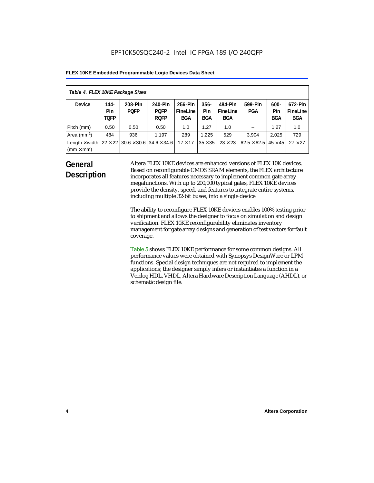| Table 4. FLEX 10KE Package Sizes          |                            |                                                      |                                       |                                   |                       |                            |                                   |                              |                                   |
|-------------------------------------------|----------------------------|------------------------------------------------------|---------------------------------------|-----------------------------------|-----------------------|----------------------------|-----------------------------------|------------------------------|-----------------------------------|
| <b>Device</b>                             | 144-<br>Pin<br><b>TOFP</b> | 208-Pin<br><b>POFP</b>                               | 240-Pin<br><b>POFP</b><br><b>ROFP</b> | 256-Pin<br>FineLine<br><b>BGA</b> | $356 -$<br>Pin<br>BGA | 484-Pin<br>FineLine<br>BGA | 599-Pin<br><b>PGA</b>             | $600 -$<br>Pin<br><b>BGA</b> | 672-Pin<br>FineLine<br><b>BGA</b> |
| Pitch (mm)                                | 0.50                       | 0.50                                                 | 0.50                                  | 1.0                               | 1.27                  | 1.0                        |                                   | 1.27                         | 1.0                               |
| Area $(mm2)$                              | 484                        | 936                                                  | 1.197                                 | 289                               | 1.225                 | 529                        | 3.904                             | 2,025                        | 729                               |
| Length $\times$ width<br>$(mm \times mm)$ |                            | $22 \times 22$ 30.6 $\times$ 30.6 34.6 $\times$ 34.6 |                                       | $17 \times 17$                    | $35 \times 35$        | $23 \times 23$             | $62.5 \times 62.5$ 45 $\times$ 45 |                              | $27 \times 27$                    |

### **General Description**

Altera FLEX 10KE devices are enhanced versions of FLEX 10K devices. Based on reconfigurable CMOS SRAM elements, the FLEX architecture incorporates all features necessary to implement common gate array megafunctions. With up to 200,000 typical gates, FLEX 10KE devices provide the density, speed, and features to integrate entire systems, including multiple 32-bit buses, into a single device.

The ability to reconfigure FLEX 10KE devices enables 100% testing prior to shipment and allows the designer to focus on simulation and design verification. FLEX 10KE reconfigurability eliminates inventory management for gate array designs and generation of test vectors for fault coverage.

Table 5 shows FLEX 10KE performance for some common designs. All performance values were obtained with Synopsys DesignWare or LPM functions. Special design techniques are not required to implement the applications; the designer simply infers or instantiates a function in a Verilog HDL, VHDL, Altera Hardware Description Language (AHDL), or schematic design file.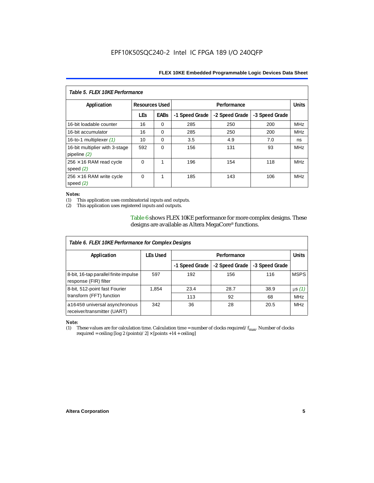| Table 5. FLFX 10KF Performance                   |                       |             |                |                |                |            |  |
|--------------------------------------------------|-----------------------|-------------|----------------|----------------|----------------|------------|--|
| Application                                      | <b>Resources Used</b> |             |                | Performance    |                |            |  |
|                                                  | <b>LEs</b>            | <b>EABs</b> | -1 Speed Grade | -2 Speed Grade | -3 Speed Grade |            |  |
| 16-bit loadable counter                          | 16                    | $\Omega$    | 285            | 250            | 200            | <b>MHz</b> |  |
| 16-bit accumulator                               | 16                    | $\Omega$    | 285            | 250            | 200            | <b>MHz</b> |  |
| 16-to-1 multiplexer $(1)$                        | 10                    | $\Omega$    | 3.5            | 4.9            | 7.0            | ns         |  |
| 16-bit multiplier with 3-stage<br>pipeline $(2)$ | 592                   | $\Omega$    | 156            | 131            | 93             | <b>MHz</b> |  |
| $256 \times 16$ RAM read cycle<br>speed $(2)$    | $\Omega$              | 1           | 196            | 154            | 118            | <b>MHz</b> |  |
| $256 \times 16$ RAM write cycle<br>speed $(2)$   | $\Omega$              | 1           | 185            | 143            | 106            | <b>MHz</b> |  |

#### *Notes:*

(1) This application uses combinatorial inputs and outputs.

This application uses registered inputs and outputs.

Table 6 shows FLEX 10KE performance for more complex designs. These designs are available as Altera MegaCore® functions.

| Table 6. FLEX 10KE Performance for Complex Designs             |                 |                |                |                |              |
|----------------------------------------------------------------|-----------------|----------------|----------------|----------------|--------------|
| Application                                                    | <b>LEs Used</b> | Performance    |                |                | <b>Units</b> |
|                                                                |                 | -1 Speed Grade | -2 Speed Grade | -3 Speed Grade |              |
| 8-bit, 16-tap parallel finite impulse<br>response (FIR) filter | 597             | 192            | 156            | 116            | <b>MSPS</b>  |
| 8-bit, 512-point fast Fourier                                  | 1,854           | 23.4           | 28.7           | 38.9           | $\mu s(1)$   |
| transform (FFT) function                                       |                 | 113            | 92             | 68             | <b>MHz</b>   |
| a16450 universal asynchronous<br>receiver/transmitter (UART)   | 342             | 36             | 28             | 20.5           | <b>MHz</b>   |

## *Note:*<br>(1) 1

These values are for calculation time. Calculation time = number of clocks required/ $f_{max}$ . Number of clocks required = ceiling [log 2 (points)/2]  $\times$  [points +14 + ceiling]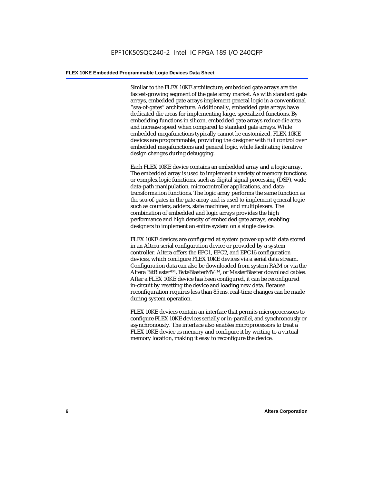Similar to the FLEX 10KE architecture, embedded gate arrays are the fastest-growing segment of the gate array market. As with standard gate arrays, embedded gate arrays implement general logic in a conventional "sea-of-gates" architecture. Additionally, embedded gate arrays have dedicated die areas for implementing large, specialized functions. By embedding functions in silicon, embedded gate arrays reduce die area and increase speed when compared to standard gate arrays. While embedded megafunctions typically cannot be customized, FLEX 10KE devices are programmable, providing the designer with full control over embedded megafunctions and general logic, while facilitating iterative design changes during debugging.

Each FLEX 10KE device contains an embedded array and a logic array. The embedded array is used to implement a variety of memory functions or complex logic functions, such as digital signal processing (DSP), wide data-path manipulation, microcontroller applications, and datatransformation functions. The logic array performs the same function as the sea-of-gates in the gate array and is used to implement general logic such as counters, adders, state machines, and multiplexers. The combination of embedded and logic arrays provides the high performance and high density of embedded gate arrays, enabling designers to implement an entire system on a single device.

FLEX 10KE devices are configured at system power-up with data stored in an Altera serial configuration device or provided by a system controller. Altera offers the EPC1, EPC2, and EPC16 configuration devices, which configure FLEX 10KE devices via a serial data stream. Configuration data can also be downloaded from system RAM or via the Altera BitBlaster™, ByteBlasterMV™, or MasterBlaster download cables. After a FLEX 10KE device has been configured, it can be reconfigured in-circuit by resetting the device and loading new data. Because reconfiguration requires less than 85 ms, real-time changes can be made during system operation.

FLEX 10KE devices contain an interface that permits microprocessors to configure FLEX 10KE devices serially or in-parallel, and synchronously or asynchronously. The interface also enables microprocessors to treat a FLEX 10KE device as memory and configure it by writing to a virtual memory location, making it easy to reconfigure the device.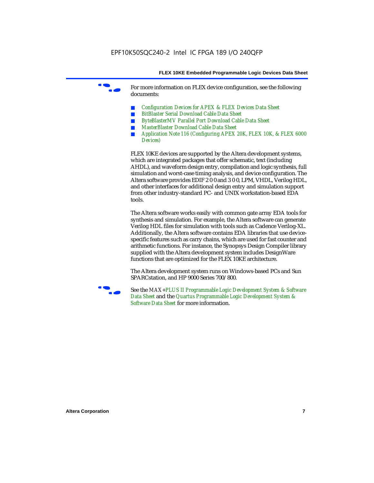For more information on FLEX device configuration, see the following documents:

- *Configuration Devices for APEX & FLEX Devices Data Sheet*
- *BitBlaster Serial Download Cable Data Sheet*
- *ByteBlasterMV Parallel Port Download Cable Data Sheet*
- *MasterBlaster Download Cable Data Sheet*
- *Application Note 116 (Configuring APEX 20K, FLEX 10K, & FLEX 6000 Devices)*

FLEX 10KE devices are supported by the Altera development systems, which are integrated packages that offer schematic, text (including AHDL), and waveform design entry, compilation and logic synthesis, full simulation and worst-case timing analysis, and device configuration. The Altera software provides EDIF 2 0 0 and 3 0 0, LPM, VHDL, Verilog HDL, and other interfaces for additional design entry and simulation support from other industry-standard PC- and UNIX workstation-based EDA tools.

The Altera software works easily with common gate array EDA tools for synthesis and simulation. For example, the Altera software can generate Verilog HDL files for simulation with tools such as Cadence Verilog-XL. Additionally, the Altera software contains EDA libraries that use devicespecific features such as carry chains, which are used for fast counter and arithmetic functions. For instance, the Synopsys Design Compiler library supplied with the Altera development system includes DesignWare functions that are optimized for the FLEX 10KE architecture.

The Altera development system runs on Windows-based PCs and Sun SPARCstation, and HP 9000 Series 700/800.



See the *MAX+PLUS II Programmable Logic Development System & Software Data Sheet* and the *Quartus Programmable Logic Development System & Software Data Sheet* for more information.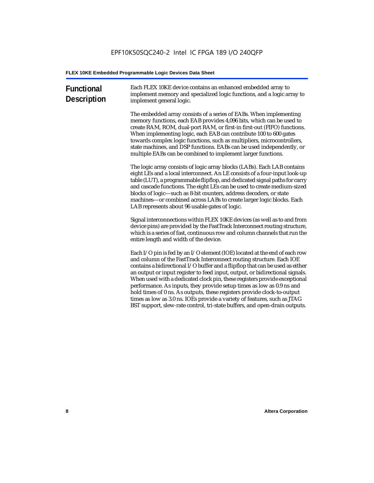| <b>Functional</b><br><b>Description</b> | Each FLEX 10KE device contains an enhanced embedded array to<br>implement memory and specialized logic functions, and a logic array to<br>implement general logic.                                                                                                                                                                                                                                                                                                                                                                                                                                                                                                                                             |
|-----------------------------------------|----------------------------------------------------------------------------------------------------------------------------------------------------------------------------------------------------------------------------------------------------------------------------------------------------------------------------------------------------------------------------------------------------------------------------------------------------------------------------------------------------------------------------------------------------------------------------------------------------------------------------------------------------------------------------------------------------------------|
|                                         | The embedded array consists of a series of EABs. When implementing<br>memory functions, each EAB provides 4,096 bits, which can be used to<br>create RAM, ROM, dual-port RAM, or first-in first-out (FIFO) functions.<br>When implementing logic, each EAB can contribute 100 to 600 gates<br>towards complex logic functions, such as multipliers, microcontrollers,<br>state machines, and DSP functions. EABs can be used independently, or<br>multiple EABs can be combined to implement larger functions.                                                                                                                                                                                                 |
|                                         | The logic array consists of logic array blocks (LABs). Each LAB contains<br>eight LEs and a local interconnect. An LE consists of a four-input look-up<br>table (LUT), a programmable flipflop, and dedicated signal paths for carry<br>and cascade functions. The eight LEs can be used to create medium-sized<br>blocks of logic-such as 8-bit counters, address decoders, or state<br>machines-or combined across LABs to create larger logic blocks. Each<br>LAB represents about 96 usable gates of logic.                                                                                                                                                                                                |
|                                         | Signal interconnections within FLEX 10KE devices (as well as to and from<br>device pins) are provided by the FastTrack Interconnect routing structure,<br>which is a series of fast, continuous row and column channels that run the<br>entire length and width of the device.                                                                                                                                                                                                                                                                                                                                                                                                                                 |
|                                         | Each I/O pin is fed by an I/O element (IOE) located at the end of each row<br>and column of the FastTrack Interconnect routing structure. Each IOE<br>contains a bidirectional I/O buffer and a flipflop that can be used as either<br>an output or input register to feed input, output, or bidirectional signals.<br>When used with a dedicated clock pin, these registers provide exceptional<br>performance. As inputs, they provide setup times as low as 0.9 ns and<br>hold times of 0 ns. As outputs, these registers provide clock-to-output<br>times as low as 3.0 ns. IOEs provide a variety of features, such as JTAG<br>BST support, slew-rate control, tri-state buffers, and open-drain outputs. |
|                                         |                                                                                                                                                                                                                                                                                                                                                                                                                                                                                                                                                                                                                                                                                                                |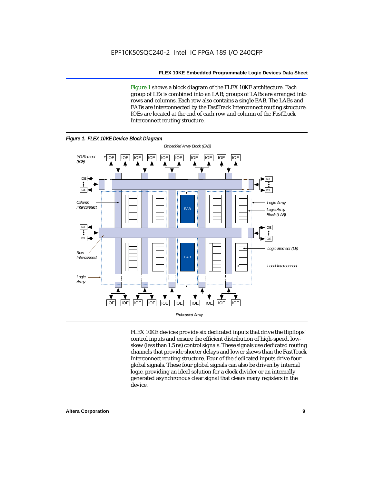Figure 1 shows a block diagram of the FLEX 10KE architecture. Each group of LEs is combined into an LAB; groups of LABs are arranged into rows and columns. Each row also contains a single EAB. The LABs and EABs are interconnected by the FastTrack Interconnect routing structure. IOEs are located at the end of each row and column of the FastTrack Interconnect routing structure.



FLEX 10KE devices provide six dedicated inputs that drive the flipflops' control inputs and ensure the efficient distribution of high-speed, lowskew (less than 1.5 ns) control signals. These signals use dedicated routing channels that provide shorter delays and lower skews than the FastTrack Interconnect routing structure. Four of the dedicated inputs drive four global signals. These four global signals can also be driven by internal logic, providing an ideal solution for a clock divider or an internally generated asynchronous clear signal that clears many registers in the device.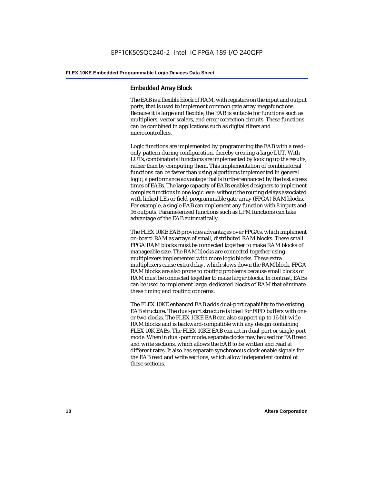#### **Embedded Array Block**

The EAB is a flexible block of RAM, with registers on the input and output ports, that is used to implement common gate array megafunctions. Because it is large and flexible, the EAB is suitable for functions such as multipliers, vector scalars, and error correction circuits. These functions can be combined in applications such as digital filters and microcontrollers.

Logic functions are implemented by programming the EAB with a readonly pattern during configuration, thereby creating a large LUT. With LUTs, combinatorial functions are implemented by looking up the results, rather than by computing them. This implementation of combinatorial functions can be faster than using algorithms implemented in general logic, a performance advantage that is further enhanced by the fast access times of EABs. The large capacity of EABs enables designers to implement complex functions in one logic level without the routing delays associated with linked LEs or field-programmable gate array (FPGA) RAM blocks. For example, a single EAB can implement any function with 8 inputs and 16 outputs. Parameterized functions such as LPM functions can take advantage of the EAB automatically.

The FLEX 10KE EAB provides advantages over FPGAs, which implement on-board RAM as arrays of small, distributed RAM blocks. These small FPGA RAM blocks must be connected together to make RAM blocks of manageable size. The RAM blocks are connected together using multiplexers implemented with more logic blocks. These extra multiplexers cause extra delay, which slows down the RAM block. FPGA RAM blocks are also prone to routing problems because small blocks of RAM must be connected together to make larger blocks. In contrast, EABs can be used to implement large, dedicated blocks of RAM that eliminate these timing and routing concerns.

The FLEX 10KE enhanced EAB adds dual-port capability to the existing EAB structure. The dual-port structure is ideal for FIFO buffers with one or two clocks. The FLEX 10KE EAB can also support up to 16-bit-wide RAM blocks and is backward-compatible with any design containing FLEX 10K EABs. The FLEX 10KE EAB can act in dual-port or single-port mode. When in dual-port mode, separate clocks may be used for EAB read and write sections, which allows the EAB to be written and read at different rates. It also has separate synchronous clock enable signals for the EAB read and write sections, which allow independent control of these sections.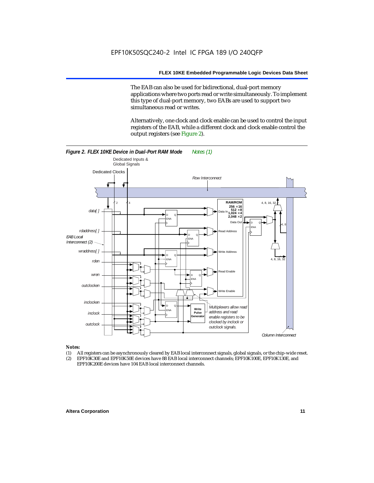The EAB can also be used for bidirectional, dual-port memory applications where two ports read or write simultaneously. To implement this type of dual-port memory, two EABs are used to support two simultaneous read or writes.

Alternatively, one clock and clock enable can be used to control the input registers of the EAB, while a different clock and clock enable control the output registers (see Figure 2).



#### *Notes:*

- (1) All registers can be asynchronously cleared by EAB local interconnect signals, global signals, or the chip-wide reset.
- (2) EPF10K30E and EPF10K50E devices have 88 EAB local interconnect channels; EPF10K100E, EPF10K130E, and EPF10K200E devices have 104 EAB local interconnect channels.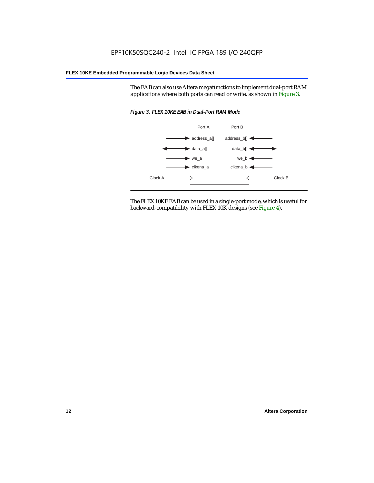The EAB can also use Altera megafunctions to implement dual-port RAM applications where both ports can read or write, as shown in Figure 3.



The FLEX 10KE EAB can be used in a single-port mode, which is useful for backward-compatibility with FLEX 10K designs (see Figure 4).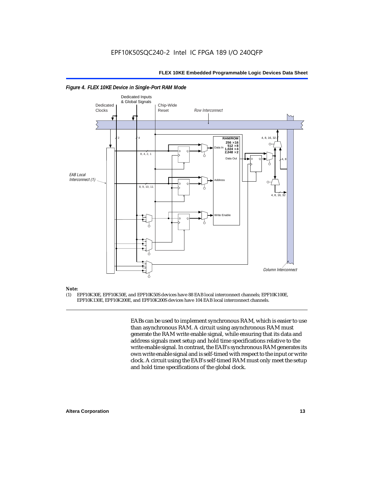

#### *Figure 4. FLEX 10KE Device in Single-Port RAM Mode*

### *Note:*<br>(1) **F**

(1) EPF10K30E, EPF10K50E, and EPF10K50S devices have 88 EAB local interconnect channels; EPF10K100E, EPF10K130E, EPF10K200E, and EPF10K200S devices have 104 EAB local interconnect channels.

> EABs can be used to implement synchronous RAM, which is easier to use than asynchronous RAM. A circuit using asynchronous RAM must generate the RAM write enable signal, while ensuring that its data and address signals meet setup and hold time specifications relative to the write enable signal. In contrast, the EAB's synchronous RAM generates its own write enable signal and is self-timed with respect to the input or write clock. A circuit using the EAB's self-timed RAM must only meet the setup and hold time specifications of the global clock.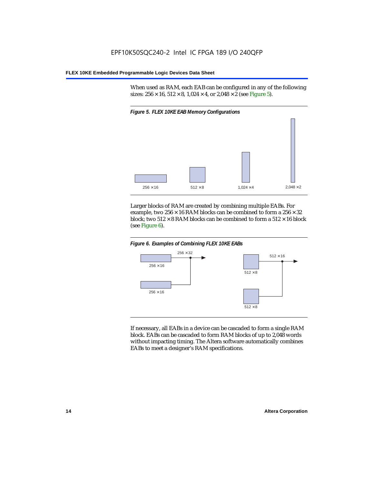When used as RAM, each EAB can be configured in any of the following sizes:  $256 \times 16$ ,  $512 \times 8$ ,  $1,024 \times 4$ , or  $2,048 \times 2$  (see Figure 5).



Larger blocks of RAM are created by combining multiple EABs. For example, two  $256 \times 16$  RAM blocks can be combined to form a  $256 \times 32$ block; two  $512 \times 8$  RAM blocks can be combined to form a  $512 \times 16$  block (see Figure 6).





If necessary, all EABs in a device can be cascaded to form a single RAM block. EABs can be cascaded to form RAM blocks of up to 2,048 words without impacting timing. The Altera software automatically combines EABs to meet a designer's RAM specifications.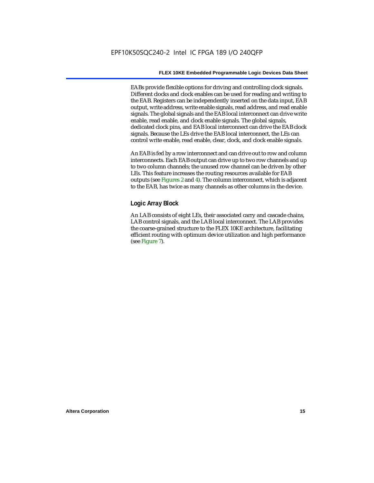EABs provide flexible options for driving and controlling clock signals. Different clocks and clock enables can be used for reading and writing to the EAB. Registers can be independently inserted on the data input, EAB output, write address, write enable signals, read address, and read enable signals. The global signals and the EAB local interconnect can drive write enable, read enable, and clock enable signals. The global signals, dedicated clock pins, and EAB local interconnect can drive the EAB clock signals. Because the LEs drive the EAB local interconnect, the LEs can control write enable, read enable, clear, clock, and clock enable signals.

An EAB is fed by a row interconnect and can drive out to row and column interconnects. Each EAB output can drive up to two row channels and up to two column channels; the unused row channel can be driven by other LEs. This feature increases the routing resources available for EAB outputs (see Figures 2 and 4). The column interconnect, which is adjacent to the EAB, has twice as many channels as other columns in the device.

#### **Logic Array Block**

An LAB consists of eight LEs, their associated carry and cascade chains, LAB control signals, and the LAB local interconnect. The LAB provides the coarse-grained structure to the FLEX 10KE architecture, facilitating efficient routing with optimum device utilization and high performance (see Figure 7).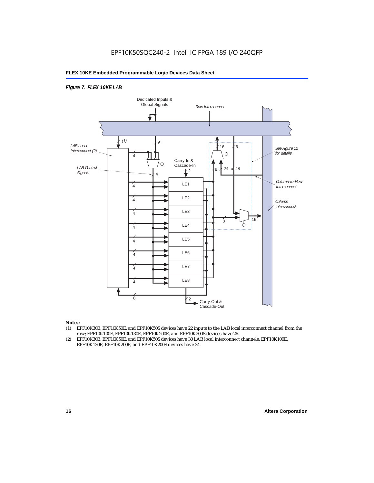#### *Figure 7. FLEX 10KE LAB*



#### *Notes:*

- (1) EPF10K30E, EPF10K50E, and EPF10K50S devices have 22 inputs to the LAB local interconnect channel from the row; EPF10K100E, EPF10K130E, EPF10K200E, and EPF10K200S devices have 26.
- (2) EPF10K30E, EPF10K50E, and EPF10K50S devices have 30 LAB local interconnect channels; EPF10K100E, EPF10K130E, EPF10K200E, and EPF10K200S devices have 34.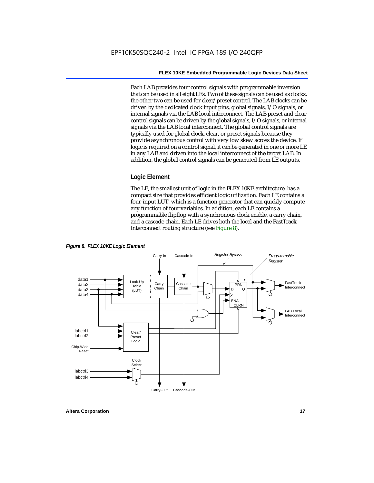Each LAB provides four control signals with programmable inversion that can be used in all eight LEs. Two of these signals can be used as clocks, the other two can be used for clear/preset control. The LAB clocks can be driven by the dedicated clock input pins, global signals, I/O signals, or internal signals via the LAB local interconnect. The LAB preset and clear control signals can be driven by the global signals, I/O signals, or internal signals via the LAB local interconnect. The global control signals are typically used for global clock, clear, or preset signals because they provide asynchronous control with very low skew across the device. If logic is required on a control signal, it can be generated in one or more LE in any LAB and driven into the local interconnect of the target LAB. In addition, the global control signals can be generated from LE outputs.

#### **Logic Element**

The LE, the smallest unit of logic in the FLEX 10KE architecture, has a compact size that provides efficient logic utilization. Each LE contains a four-input LUT, which is a function generator that can quickly compute any function of four variables. In addition, each LE contains a programmable flipflop with a synchronous clock enable, a carry chain, and a cascade chain. Each LE drives both the local and the FastTrack Interconnect routing structure (see Figure 8).



**Altera Corporation 17**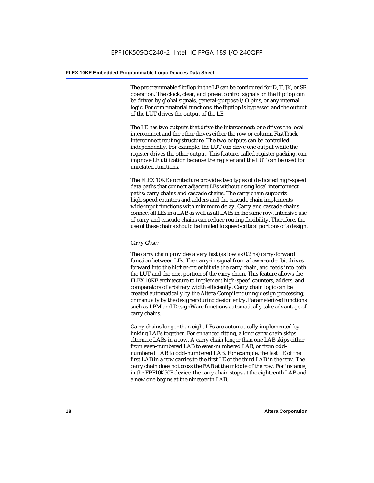The programmable flipflop in the LE can be configured for D, T, JK, or SR operation. The clock, clear, and preset control signals on the flipflop can be driven by global signals, general-purpose I/O pins, or any internal logic. For combinatorial functions, the flipflop is bypassed and the output of the LUT drives the output of the LE.

The LE has two outputs that drive the interconnect: one drives the local interconnect and the other drives either the row or column FastTrack Interconnect routing structure. The two outputs can be controlled independently. For example, the LUT can drive one output while the register drives the other output. This feature, called register packing, can improve LE utilization because the register and the LUT can be used for unrelated functions.

The FLEX 10KE architecture provides two types of dedicated high-speed data paths that connect adjacent LEs without using local interconnect paths: carry chains and cascade chains. The carry chain supports high-speed counters and adders and the cascade chain implements wide-input functions with minimum delay. Carry and cascade chains connect all LEs in a LAB as well as all LABs in the same row. Intensive use of carry and cascade chains can reduce routing flexibility. Therefore, the use of these chains should be limited to speed-critical portions of a design.

#### *Carry Chain*

The carry chain provides a very fast (as low as 0.2 ns) carry-forward function between LEs. The carry-in signal from a lower-order bit drives forward into the higher-order bit via the carry chain, and feeds into both the LUT and the next portion of the carry chain. This feature allows the FLEX 10KE architecture to implement high-speed counters, adders, and comparators of arbitrary width efficiently. Carry chain logic can be created automatically by the Altera Compiler during design processing, or manually by the designer during design entry. Parameterized functions such as LPM and DesignWare functions automatically take advantage of carry chains.

Carry chains longer than eight LEs are automatically implemented by linking LABs together. For enhanced fitting, a long carry chain skips alternate LABs in a row. A carry chain longer than one LAB skips either from even-numbered LAB to even-numbered LAB, or from oddnumbered LAB to odd-numbered LAB. For example, the last LE of the first LAB in a row carries to the first LE of the third LAB in the row. The carry chain does not cross the EAB at the middle of the row. For instance, in the EPF10K50E device, the carry chain stops at the eighteenth LAB and a new one begins at the nineteenth LAB.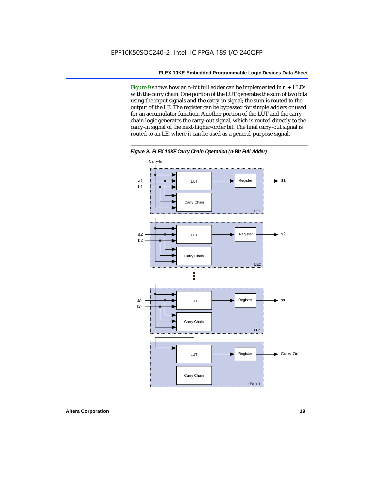Figure 9 shows how an *n*-bit full adder can be implemented in *n* + 1 LEs with the carry chain. One portion of the LUT generates the sum of two bits using the input signals and the carry-in signal; the sum is routed to the output of the LE. The register can be bypassed for simple adders or used for an accumulator function. Another portion of the LUT and the carry chain logic generates the carry-out signal, which is routed directly to the carry-in signal of the next-higher-order bit. The final carry-out signal is routed to an LE, where it can be used as a general-purpose signal.



*Figure 9. FLEX 10KE Carry Chain Operation (n-Bit Full Adder)*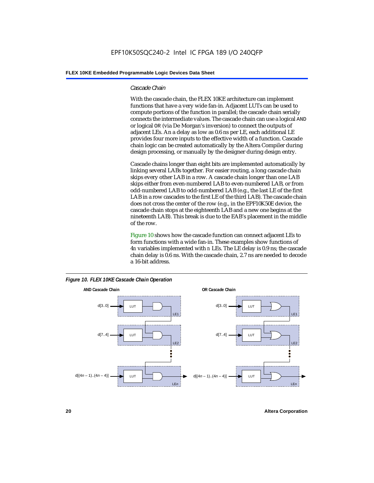#### *Cascade Chain*

With the cascade chain, the FLEX 10KE architecture can implement functions that have a very wide fan-in. Adjacent LUTs can be used to compute portions of the function in parallel; the cascade chain serially connects the intermediate values. The cascade chain can use a logical AND or logical OR (via De Morgan's inversion) to connect the outputs of adjacent LEs. An a delay as low as 0.6 ns per LE, each additional LE provides four more inputs to the effective width of a function. Cascade chain logic can be created automatically by the Altera Compiler during design processing, or manually by the designer during design entry.

Cascade chains longer than eight bits are implemented automatically by linking several LABs together. For easier routing, a long cascade chain skips every other LAB in a row. A cascade chain longer than one LAB skips either from even-numbered LAB to even-numbered LAB, or from odd-numbered LAB to odd-numbered LAB (e.g., the last LE of the first LAB in a row cascades to the first LE of the third LAB). The cascade chain does not cross the center of the row (e.g., in the EPF10K50E device, the cascade chain stops at the eighteenth LAB and a new one begins at the nineteenth LAB). This break is due to the EAB's placement in the middle of the row.

Figure 10 shows how the cascade function can connect adjacent LEs to form functions with a wide fan-in. These examples show functions of 4*n* variables implemented with *n* LEs. The LE delay is 0.9 ns; the cascade chain delay is 0.6 ns. With the cascade chain, 2.7 ns are needed to decode a 16-bit address.



*Figure 10. FLEX 10KE Cascade Chain Operation*

**20 Altera Corporation**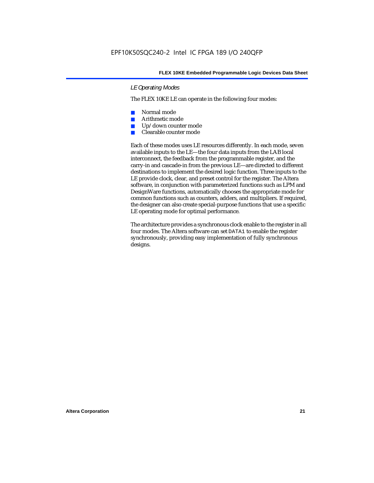#### *LE Operating Modes*

The FLEX 10KE LE can operate in the following four modes:

- Normal mode
- Arithmetic mode
- Up/down counter mode
- Clearable counter mode

Each of these modes uses LE resources differently. In each mode, seven available inputs to the LE—the four data inputs from the LAB local interconnect, the feedback from the programmable register, and the carry-in and cascade-in from the previous LE—are directed to different destinations to implement the desired logic function. Three inputs to the LE provide clock, clear, and preset control for the register. The Altera software, in conjunction with parameterized functions such as LPM and DesignWare functions, automatically chooses the appropriate mode for common functions such as counters, adders, and multipliers. If required, the designer can also create special-purpose functions that use a specific LE operating mode for optimal performance.

The architecture provides a synchronous clock enable to the register in all four modes. The Altera software can set DATA1 to enable the register synchronously, providing easy implementation of fully synchronous designs.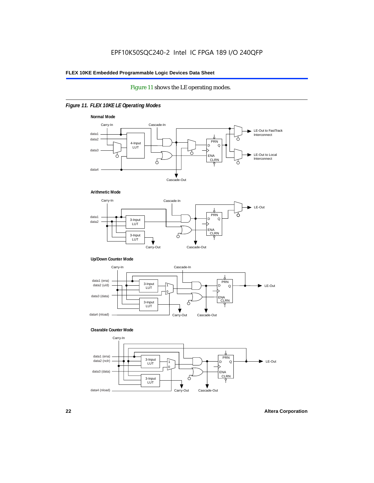#### Figure 11 shows the LE operating modes.

#### *Figure 11. FLEX 10KE LE Operating Modes*









#### **Clearable Counter Mode**

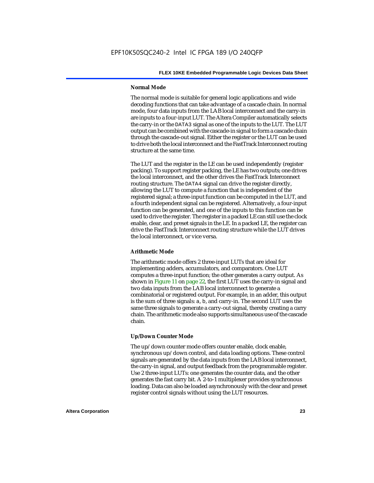#### **Normal Mode**

The normal mode is suitable for general logic applications and wide decoding functions that can take advantage of a cascade chain. In normal mode, four data inputs from the LAB local interconnect and the carry-in are inputs to a four-input LUT. The Altera Compiler automatically selects the carry-in or the DATA3 signal as one of the inputs to the LUT. The LUT output can be combined with the cascade-in signal to form a cascade chain through the cascade-out signal. Either the register or the LUT can be used to drive both the local interconnect and the FastTrack Interconnect routing structure at the same time.

The LUT and the register in the LE can be used independently (register packing). To support register packing, the LE has two outputs; one drives the local interconnect, and the other drives the FastTrack Interconnect routing structure. The DATA4 signal can drive the register directly, allowing the LUT to compute a function that is independent of the registered signal; a three-input function can be computed in the LUT, and a fourth independent signal can be registered. Alternatively, a four-input function can be generated, and one of the inputs to this function can be used to drive the register. The register in a packed LE can still use the clock enable, clear, and preset signals in the LE. In a packed LE, the register can drive the FastTrack Interconnect routing structure while the LUT drives the local interconnect, or vice versa.

#### **Arithmetic Mode**

The arithmetic mode offers 2 three-input LUTs that are ideal for implementing adders, accumulators, and comparators. One LUT computes a three-input function; the other generates a carry output. As shown in Figure 11 on page 22, the first LUT uses the carry-in signal and two data inputs from the LAB local interconnect to generate a combinatorial or registered output. For example, in an adder, this output is the sum of three signals: a, b, and carry-in. The second LUT uses the same three signals to generate a carry-out signal, thereby creating a carry chain. The arithmetic mode also supports simultaneous use of the cascade chain.

#### **Up/Down Counter Mode**

The up/down counter mode offers counter enable, clock enable, synchronous up/down control, and data loading options. These control signals are generated by the data inputs from the LAB local interconnect, the carry-in signal, and output feedback from the programmable register. Use 2 three-input LUTs: one generates the counter data, and the other generates the fast carry bit. A 2-to-1 multiplexer provides synchronous loading. Data can also be loaded asynchronously with the clear and preset register control signals without using the LUT resources.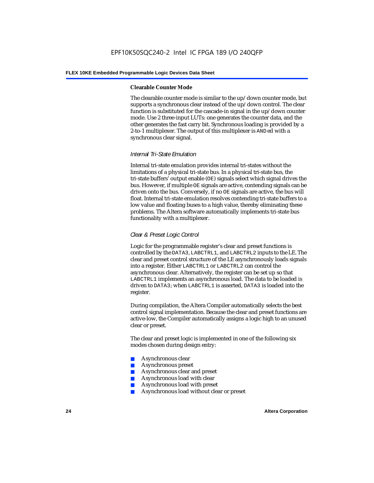#### **Clearable Counter Mode**

The clearable counter mode is similar to the up/down counter mode, but supports a synchronous clear instead of the up/down control. The clear function is substituted for the cascade-in signal in the up/down counter mode. Use 2 three-input LUTs: one generates the counter data, and the other generates the fast carry bit. Synchronous loading is provided by a 2-to-1 multiplexer. The output of this multiplexer is ANDed with a synchronous clear signal.

#### *Internal Tri-State Emulation*

Internal tri-state emulation provides internal tri-states without the limitations of a physical tri-state bus. In a physical tri-state bus, the tri-state buffers' output enable (OE) signals select which signal drives the bus. However, if multiple OE signals are active, contending signals can be driven onto the bus. Conversely, if no OE signals are active, the bus will float. Internal tri-state emulation resolves contending tri-state buffers to a low value and floating buses to a high value, thereby eliminating these problems. The Altera software automatically implements tri-state bus functionality with a multiplexer.

#### *Clear & Preset Logic Control*

Logic for the programmable register's clear and preset functions is controlled by the DATA3, LABCTRL1, and LABCTRL2 inputs to the LE. The clear and preset control structure of the LE asynchronously loads signals into a register. Either LABCTRL1 or LABCTRL2 can control the asynchronous clear. Alternatively, the register can be set up so that LABCTRL1 implements an asynchronous load. The data to be loaded is driven to DATA3; when LABCTRL1 is asserted, DATA3 is loaded into the register.

During compilation, the Altera Compiler automatically selects the best control signal implementation. Because the clear and preset functions are active-low, the Compiler automatically assigns a logic high to an unused clear or preset.

The clear and preset logic is implemented in one of the following six modes chosen during design entry:

- Asynchronous clear
- Asynchronous preset
- Asynchronous clear and preset
- Asynchronous load with clear
- Asynchronous load with preset
- Asynchronous load without clear or preset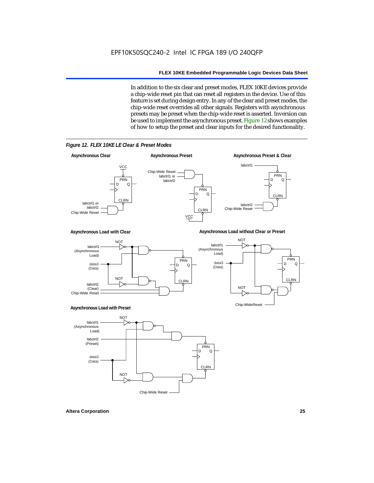In addition to the six clear and preset modes, FLEX 10KE devices provide a chip-wide reset pin that can reset all registers in the device. Use of this feature is set during design entry. In any of the clear and preset modes, the chip-wide reset overrides all other signals. Registers with asynchronous presets may be preset when the chip-wide reset is asserted. Inversion can be used to implement the asynchronous preset. Figure 12 shows examples of how to setup the preset and clear inputs for the desired functionality.

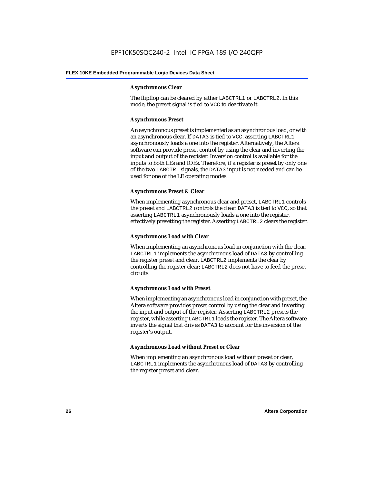#### **Asynchronous Clear**

The flipflop can be cleared by either LABCTRL1 or LABCTRL2. In this mode, the preset signal is tied to VCC to deactivate it.

#### **Asynchronous Preset**

An asynchronous preset is implemented as an asynchronous load, or with an asynchronous clear. If DATA3 is tied to VCC, asserting LABCTRL1 asynchronously loads a one into the register. Alternatively, the Altera software can provide preset control by using the clear and inverting the input and output of the register. Inversion control is available for the inputs to both LEs and IOEs. Therefore, if a register is preset by only one of the two LABCTRL signals, the DATA3 input is not needed and can be used for one of the LE operating modes.

#### **Asynchronous Preset & Clear**

When implementing asynchronous clear and preset, LABCTRL1 controls the preset and LABCTRL2 controls the clear. DATA3 is tied to VCC, so that asserting LABCTRL1 asynchronously loads a one into the register, effectively presetting the register. Asserting LABCTRL2 clears the register.

#### **Asynchronous Load with Clear**

When implementing an asynchronous load in conjunction with the clear, LABCTRL1 implements the asynchronous load of DATA3 by controlling the register preset and clear. LABCTRL2 implements the clear by controlling the register clear; LABCTRL2 does not have to feed the preset circuits.

#### **Asynchronous Load with Preset**

When implementing an asynchronous load in conjunction with preset, the Altera software provides preset control by using the clear and inverting the input and output of the register. Asserting LABCTRL2 presets the register, while asserting LABCTRL1 loads the register. The Altera software inverts the signal that drives DATA3 to account for the inversion of the register's output.

#### **Asynchronous Load without Preset or Clear**

When implementing an asynchronous load without preset or clear, LABCTRL1 implements the asynchronous load of DATA3 by controlling the register preset and clear.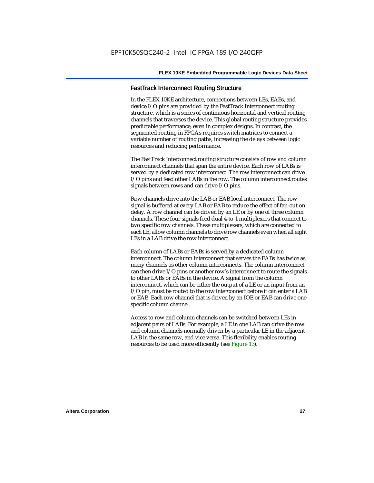#### **FastTrack Interconnect Routing Structure**

In the FLEX 10KE architecture, connections between LEs, EABs, and device I/O pins are provided by the FastTrack Interconnect routing structure, which is a series of continuous horizontal and vertical routing channels that traverses the device. This global routing structure provides predictable performance, even in complex designs. In contrast, the segmented routing in FPGAs requires switch matrices to connect a variable number of routing paths, increasing the delays between logic resources and reducing performance.

The FastTrack Interconnect routing structure consists of row and column interconnect channels that span the entire device. Each row of LABs is served by a dedicated row interconnect. The row interconnect can drive I/O pins and feed other LABs in the row. The column interconnect routes signals between rows and can drive I/O pins.

Row channels drive into the LAB or EAB local interconnect. The row signal is buffered at every LAB or EAB to reduce the effect of fan-out on delay. A row channel can be driven by an LE or by one of three column channels. These four signals feed dual 4-to-1 multiplexers that connect to two specific row channels. These multiplexers, which are connected to each LE, allow column channels to drive row channels even when all eight LEs in a LAB drive the row interconnect.

Each column of LABs or EABs is served by a dedicated column interconnect. The column interconnect that serves the EABs has twice as many channels as other column interconnects. The column interconnect can then drive I/O pins or another row's interconnect to route the signals to other LABs or EABs in the device. A signal from the column interconnect, which can be either the output of a LE or an input from an I/O pin, must be routed to the row interconnect before it can enter a LAB or EAB. Each row channel that is driven by an IOE or EAB can drive one specific column channel.

Access to row and column channels can be switched between LEs in adjacent pairs of LABs. For example, a LE in one LAB can drive the row and column channels normally driven by a particular LE in the adjacent LAB in the same row, and vice versa. This flexibility enables routing resources to be used more efficiently (see Figure 13).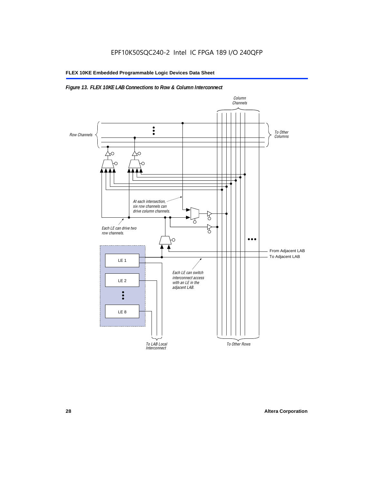#### *Figure 13. FLEX 10KE LAB Connections to Row & Column Interconnect*

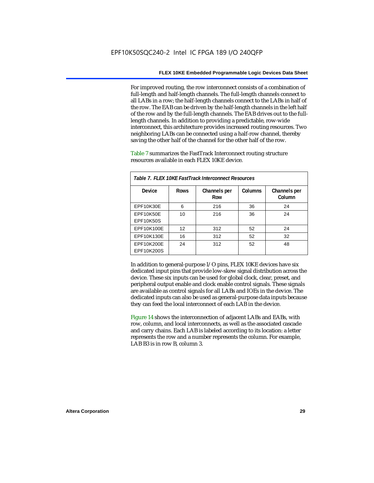For improved routing, the row interconnect consists of a combination of full-length and half-length channels. The full-length channels connect to all LABs in a row; the half-length channels connect to the LABs in half of the row. The EAB can be driven by the half-length channels in the left half of the row and by the full-length channels. The EAB drives out to the fulllength channels. In addition to providing a predictable, row-wide interconnect, this architecture provides increased routing resources. Two neighboring LABs can be connected using a half-row channel, thereby saving the other half of the channel for the other half of the row.

Table 7 summarizes the FastTrack Interconnect routing structure resources available in each FLEX 10KE device.

| Table 7. FLEX 10KE FastTrack Interconnect Resources |             |                     |         |                        |
|-----------------------------------------------------|-------------|---------------------|---------|------------------------|
| Device                                              | <b>Rows</b> | Channels per<br>Row | Columns | Channels per<br>Column |
| <b>EPF10K30E</b>                                    | 6           | 216                 | 36      | 24                     |
| EPF10K50E<br>EPF10K50S                              | 10          | 216                 | 36      | 24                     |
| EPF10K100E                                          | 12          | 312                 | 52      | 24                     |
| EPF10K130E                                          | 16          | 312                 | 52      | 32                     |
| EPF10K200E<br>EPF10K200S                            | 24          | 312                 | 52      | 48                     |

In addition to general-purpose I/O pins, FLEX 10KE devices have six dedicated input pins that provide low-skew signal distribution across the device. These six inputs can be used for global clock, clear, preset, and peripheral output enable and clock enable control signals. These signals are available as control signals for all LABs and IOEs in the device. The dedicated inputs can also be used as general-purpose data inputs because they can feed the local interconnect of each LAB in the device.

Figure 14 shows the interconnection of adjacent LABs and EABs, with row, column, and local interconnects, as well as the associated cascade and carry chains. Each LAB is labeled according to its location: a letter represents the row and a number represents the column. For example, LAB B3 is in row B, column 3.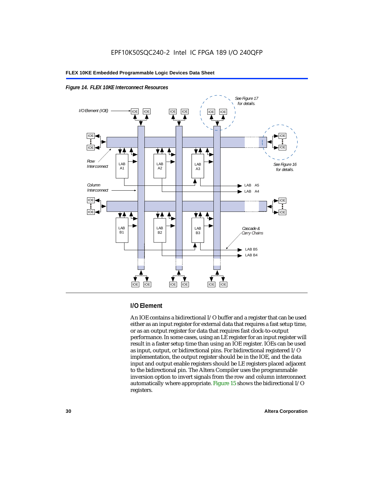



#### **I/O Element**

An IOE contains a bidirectional I/O buffer and a register that can be used either as an input register for external data that requires a fast setup time, or as an output register for data that requires fast clock-to-output performance. In some cases, using an LE register for an input register will result in a faster setup time than using an IOE register. IOEs can be used as input, output, or bidirectional pins. For bidirectional registered I/O implementation, the output register should be in the IOE, and the data input and output enable registers should be LE registers placed adjacent to the bidirectional pin. The Altera Compiler uses the programmable inversion option to invert signals from the row and column interconnect automatically where appropriate. Figure 15 shows the bidirectional I/O registers.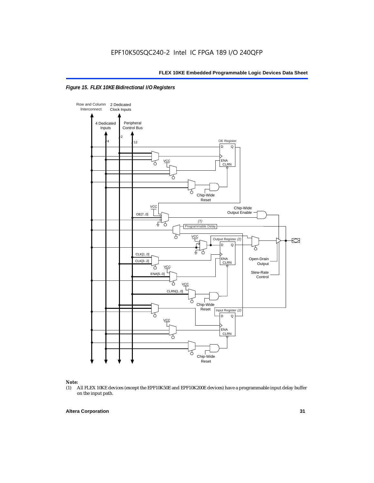



### *Note:*<br>(1) *A*

(1) All FLEX 10KE devices (except the EPF10K50E and EPF10K200E devices) have a programmable input delay buffer on the input path.

#### **Altera Corporation 31**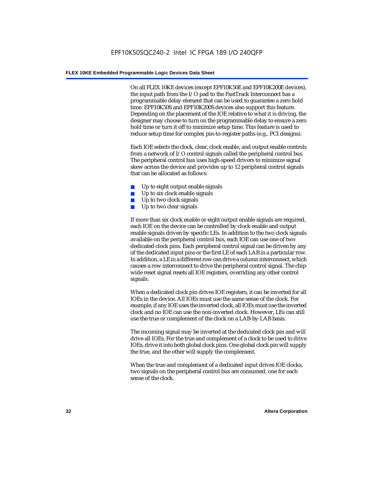On all FLEX 10KE devices (except EPF10K50E and EPF10K200E devices), the input path from the I/O pad to the FastTrack Interconnect has a programmable delay element that can be used to guarantee a zero hold time. EPF10K50S and EPF10K200S devices also support this feature. Depending on the placement of the IOE relative to what it is driving, the designer may choose to turn on the programmable delay to ensure a zero hold time or turn it off to minimize setup time. This feature is used to reduce setup time for complex pin-to-register paths (e.g., PCI designs).

Each IOE selects the clock, clear, clock enable, and output enable controls from a network of I/O control signals called the peripheral control bus. The peripheral control bus uses high-speed drivers to minimize signal skew across the device and provides up to 12 peripheral control signals that can be allocated as follows:

- Up to eight output enable signals
- Up to six clock enable signals
- Up to two clock signals
- Up to two clear signals

If more than six clock enable or eight output enable signals are required, each IOE on the device can be controlled by clock enable and output enable signals driven by specific LEs. In addition to the two clock signals available on the peripheral control bus, each IOE can use one of two dedicated clock pins. Each peripheral control signal can be driven by any of the dedicated input pins or the first LE of each LAB in a particular row. In addition, a LE in a different row can drive a column interconnect, which causes a row interconnect to drive the peripheral control signal. The chipwide reset signal resets all IOE registers, overriding any other control signals.

When a dedicated clock pin drives IOE registers, it can be inverted for all IOEs in the device. All IOEs must use the same sense of the clock. For example, if any IOE uses the inverted clock, all IOEs must use the inverted clock and no IOE can use the non-inverted clock. However, LEs can still use the true or complement of the clock on a LAB-by-LAB basis.

The incoming signal may be inverted at the dedicated clock pin and will drive all IOEs. For the true and complement of a clock to be used to drive IOEs, drive it into both global clock pins. One global clock pin will supply the true, and the other will supply the complement.

When the true and complement of a dedicated input drives IOE clocks, two signals on the peripheral control bus are consumed, one for each sense of the clock.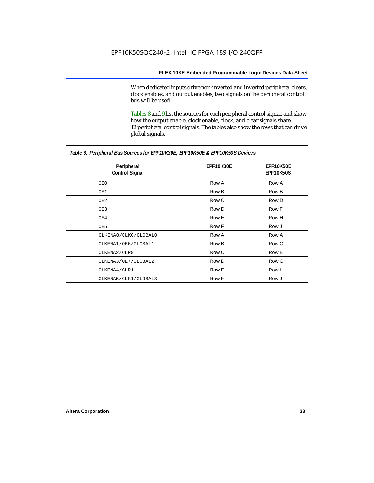When dedicated inputs drive non-inverted and inverted peripheral clears, clock enables, and output enables, two signals on the peripheral control bus will be used.

Tables 8 and 9 list the sources for each peripheral control signal, and show how the output enable, clock enable, clock, and clear signals share 12 peripheral control signals. The tables also show the rows that can drive global signals.

| Table 8. Peripheral Bus Sources for EPF10K30E, EPF10K50E & EPF10K50S Devices |                  |                               |  |  |
|------------------------------------------------------------------------------|------------------|-------------------------------|--|--|
| Peripheral<br><b>Control Signal</b>                                          | <b>EPF10K30E</b> | EPF10K50E<br><b>EPF10K50S</b> |  |  |
| OE0                                                                          | Row A            | Row A                         |  |  |
| OE1                                                                          | Row B            | Row B                         |  |  |
| OE2                                                                          | Row C            | Row D                         |  |  |
| OE3                                                                          | Row D            | Row F                         |  |  |
| OE4                                                                          | Row E            | Row H                         |  |  |
| OE5                                                                          | Row F            | Row J                         |  |  |
| CLKENA0/CLK0/GLOBAL0                                                         | Row A            | Row A                         |  |  |
| CLKENA1/OE6/GLOBAL1                                                          | Row B            | Row C                         |  |  |
| CLKENA2/CLR0                                                                 | Row C            | Row E                         |  |  |
| CLKENA3/OE7/GLOBAL2                                                          | Row D            | Row G                         |  |  |
| CLKENA4/CLR1                                                                 | Row E            | Row I                         |  |  |
| CLKENA5/CLK1/GLOBAL3                                                         | Row F            | Row J                         |  |  |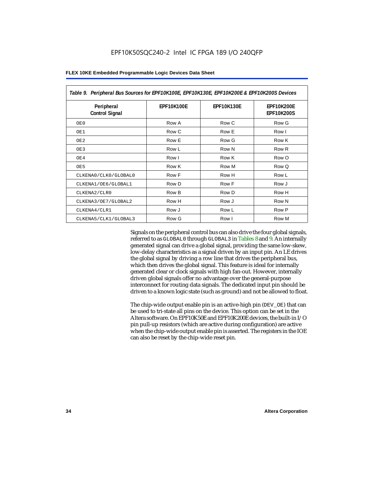| Table 9. Peripheral Bus Sources for EPF10K100E, EPF10K130E, EPF10K200E & EPF10K200S Devices |                   |                   |                                        |  |
|---------------------------------------------------------------------------------------------|-------------------|-------------------|----------------------------------------|--|
| Peripheral<br><b>Control Signal</b>                                                         | <b>EPF10K100E</b> | <b>EPF10K130E</b> | <b>EPF10K200E</b><br><b>EPF10K200S</b> |  |
| OE0                                                                                         | Row A             | Row C             | Row G                                  |  |
| OE1                                                                                         | Row C             | Row E             | Row I                                  |  |
| OE <sub>2</sub>                                                                             | Row E             | Row G             | Row K                                  |  |
| OE3                                                                                         | Row L             | Row N             | Row <sub>R</sub>                       |  |
| OE4                                                                                         | Row I             | Row K             | Row O                                  |  |
| OE5                                                                                         | Row K             | Row M             | Row Q                                  |  |
| CLKENA0/CLK0/GLOBAL0                                                                        | Row F             | Row H             | Row L                                  |  |
| CLKENA1/OE6/GLOBAL1                                                                         | Row D             | Row F             | Row J                                  |  |
| CLKENA2/CLR0                                                                                | Row B             | Row D             | Row H                                  |  |
| CLKENA3/OE7/GLOBAL2                                                                         | Row H             | Row J             | Row N                                  |  |
| CLKENA4/CLR1                                                                                | Row J             | Row L             | Row P                                  |  |
| CLKENA5/CLK1/GLOBAL3                                                                        | Row G             | Row I             | Row M                                  |  |

Signals on the peripheral control bus can also drive the four global signals, referred to as GLOBAL0 through GLOBAL3 in Tables 8 and 9. An internally generated signal can drive a global signal, providing the same low-skew, low-delay characteristics as a signal driven by an input pin. An LE drives the global signal by driving a row line that drives the peripheral bus, which then drives the global signal. This feature is ideal for internally generated clear or clock signals with high fan-out. However, internally driven global signals offer no advantage over the general-purpose interconnect for routing data signals. The dedicated input pin should be driven to a known logic state (such as ground) and not be allowed to float.

The chip-wide output enable pin is an active-high pin (DEV\_OE) that can be used to tri-state all pins on the device. This option can be set in the Altera software. On EPF10K50E and EPF10K200E devices, the built-in I/O pin pull-up resistors (which are active during configuration) are active when the chip-wide output enable pin is asserted. The registers in the IOE can also be reset by the chip-wide reset pin.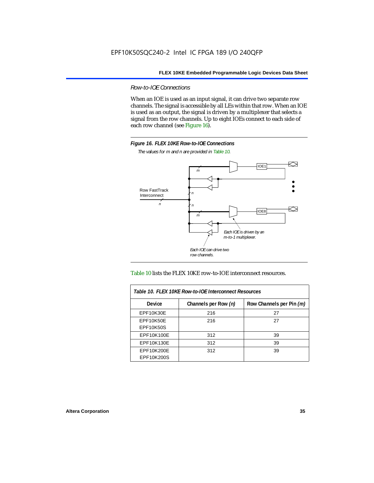*Row-to-IOE Connections*

When an IOE is used as an input signal, it can drive two separate row channels. The signal is accessible by all LEs within that row. When an IOE is used as an output, the signal is driven by a multiplexer that selects a signal from the row channels. Up to eight IOEs connect to each side of each row channel (see Figure 16).



*The values for m and n are provided in Table 10.*





| Table 10. FLEX 10KE Row-to-IOE Interconnect Resources |                      |                          |  |  |
|-------------------------------------------------------|----------------------|--------------------------|--|--|
| <b>Device</b>                                         | Channels per Row (n) | Row Channels per Pin (m) |  |  |
| <b>EPF10K30E</b>                                      | 216                  | 27                       |  |  |
| <b>EPF10K50E</b>                                      | 216                  | 27                       |  |  |
| <b>EPF10K50S</b>                                      |                      |                          |  |  |
| EPF10K100E                                            | 312                  | 39                       |  |  |
| EPF10K130E                                            | 312                  | 39                       |  |  |
| EPF10K200E<br>EPF10K200S                              | 312                  | 39                       |  |  |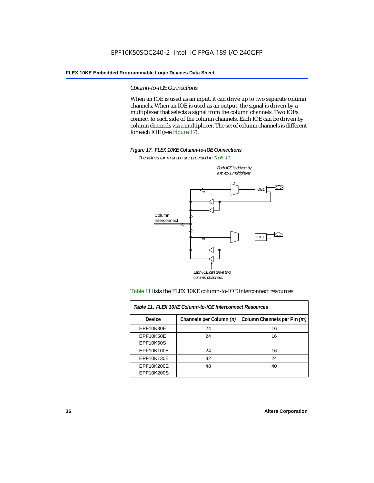*Column-to-IOE Connections*

When an IOE is used as an input, it can drive up to two separate column channels. When an IOE is used as an output, the signal is driven by a multiplexer that selects a signal from the column channels. Two IOEs connect to each side of the column channels. Each IOE can be driven by column channels via a multiplexer. The set of column channels is different for each IOE (see Figure 17).



*The values for m and n are provided in Table 11.*



#### Table 11 lists the FLEX 10KE column-to-IOE interconnect resources.

| Table 11. FLEX 10KE Column-to-IOE Interconnect Resources |                         |                             |  |  |  |  |
|----------------------------------------------------------|-------------------------|-----------------------------|--|--|--|--|
| <b>Device</b>                                            | Channels per Column (n) | Column Channels per Pin (m) |  |  |  |  |
| EPF10K30E                                                | 24                      | 16                          |  |  |  |  |
| EPF10K50E<br><b>EPF10K50S</b>                            | 24                      | 16                          |  |  |  |  |
| EPF10K100E                                               | 24                      | 16                          |  |  |  |  |
| EPF10K130E                                               | 32                      | 24                          |  |  |  |  |
| EPF10K200E<br>EPF10K200S                                 | 48                      | 40                          |  |  |  |  |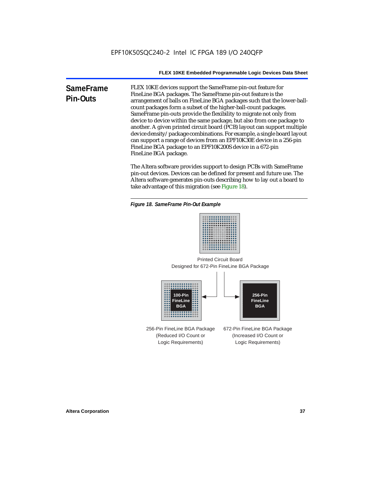**SameFrame Pin-Outs** FLEX 10KE devices support the SameFrame pin-out feature for FineLine BGA packages. The SameFrame pin-out feature is the arrangement of balls on FineLine BGA packages such that the lower-ballcount packages form a subset of the higher-ball-count packages. SameFrame pin-outs provide the flexibility to migrate not only from device to device within the same package, but also from one package to another. A given printed circuit board (PCB) layout can support multiple device density/package combinations. For example, a single board layout can support a range of devices from an EPF10K30E device in a 256-pin FineLine BGA package to an EPF10K200S device in a 672-pin FineLine BGA package.

> The Altera software provides support to design PCBs with SameFrame pin-out devices. Devices can be defined for present and future use. The Altera software generates pin-outs describing how to lay out a board to take advantage of this migration (see Figure 18).





Designed for 672-Pin FineLine BGA Package Printed Circuit Board



256-Pin FineLine BGA Package (Reduced I/O Count or Logic Requirements) 672-Pin FineLine BGA Package (Increased I/O Count or Logic Requirements)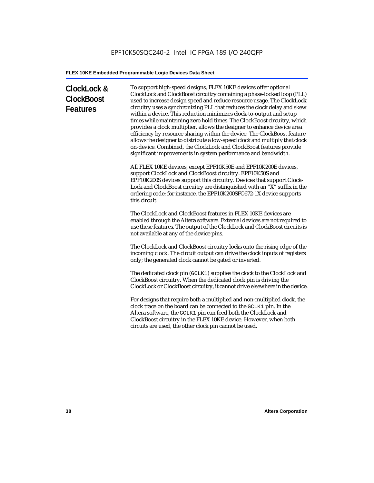# **ClockLock & ClockBoost Features**

To support high-speed designs, FLEX 10KE devices offer optional ClockLock and ClockBoost circuitry containing a phase-locked loop (PLL) used to increase design speed and reduce resource usage. The ClockLock circuitry uses a synchronizing PLL that reduces the clock delay and skew within a device. This reduction minimizes clock-to-output and setup times while maintaining zero hold times. The ClockBoost circuitry, which provides a clock multiplier, allows the designer to enhance device area efficiency by resource sharing within the device. The ClockBoost feature allows the designer to distribute a low-speed clock and multiply that clock on-device. Combined, the ClockLock and ClockBoost features provide significant improvements in system performance and bandwidth.

All FLEX 10KE devices, except EPF10K50E and EPF10K200E devices, support ClockLock and ClockBoost circuitry. EPF10K50S and EPF10K200S devices support this circuitry. Devices that support Clock-Lock and ClockBoost circuitry are distinguished with an "X" suffix in the ordering code; for instance, the EPF10K200SFC672-1X device supports this circuit.

The ClockLock and ClockBoost features in FLEX 10KE devices are enabled through the Altera software. External devices are not required to use these features. The output of the ClockLock and ClockBoost circuits is not available at any of the device pins.

The ClockLock and ClockBoost circuitry locks onto the rising edge of the incoming clock. The circuit output can drive the clock inputs of registers only; the generated clock cannot be gated or inverted.

The dedicated clock pin (GCLK1) supplies the clock to the ClockLock and ClockBoost circuitry. When the dedicated clock pin is driving the ClockLock or ClockBoost circuitry, it cannot drive elsewhere in the device.

For designs that require both a multiplied and non-multiplied clock, the clock trace on the board can be connected to the GCLK1 pin. In the Altera software, the GCLK1 pin can feed both the ClockLock and ClockBoost circuitry in the FLEX 10KE device. However, when both circuits are used, the other clock pin cannot be used.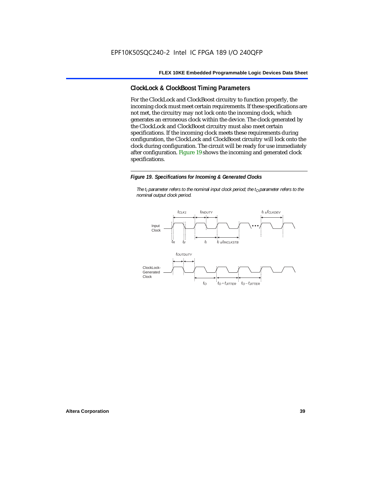# **ClockLock & ClockBoost Timing Parameters**

For the ClockLock and ClockBoost circuitry to function properly, the incoming clock must meet certain requirements. If these specifications are not met, the circuitry may not lock onto the incoming clock, which generates an erroneous clock within the device. The clock generated by the ClockLock and ClockBoost circuitry must also meet certain specifications. If the incoming clock meets these requirements during configuration, the ClockLock and ClockBoost circuitry will lock onto the clock during configuration. The circuit will be ready for use immediately after configuration. Figure 19 shows the incoming and generated clock specifications.

#### *Figure 19. Specifications for Incoming & Generated Clocks*

*The t<sub>I</sub> parameter refers to the nominal input clock period; the t<sub>0</sub> parameter refers to the nominal output clock period.*

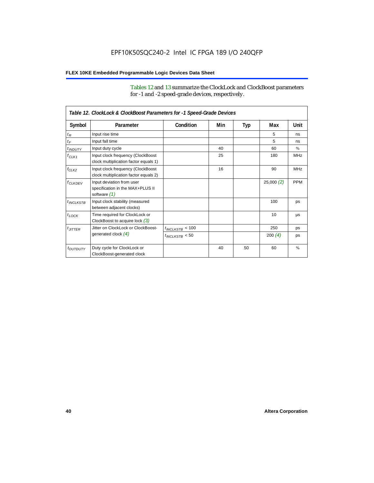Tables 12 and 13 summarize the ClockLock and ClockBoost parameters for -1 and -2 speed-grade devices, respectively.

| Table 12. ClockLock & ClockBoost Parameters for -1 Speed-Grade Devices |                                                                               |                      |     |     |           |               |  |
|------------------------------------------------------------------------|-------------------------------------------------------------------------------|----------------------|-----|-----|-----------|---------------|--|
| Symbol                                                                 | Parameter                                                                     | Condition            | Min | Typ | Max       | Unit          |  |
| $t_R$                                                                  | Input rise time                                                               |                      |     |     | 5         | ns            |  |
| $t_F$                                                                  | Input fall time                                                               |                      |     |     | 5         | ns            |  |
| $t$ <sub>INDUTY</sub>                                                  | Input duty cycle                                                              |                      | 40  |     | 60        | $\%$          |  |
| $f_{CLK1}$                                                             | Input clock frequency (ClockBoost<br>clock multiplication factor equals 1)    |                      | 25  |     | 180       | <b>MHz</b>    |  |
| $f_{CLK2}$                                                             | Input clock frequency (ClockBoost<br>clock multiplication factor equals 2)    |                      | 16  |     | 90        | <b>MHz</b>    |  |
| $f_{CLKDEV}$                                                           | Input deviation from user<br>specification in the MAX+PLUS II<br>software (1) |                      |     |     | 25,000(2) | <b>PPM</b>    |  |
| $t_{INCLKSTB}$                                                         | Input clock stability (measured<br>between adjacent clocks)                   |                      |     |     | 100       | ps            |  |
| $t_{\text{LOCK}}$                                                      | Time required for ClockLock or<br>ClockBoost to acquire lock $(3)$            |                      |     |     | 10        | μs            |  |
| $t_{JITTER}$                                                           | Jitter on ClockLock or ClockBoost-                                            | $t_{INCLKSTB} < 100$ |     |     | 250       | ps            |  |
|                                                                        | generated clock $(4)$                                                         | $t_{INCLKSTB}$ < 50  |     |     | 200 $(4)$ | ps            |  |
| <i>toutbuty</i>                                                        | Duty cycle for ClockLock or<br>ClockBoost-generated clock                     |                      | 40  | 50  | 60        | $\frac{9}{6}$ |  |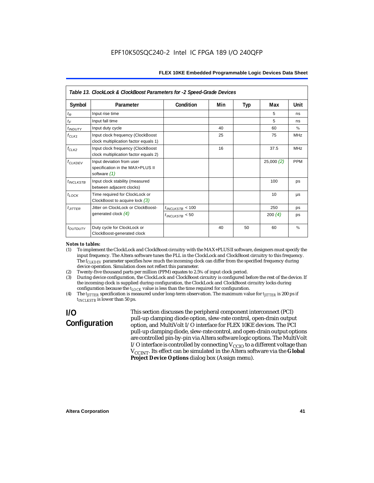| Table 13. ClockLock & ClockBoost Parameters for -2 Speed-Grade Devices |                                                                               |                      |     |     |           |            |  |
|------------------------------------------------------------------------|-------------------------------------------------------------------------------|----------------------|-----|-----|-----------|------------|--|
| Symbol                                                                 | Parameter                                                                     | Condition            | Min | Typ | Max       | Unit       |  |
| $t_{R}$                                                                | Input rise time                                                               |                      |     |     | 5         | ns         |  |
| $t_F$                                                                  | Input fall time                                                               |                      |     |     | 5         | ns         |  |
| $t_{INDUTY}$                                                           | Input duty cycle                                                              |                      | 40  |     | 60        | $\%$       |  |
| $f_{CLK1}$                                                             | Input clock frequency (ClockBoost<br>clock multiplication factor equals 1)    |                      | 25  |     | 75        | <b>MHz</b> |  |
| $f_{CLK2}$                                                             | Input clock frequency (ClockBoost<br>clock multiplication factor equals 2)    |                      | 16  |     | 37.5      | <b>MHz</b> |  |
| $f_{\ensuremath{\text{CLKDFV}}}$                                       | Input deviation from user<br>specification in the MAX+PLUS II<br>software (1) |                      |     |     | 25,000(2) | <b>PPM</b> |  |
| $t_{INCLKSTB}$                                                         | Input clock stability (measured<br>between adjacent clocks)                   |                      |     |     | 100       | ps         |  |
| $t_{LOCK}$                                                             | Time required for ClockLock or<br>ClockBoost to acquire lock $(3)$            |                      |     |     | 10        | μs         |  |
| $t_{JITTER}$                                                           | Jitter on ClockLock or ClockBoost-                                            | $t_{INCLKSTB}$ < 100 |     |     | 250       | ps         |  |
|                                                                        | generated clock $(4)$                                                         | $t_{INCLKSTB}$ < 50  |     |     | 200 $(4)$ | ps         |  |
| t <sub>OUTDUTY</sub>                                                   | Duty cycle for ClockLock or<br>ClockBoost-generated clock                     |                      | 40  | 50  | 60        | $\%$       |  |

#### *Notes to tables:*

- (1) To implement the ClockLock and ClockBoost circuitry with the MAX+PLUS II software, designers must specify the input frequency. The Altera software tunes the PLL in the ClockLock and ClockBoost circuitry to this frequency. The *f<sub>CLKDEV</sub>* parameter specifies how much the incoming clock can differ from the specified frequency during device operation. Simulation does not reflect this parameter.
- (2) Twenty-five thousand parts per million (PPM) equates to 2.5% of input clock period.<br>(3) During device configuration, the ClockLock and ClockBoost circuitry is configured b
- (3) During device configuration, the ClockLock and ClockBoost circuitry is configured before the rest of the device. If the incoming clock is supplied during configuration, the ClockLock and ClockBoost circuitry locks during configuration because the  $t_{LOCK}$  value is less than the time required for configuration.
- (4) The *tJITTER* specification is measured under long-term observation. The maximum value for *tJITTER* is 200 ps if  $t_{INCI KSTB}$  is lower than 50 ps.

# **I/O Configuration**

This section discusses the peripheral component interconnect (PCI) pull-up clamping diode option, slew-rate control, open-drain output option, and MultiVolt I/O interface for FLEX 10KE devices. The PCI pull-up clamping diode, slew-rate control, and open-drain output options are controlled pin-by-pin via Altera software logic options. The MultiVolt I/O interface is controlled by connecting  $V_{CCIO}$  to a different voltage than V<sub>CCINT</sub>. Its effect can be simulated in the Altera software via the Global **Project Device Options** dialog box (Assign menu).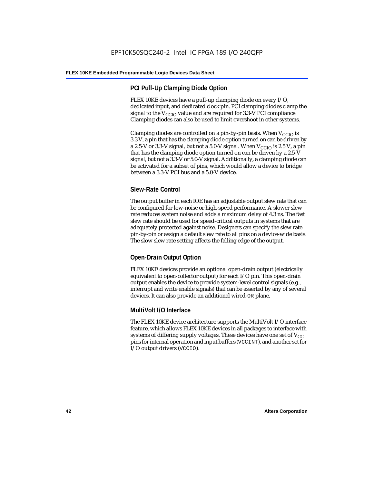# **PCI Pull-Up Clamping Diode Option**

FLEX 10KE devices have a pull-up clamping diode on every I/O, dedicated input, and dedicated clock pin. PCI clamping diodes clamp the signal to the  $V_{\text{CCIO}}$  value and are required for 3.3-V PCI compliance. Clamping diodes can also be used to limit overshoot in other systems.

Clamping diodes are controlled on a pin-by-pin basis. When  $V_{\text{CCIO}}$  is 3.3 V, a pin that has the clamping diode option turned on can be driven by a 2.5-V or 3.3-V signal, but not a 5.0-V signal. When  $V_{CCIO}$  is 2.5 V, a pin that has the clamping diode option turned on can be driven by a 2.5-V signal, but not a 3.3-V or 5.0-V signal. Additionally, a clamping diode can be activated for a subset of pins, which would allow a device to bridge between a 3.3-V PCI bus and a 5.0-V device.

# **Slew-Rate Control**

The output buffer in each IOE has an adjustable output slew rate that can be configured for low-noise or high-speed performance. A slower slew rate reduces system noise and adds a maximum delay of 4.3 ns. The fast slew rate should be used for speed-critical outputs in systems that are adequately protected against noise. Designers can specify the slew rate pin-by-pin or assign a default slew rate to all pins on a device-wide basis. The slow slew rate setting affects the falling edge of the output.

# **Open-Drain Output Option**

FLEX 10KE devices provide an optional open-drain output (electrically equivalent to open-collector output) for each I/O pin. This open-drain output enables the device to provide system-level control signals (e.g., interrupt and write enable signals) that can be asserted by any of several devices. It can also provide an additional wired-OR plane.

# **MultiVolt I/O Interface**

The FLEX 10KE device architecture supports the MultiVolt I/O interface feature, which allows FLEX 10KE devices in all packages to interface with systems of differing supply voltages. These devices have one set of  $V_{CC}$ pins for internal operation and input buffers (VCCINT), and another set for I/O output drivers (VCCIO).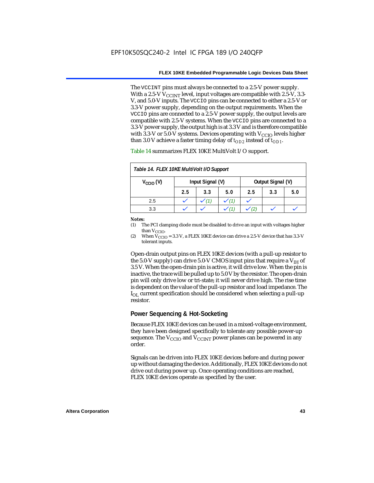The VCCINT pins must always be connected to a 2.5-V power supply. With a 2.5-V  $V_{CCMT}$  level, input voltages are compatible with 2.5-V, 3.3-V, and 5.0-V inputs. The VCCIO pins can be connected to either a 2.5-V or 3.3-V power supply, depending on the output requirements. When the VCCIO pins are connected to a 2.5-V power supply, the output levels are compatible with 2.5-V systems. When the VCCIO pins are connected to a 3.3-V power supply, the output high is at 3.3 V and is therefore compatible with 3.3-V or 5.0-V systems. Devices operating with  $V_{CCIO}$  levels higher than 3.0 V achieve a faster timing delay of  $t_{OD2}$  instead of  $t_{OD1}$ .

| Table 14. FLEX 10KE MultiVolt I/O Support                     |     |     |     |     |     |     |
|---------------------------------------------------------------|-----|-----|-----|-----|-----|-----|
| Input Signal (V)<br>Output Signal (V)<br>$V_{\text{CCIO}}(V)$ |     |     |     |     |     |     |
|                                                               | 2.5 | 3.3 | 5.0 | 2.5 | 3.3 | 5.0 |
| 2.5                                                           |     |     |     |     |     |     |
| 3.3                                                           |     |     |     |     |     |     |

Table 14 summarizes FLEX 10KE MultiVolt I/O support.

#### *Notes:*

(1) The PCI clamping diode must be disabled to drive an input with voltages higher than  $V_{CCIO}$ .

(2) When  $V_{\text{CCIO}} = 3.3$  V, a FLEX 10KE device can drive a 2.5-V device that has 3.3-V tolerant inputs.

Open-drain output pins on FLEX 10KE devices (with a pull-up resistor to the 5.0-V supply) can drive 5.0-V CMOS input pins that require a  $V_{\text{H}}$  of 3.5 V. When the open-drain pin is active, it will drive low. When the pin is inactive, the trace will be pulled up to 5.0 V by the resistor. The open-drain pin will only drive low or tri-state; it will never drive high. The rise time is dependent on the value of the pull-up resistor and load impedance. The  $I_{\text{OL}}$  current specification should be considered when selecting a pull-up resistor.

### **Power Sequencing & Hot-Socketing**

Because FLEX 10KE devices can be used in a mixed-voltage environment, they have been designed specifically to tolerate any possible power-up sequence. The  $V_{\text{CCIO}}$  and  $V_{\text{CCINT}}$  power planes can be powered in any order.

Signals can be driven into FLEX 10KE devices before and during power up without damaging the device. Additionally, FLEX 10KE devices do not drive out during power up. Once operating conditions are reached, FLEX 10KE devices operate as specified by the user.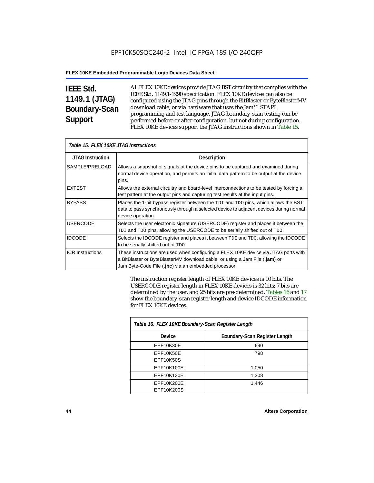# **IEEE Std. 1149.1 (JTAG) Boundary-Scan Support**

Г

All FLEX 10KE devices provide JTAG BST circuitry that complies with the IEEE Std. 1149.1-1990 specification. FLEX 10KE devices can also be configured using the JTAG pins through the BitBlaster or ByteBlasterMV download cable, or via hardware that uses the Jam™ STAPL programming and test language. JTAG boundary-scan testing can be performed before or after configuration, but not during configuration. FLEX 10KE devices support the JTAG instructions shown in Table 15.

| Table 15. FLEX 10KE JTAG Instructions |                                                                                                                                                                                                                            |  |  |  |
|---------------------------------------|----------------------------------------------------------------------------------------------------------------------------------------------------------------------------------------------------------------------------|--|--|--|
| <b>JTAG Instruction</b>               | <b>Description</b>                                                                                                                                                                                                         |  |  |  |
| SAMPLE/PRELOAD                        | Allows a snapshot of signals at the device pins to be captured and examined during<br>normal device operation, and permits an initial data pattern to be output at the device<br>pins.                                     |  |  |  |
| <b>EXTEST</b>                         | Allows the external circuitry and board-level interconnections to be tested by forcing a<br>test pattern at the output pins and capturing test results at the input pins.                                                  |  |  |  |
| <b>BYPASS</b>                         | Places the 1-bit bypass register between the TDI and TDO pins, which allows the BST<br>data to pass synchronously through a selected device to adjacent devices during normal<br>device operation.                         |  |  |  |
| <b>USERCODE</b>                       | Selects the user electronic signature (USERCODE) register and places it between the<br>TDI and TDO pins, allowing the USERCODE to be serially shifted out of TDO.                                                          |  |  |  |
| <b>IDCODE</b>                         | Selects the IDCODE register and places it between TDI and TDO, allowing the IDCODE<br>to be serially shifted out of TDO.                                                                                                   |  |  |  |
| <b>ICR Instructions</b>               | These instructions are used when configuring a FLEX 10KE device via JTAG ports with<br>a BitBlaster or ByteBlasterMV download cable, or using a Jam File (.jam) or<br>Jam Byte-Code File (.jbc) via an embedded processor. |  |  |  |

The instruction register length of FLEX 10KE devices is 10 bits. The USERCODE register length in FLEX 10KE devices is 32 bits; 7 bits are determined by the user, and 25 bits are pre-determined. Tables 16 and 17 show the boundary-scan register length and device IDCODE information for FLEX 10KE devices.

| Table 16. FLEX 10KE Boundary-Scan Register Length |                               |  |  |  |
|---------------------------------------------------|-------------------------------|--|--|--|
| Device                                            | Boundary-Scan Register Length |  |  |  |
| EPF10K30E                                         | 690                           |  |  |  |
| EPF10K50E                                         | 798                           |  |  |  |
| <b>EPF10K50S</b>                                  |                               |  |  |  |
| EPF10K100E                                        | 1,050                         |  |  |  |
| EPF10K130E                                        | 1,308                         |  |  |  |
| EPF10K200E                                        | 1.446                         |  |  |  |
| EPF10K200S                                        |                               |  |  |  |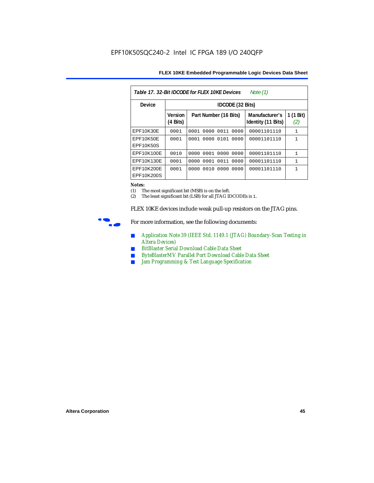| FLEX 10KE Embedded Programmable Logic Devices Data Sheet |  |
|----------------------------------------------------------|--|
|----------------------------------------------------------|--|

| Table 17, 32-Bit IDCODE for FLEX 10KE Devices<br>Note $(1)$ |                                      |                              |                                      |                  |  |  |  |  |
|-------------------------------------------------------------|--------------------------------------|------------------------------|--------------------------------------|------------------|--|--|--|--|
| Device                                                      | IDCODE (32 Bits)                     |                              |                                      |                  |  |  |  |  |
|                                                             | <b>Version</b><br>$(4 \text{ Bits})$ | Part Number (16 Bits)        | Manufacturer's<br>Identity (11 Bits) | 1 (1 Bit)<br>(2) |  |  |  |  |
| <b>EPF10K30E</b>                                            | 0001                                 | 0000<br>0011<br>0001<br>0000 | 00001101110                          | $\mathbf{1}$     |  |  |  |  |
| EPF10K50E<br>EPF10K50S                                      | 0001                                 | 0101<br>0000<br>0001<br>0000 | 00001101110                          | $\mathbf{1}$     |  |  |  |  |
| EPF10K100E                                                  | 0010                                 | 0000 0001 0000 0000          | 00001101110                          | $\mathbf{1}$     |  |  |  |  |
| EPF10K130E                                                  | 0001                                 | 0011<br>0001<br>0000<br>0000 | 00001101110                          | $\mathbf{1}$     |  |  |  |  |
| EPF10K200E<br>EPF10K200S                                    | 0001                                 | 0010<br>0000<br>0000<br>0000 | 00001101110                          | 1                |  |  |  |  |

#### *Notes:*

(1) The most significant bit (MSB) is on the left.

(2) The least significant bit (LSB) for all JTAG IDCODEs is 1.

FLEX 10KE devices include weak pull-up resistors on the JTAG pins.



For more information, see the following documents:

- *Application Note 39 (IEEE Std. 1149.1 (JTAG) Boundary-Scan Testing in Altera Devices)*
- *BitBlaster Serial Download Cable Data Sheet*
- *ByteBlasterMV Parallel Port Download Cable Data Sheet*
- *Jam Programming & Test Language Specification*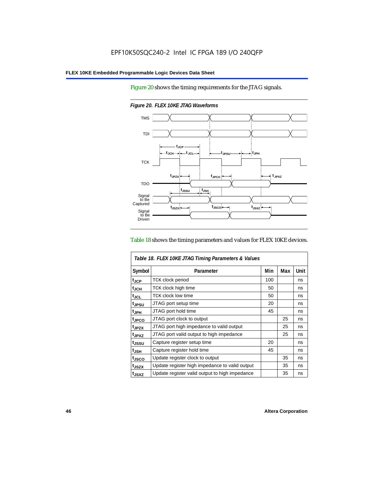Figure 20 shows the timing requirements for the JTAG signals.



*Figure 20. FLEX 10KE JTAG Waveforms*

#### Table 18 shows the timing parameters and values for FLEX 10KE devices.

| Table 18. FLEX 10KE JTAG Timing Parameters & Values |                                                |     |     |             |  |  |
|-----------------------------------------------------|------------------------------------------------|-----|-----|-------------|--|--|
| Symbol                                              | Parameter                                      | Min | Max | <b>Unit</b> |  |  |
| t <sub>JCP</sub>                                    | <b>TCK clock period</b>                        | 100 |     | ns          |  |  |
| t <sub>JCH</sub>                                    | TCK clock high time                            | 50  |     | ns          |  |  |
| $t_{JCL}$                                           | TCK clock low time                             | 50  |     | ns          |  |  |
| tjpsu                                               | JTAG port setup time                           | 20  |     | ns          |  |  |
| t <sub>JPH</sub>                                    | JTAG port hold time                            | 45  |     | ns          |  |  |
| tjpco                                               | JTAG port clock to output                      |     | 25  | ns          |  |  |
| t <sub>.IPZX</sub>                                  | JTAG port high impedance to valid output       |     | 25  | ns          |  |  |
| t <sub>JPXZ</sub>                                   | JTAG port valid output to high impedance       |     | 25  | ns          |  |  |
| tjssu                                               | Capture register setup time                    | 20  |     | ns          |  |  |
| $t_{\mathsf{JSH}}$                                  | Capture register hold time                     | 45  |     | ns          |  |  |
| tjsco                                               | Update register clock to output                |     | 35  | ns          |  |  |
| t <sub>JSZX</sub>                                   | Update register high impedance to valid output |     | 35  | ns          |  |  |
| t <sub>JSXZ</sub>                                   | Update register valid output to high impedance |     | 35  | ns          |  |  |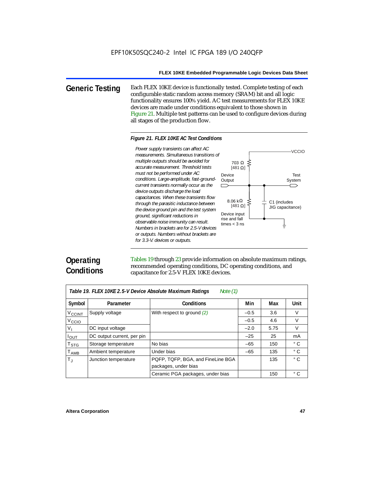**Generic Testing** Each FLEX 10KE device is functionally tested. Complete testing of each configurable static random access memory (SRAM) bit and all logic functionality ensures 100% yield. AC test measurements for FLEX 10KE devices are made under conditions equivalent to those shown in Figure 21. Multiple test patterns can be used to configure devices during all stages of the production flow.

#### *Figure 21. FLEX 10KE AC Test Conditions*

*measurements. Simultaneous transitions of multiple outputs should be avoided for accurate measurement. Threshold tests must not be performed under AC conditions. Large-amplitude, fast-groundcurrent transients normally occur as the device outputs discharge the load capacitances. When these transients flow through the parasitic inductance between the device ground pin and the test system ground, significant reductions in observable noise immunity can result. Numbers in brackets are for 2.5-V devices or outputs. Numbers without brackets are for 3.3-V. devices or outputs.*



# **Operating Conditions**

Tables 19 through 23 provide information on absolute maximum ratings, recommended operating conditions, DC operating conditions, and capacitance for 2.5-V FLEX 10KE devices.

| Table 19. FLEX 10KE 2.5-V Device Absolute Maximum Ratings<br>Note $(1)$ |                            |                                                           |        |      |              |  |  |
|-------------------------------------------------------------------------|----------------------------|-----------------------------------------------------------|--------|------|--------------|--|--|
| Symbol                                                                  | Parameter                  | <b>Conditions</b>                                         | Min    | Max  | Unit         |  |  |
| <b>V<sub>CCINT</sub></b>                                                | Supply voltage             | With respect to ground (2)                                | $-0.5$ | 3.6  | V            |  |  |
| V <sub>CCIO</sub>                                                       |                            |                                                           | $-0.5$ | 4.6  | $\vee$       |  |  |
| $V_{I}$                                                                 | DC input voltage           |                                                           | $-2.0$ | 5.75 | V            |  |  |
| $I_{\text{OUT}}$                                                        | DC output current, per pin |                                                           | $-25$  | 25   | mA           |  |  |
| T <sub>STG</sub>                                                        | Storage temperature        | No bias                                                   | $-65$  | 150  | $^{\circ}$ C |  |  |
| $T_{AMB}$                                                               | Ambient temperature        | Under bias                                                | $-65$  | 135  | $^{\circ}$ C |  |  |
| $T_{\rm J}$                                                             | Junction temperature       | PQFP, TQFP, BGA, and FineLine BGA<br>packages, under bias |        | 135  | $^{\circ}$ C |  |  |
|                                                                         |                            | Ceramic PGA packages, under bias                          |        | 150  | $^{\circ}$ C |  |  |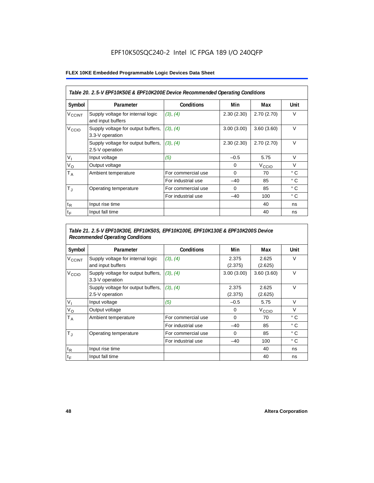# EPF10K50SQC240-2 Intel IC FPGA 189 I/O 240QFP

#### **FLEX 10KE Embedded Programmable Logic Devices Data Sheet**

| Table 20. 2.5-V EPF10K50E & EPF10K200E Device Recommended Operating Conditions |                                                        |                    |            |                   |              |  |
|--------------------------------------------------------------------------------|--------------------------------------------------------|--------------------|------------|-------------------|--------------|--|
| Symbol                                                                         | Parameter                                              | Conditions         | Min        | Max               | Unit         |  |
| <b>V<sub>CCINT</sub></b>                                                       | Supply voltage for internal logic<br>and input buffers | (3), (4)           | 2.30(2.30) | 2.70(2.70)        | $\vee$       |  |
| V <sub>CCIO</sub>                                                              | Supply voltage for output buffers,<br>3.3-V operation  | (3), (4)           | 3.00(3.00) | 3.60(3.60)        | $\vee$       |  |
|                                                                                | Supply voltage for output buffers,<br>2.5-V operation  | (3), (4)           | 2.30(2.30) | 2.70(2.70)        | $\vee$       |  |
| $V_{I}$                                                                        | Input voltage                                          | (5)                | $-0.5$     | 5.75              | $\vee$       |  |
| $V_{\rm O}$                                                                    | Output voltage                                         |                    | 0          | V <sub>ccio</sub> | $\vee$       |  |
| T <sub>A</sub>                                                                 | Ambient temperature                                    | For commercial use | 0          | 70                | °C           |  |
|                                                                                |                                                        | For industrial use | $-40$      | 85                | $^{\circ}$ C |  |
| $T_{\rm J}$                                                                    | Operating temperature                                  | For commercial use | $\Omega$   | 85                | °C           |  |
|                                                                                |                                                        | For industrial use | $-40$      | 100               | °C           |  |
| $t_{R}$                                                                        | Input rise time                                        |                    |            | 40                | ns           |  |
| $t_F$                                                                          | Input fall time                                        |                    |            | 40                | ns           |  |

## *Table 21. 2.5-V EPF10K30E, EPF10K50S, EPF10K100E, EPF10K130E & EPF10K200S Device Recommended Operating Conditions*

| Symbol                   | Parameter                                              | <b>Conditions</b>  | Min              | Max               | Unit         |
|--------------------------|--------------------------------------------------------|--------------------|------------------|-------------------|--------------|
| <b>V<sub>CCINT</sub></b> | Supply voltage for internal logic<br>and input buffers | (3), (4)           | 2.375<br>(2.375) | 2.625<br>(2.625)  | $\vee$       |
| V <sub>CCIO</sub>        | Supply voltage for output buffers,<br>3.3-V operation  | (3), (4)           | 3.00(3.00)       | 3.60(3.60)        | $\vee$       |
|                          | Supply voltage for output buffers,<br>2.5-V operation  | (3), (4)           | 2.375<br>(2.375) | 2.625<br>(2.625)  | $\vee$       |
| $V_{1}$                  | Input voltage                                          | (5)                | $-0.5$           | 5.75              | $\vee$       |
| $V_{\rm O}$              | Output voltage                                         |                    | 0                | V <sub>CCIO</sub> | $\vee$       |
| $T_A$                    | Ambient temperature                                    | For commercial use | 0                | 70                | ° C          |
|                          |                                                        | For industrial use | $-40$            | 85                | $^{\circ}$ C |
| $T_{\rm J}$              | Operating temperature                                  | For commercial use | $\mathbf 0$      | 85                | °C           |
|                          |                                                        | For industrial use | $-40$            | 100               | $^{\circ}$ C |
| $t_{R}$                  | Input rise time                                        |                    |                  | 40                | ns           |
| $t_F$                    | Input fall time                                        |                    |                  | 40                | ns           |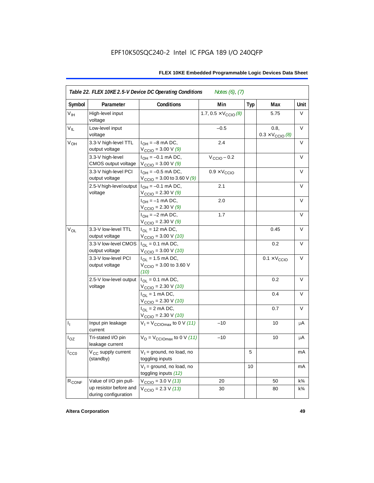| Symbol            | Parameter                                      | <b>Conditions</b>                                                   | Min                                   | <b>Typ</b> | Max                                      | Unit           |
|-------------------|------------------------------------------------|---------------------------------------------------------------------|---------------------------------------|------------|------------------------------------------|----------------|
| V <sub>IH</sub>   | High-level input<br>voltage                    |                                                                     | 1.7, $0.5 \times V_{\text{CCIO}}$ (8) |            | 5.75                                     | V              |
| $V_{IL}$          | Low-level input<br>voltage                     |                                                                     | $-0.5$                                |            | 0.8,<br>$0.3 \times V_{\text{CCIO}}$ (8) | V              |
| V <sub>OH</sub>   | 3.3-V high-level TTL<br>output voltage         | $I_{OH} = -8$ mA DC,<br>$V_{\text{CCIO}} = 3.00 \text{ V} (9)$      | 2.4                                   |            |                                          | V              |
|                   | 3.3-V high-level<br>CMOS output voltage        | $I_{OH} = -0.1$ mA DC,<br>$V_{\text{CCIO}} = 3.00 V (9)$            | $V_{\text{CCIO}} - 0.2$               |            |                                          | V              |
|                   | 3.3-V high-level PCI<br>output voltage         | $I_{OH} = -0.5$ mA DC,<br>$V_{\text{CCIO}} = 3.00$ to 3.60 V (9)    | $0.9 \times V_{\text{CCIO}}$          |            |                                          | $\vee$         |
|                   | 2.5-V high-level output<br>voltage             | $I_{OH} = -0.1$ mA DC,<br>$V_{\text{CCIO}} = 2.30 \text{ V} (9)$    | 2.1                                   |            |                                          | V              |
|                   |                                                | $I_{OH} = -1$ mA DC,<br>$V_{\text{CCIO}} = 2.30 \text{ V} (9)$      | 2.0                                   |            |                                          | V              |
|                   |                                                | $I_{OH} = -2$ mA DC,<br>$V_{\text{CCIO}} = 2.30 \text{ V} (9)$      | 1.7                                   |            |                                          | $\vee$         |
| $V_{OL}$          | 3.3-V low-level TTL<br>output voltage          | $I_{\Omega}$ = 12 mA DC,<br>$V_{\text{CCIO}} = 3.00 V (10)$         |                                       |            | 0.45                                     | $\vee$         |
|                   | 3.3-V low-level CMOS<br>output voltage         | $I_{OL} = 0.1$ mA DC,<br>$V_{\text{CCIO}} = 3.00 \text{ V} (10)$    |                                       |            | 0.2                                      | $\vee$         |
|                   | 3.3-V low-level PCI<br>output voltage          | $I_{OL}$ = 1.5 mA DC,<br>$V_{\text{CGIO}} = 3.00$ to 3.60 V<br>(10) |                                       |            | $0.1 \times V_{\text{CCIO}}$             | V              |
|                   | 2.5-V low-level output<br>voltage              | $I_{OL} = 0.1$ mA DC,<br>$V_{\text{CCIO}} = 2.30 V (10)$            |                                       |            | 0.2                                      | $\vee$         |
|                   |                                                | $I_{OL}$ = 1 mA DC,<br>$V_{\text{CCIO}} = 2.30 V (10)$              |                                       |            | 0.4                                      | $\vee$         |
|                   |                                                | $I_{OL}$ = 2 mA DC,<br>$V_{\text{CCIO}} = 2.30 V (10)$              |                                       |            | 0.7                                      | $\vee$         |
| $I_1$             | Input pin leakage<br>current                   | $V_1 = V_{\text{CCIOMax}}$ to 0 V (11)                              | $-10$                                 |            | 10                                       | μA             |
| $I_{OZ}$          | Tri-stated I/O pin<br>leakage current          | $V_O = V_{CClOmax}$ to 0 V (11)                                     | $-10$                                 |            | 10                                       | μA             |
| $I_{CC0}$         | V <sub>CC</sub> supply current<br>(standby)    | $V_1$ = ground, no load, no<br>toggling inputs                      |                                       | 5          |                                          | mA             |
|                   |                                                | $V_1$ = ground, no load, no<br>toggling inputs (12)                 |                                       | 10         |                                          | mA             |
| R <sub>CONF</sub> | Value of I/O pin pull-                         | $V_{\text{CCIO}} = 3.0 V (13)$                                      | 20                                    |            | 50                                       | $k\frac{3}{4}$ |
|                   | up resistor before and<br>during configuration | $V_{\text{CCIO}} = 2.3 \text{ V} (13)$                              | 30                                    |            | 80                                       | $k\frac{3}{4}$ |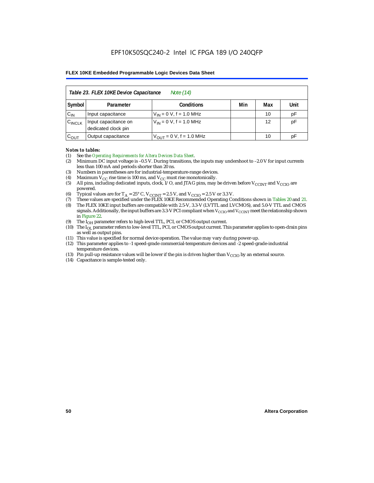| Table 23. FLEX 10KE Device Capacitance<br>Note (14) |                                             |                               |     |     |      |  |  |  |
|-----------------------------------------------------|---------------------------------------------|-------------------------------|-----|-----|------|--|--|--|
| Symbol                                              | Parameter                                   | <b>Conditions</b>             | Min | Max | Unit |  |  |  |
| $C_{IN}$                                            | Input capacitance                           | $V_{IN} = 0 V$ , f = 1.0 MHz  |     | 10  | pF   |  |  |  |
| $C_{\text{INCLK}}$                                  | Input capacitance on<br>dedicated clock pin | $V_{IN} = 0 V$ , f = 1.0 MHz  |     | 12  | pF   |  |  |  |
| $C_{OUT}$                                           | Output capacitance                          | $V_{OUT} = 0 V$ , f = 1.0 MHz |     | 10  | рF   |  |  |  |

#### *Notes to tables:*

- (1) See the *Operating Requirements for Altera Devices Data Sheet*.
- (2) Minimum DC input voltage is –0.5 V. During transitions, the inputs may undershoot to –2.0 V for input currents less than 100 mA and periods shorter than 20 ns.
- (3) Numbers in parentheses are for industrial-temperature-range devices.
- (4) Maximum  $V_{CC}$  rise time is 100 ms, and  $V_{CC}$  must rise monotonically.<br>(5) All pins, including dedicated inputs, clock, I/O, and JTAG pins, may
- All pins, including dedicated inputs, clock, I/O, and JTAG pins, may be driven before  $V_{CCTNT}$  and  $V_{CCTO}$  are powered.
- (6) Typical values are for  $T_A = 25^\circ$  C,  $V_{CClNT} = 2.5$  V, and  $V_{CClO} = 2.5$  V or 3.3 V.<br>(7) These values are specified under the FLEX 10KE Recommended Operating Co
- (7) These values are specified under the FLEX 10KE Recommended Operating Conditions shown in Tables 20 and 21.<br>(8) The FLEX 10KE input buffers are compatible with 2.5-V. 3.3-V (LVTTL and LVCMOS), and 5.0-V TTL and CMOS (8) The FLEX 10KE input buffers are compatible with 2.5-V, 3.3-V (LVTTL and LVCMOS), and 5.0-V TTL and CMOS
- signals. Additionally, the input buffers are 3.3-V PCI compliant when  $V_{\rm CCD}$  and  $V_{\rm CCINT}$  meet the relationship shown in Figure 22.
- (9) The  $I<sub>OH</sub>$  parameter refers to high-level TTL, PCI, or CMOS output current.
- (10) The IOL parameter refers to low-level TTL, PCI, or CMOS output current. This parameter applies to open-drain pins as well as output pins.
- (11) This value is specified for normal device operation. The value may vary during power-up.
- (12) This parameter applies to -1 speed-grade commercial-temperature devices and -2 speed-grade-industrial temperature devices.
- (13) Pin pull-up resistance values will be lower if the pin is driven higher than  $V_{CCIO}$  by an external source.
- (14) Capacitance is sample-tested only.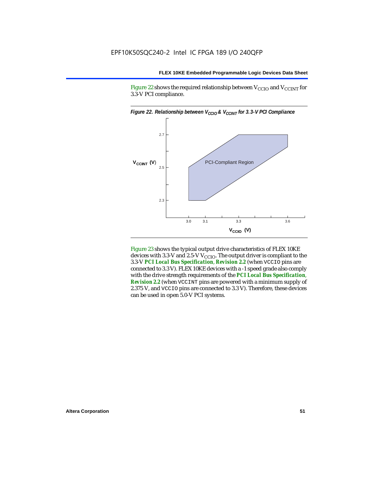Figure 22 shows the required relationship between  $V_{\text{CCIO}}$  and  $V_{\text{CCINT}}$  for 3.3-V PCI compliance.



Figure 23 shows the typical output drive characteristics of FLEX 10KE devices with 3.3-V and 2.5-V  $V_{\text{CCIO}}$ . The output driver is compliant to the 3.3-V *PCI Local Bus Specification*, *Revision 2.2* (when VCCIO pins are connected to 3.3 V). FLEX 10KE devices with a -1 speed grade also comply with the drive strength requirements of the *PCI Local Bus Specification*, *Revision 2.2* (when VCCINT pins are powered with a minimum supply of 2.375 V, and VCCIO pins are connected to 3.3 V). Therefore, these devices can be used in open 5.0-V PCI systems.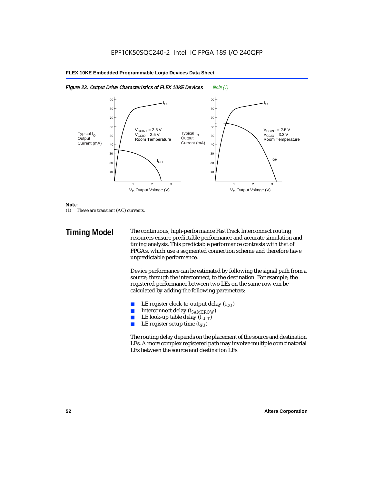



#### *Note:*

(1) These are transient (AC) currents.

**Timing Model** The continuous, high-performance FastTrack Interconnect routing resources ensure predictable performance and accurate simulation and timing analysis. This predictable performance contrasts with that of FPGAs, which use a segmented connection scheme and therefore have unpredictable performance.

> Device performance can be estimated by following the signal path from a source, through the interconnect, to the destination. For example, the registered performance between two LEs on the same row can be calculated by adding the following parameters:

- LE register clock-to-output delay  $(t_{CO})$
- **■** Interconnect delay  $(t_{SAMEROW})$ <br> **■** I.E look-up table delay  $(t_{LUT})$
- LE look-up table delay  $(t_{LUT})$
- LE register setup time  $(t_{SI})$

The routing delay depends on the placement of the source and destination LEs. A more complex registered path may involve multiple combinatorial LEs between the source and destination LEs.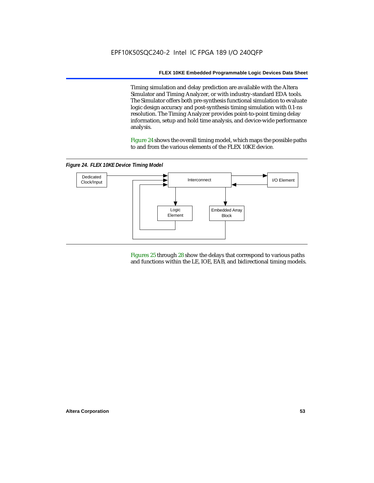Timing simulation and delay prediction are available with the Altera Simulator and Timing Analyzer, or with industry-standard EDA tools. The Simulator offers both pre-synthesis functional simulation to evaluate logic design accuracy and post-synthesis timing simulation with 0.1-ns resolution. The Timing Analyzer provides point-to-point timing delay information, setup and hold time analysis, and device-wide performance analysis.

Figure 24 shows the overall timing model, which maps the possible paths to and from the various elements of the FLEX 10KE device.

*Figure 24. FLEX 10KE Device Timing Model*



Figures 25 through 28 show the delays that correspond to various paths and functions within the LE, IOE, EAB, and bidirectional timing models.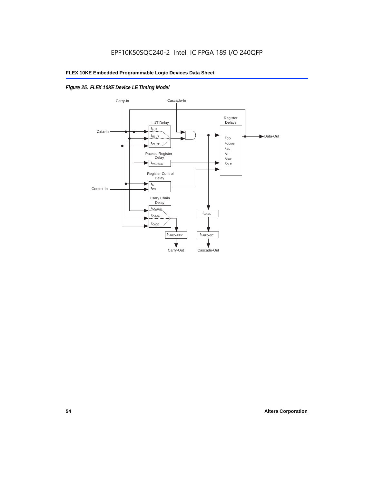# *Figure 25. FLEX 10KE Device LE Timing Model*

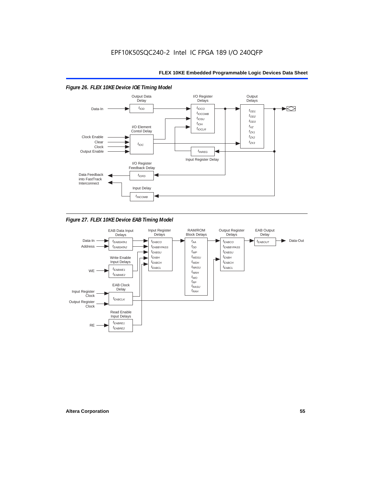

*Figure 27. FLEX 10KE Device EAB Timing Model*

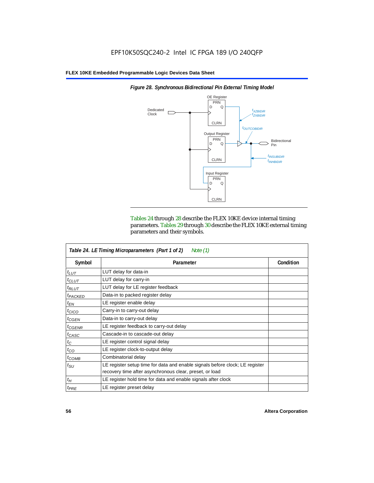

*Figure 28. Synchronous Bidirectional Pin External Timing Model*

Tables 24 through 28 describe the FLEX 10KE device internal timing parameters. Tables 29 through 30 describe the FLEX 10KE external timing parameters and their symbols.

| Table 24. LE Timing Microparameters (Part 1 of 2)<br>Note $(1)$ |                                                                                                                                         |           |  |  |  |  |
|-----------------------------------------------------------------|-----------------------------------------------------------------------------------------------------------------------------------------|-----------|--|--|--|--|
| Symbol                                                          | Parameter                                                                                                                               | Condition |  |  |  |  |
| $t_{LUT}$                                                       | LUT delay for data-in                                                                                                                   |           |  |  |  |  |
| $t_{CLUT}$                                                      | LUT delay for carry-in                                                                                                                  |           |  |  |  |  |
| $t_{RLUT}$                                                      | LUT delay for LE register feedback                                                                                                      |           |  |  |  |  |
| <sup>t</sup> PACKED                                             | Data-in to packed register delay                                                                                                        |           |  |  |  |  |
| $t_{EN}$                                                        | LE register enable delay                                                                                                                |           |  |  |  |  |
| $t_{CICO}$                                                      | Carry-in to carry-out delay                                                                                                             |           |  |  |  |  |
| $t_{GEN}$                                                       | Data-in to carry-out delay                                                                                                              |           |  |  |  |  |
| ${}^t$ CGENR                                                    | LE register feedback to carry-out delay                                                                                                 |           |  |  |  |  |
| $t_{CASC}$                                                      | Cascade-in to cascade-out delay                                                                                                         |           |  |  |  |  |
| $t_C$                                                           | LE register control signal delay                                                                                                        |           |  |  |  |  |
| $t_{CO}$                                                        | LE register clock-to-output delay                                                                                                       |           |  |  |  |  |
| $t_{COMB}$                                                      | Combinatorial delay                                                                                                                     |           |  |  |  |  |
| $t_{\rm SU}$                                                    | LE register setup time for data and enable signals before clock; LE register<br>recovery time after asynchronous clear, preset, or load |           |  |  |  |  |
| $t_H$                                                           | LE register hold time for data and enable signals after clock                                                                           |           |  |  |  |  |
| $t_{PRE}$                                                       | LE register preset delay                                                                                                                |           |  |  |  |  |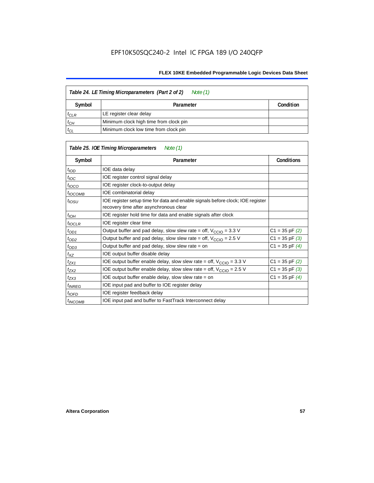| Table 24. LE Timing Microparameters (Part 2 of 2)<br>Note (1) |                                        |  |  |  |  |
|---------------------------------------------------------------|----------------------------------------|--|--|--|--|
| Symbol                                                        | Condition<br>Parameter                 |  |  |  |  |
| $t_{CLR}$                                                     | LE register clear delay                |  |  |  |  |
| $t_{CH}$                                                      | Minimum clock high time from clock pin |  |  |  |  |
| $t_{CL}$                                                      | Minimum clock low time from clock pin  |  |  |  |  |

|                     | Table 25. IOE Timing Microparameters<br>Note (1)                                                                         |                    |  |
|---------------------|--------------------------------------------------------------------------------------------------------------------------|--------------------|--|
| Symbol              | Parameter                                                                                                                | <b>Conditions</b>  |  |
| $t$ <sub>IOD</sub>  | IOE data delay                                                                                                           |                    |  |
| $t_{\text{IOC}}$    | IOE register control signal delay                                                                                        |                    |  |
| $t_{\text{IOCO}}$   | IOE register clock-to-output delay                                                                                       |                    |  |
| <sup>t</sup> іОСОМВ | IOE combinatorial delay                                                                                                  |                    |  |
| $t_{IOSU}$          | IOE register setup time for data and enable signals before clock; IOE register<br>recovery time after asynchronous clear |                    |  |
| $t_{IOH}$           | IOE register hold time for data and enable signals after clock                                                           |                    |  |
| $t_{IOCLR}$         | IOE register clear time                                                                                                  |                    |  |
| $t_{OD1}$           | Output buffer and pad delay, slow slew rate = off, $V_{\text{CCIO}} = 3.3 \text{ V}$                                     | $C1 = 35$ pF $(2)$ |  |
| $t_{OD2}$           | Output buffer and pad delay, slow slew rate = off, $V_{\text{CCIO}} = 2.5$ V                                             | $C1 = 35$ pF $(3)$ |  |
| $t_{OD3}$           | Output buffer and pad delay, slow slew rate = on                                                                         | $C1 = 35$ pF $(4)$ |  |
| $t_{XZ}$            | IOE output buffer disable delay                                                                                          |                    |  |
| $t_{ZX1}$           | IOE output buffer enable delay, slow slew rate = off, $V_{\text{CCIO}} = 3.3$ V                                          | $C1 = 35$ pF $(2)$ |  |
| t <sub>ZX2</sub>    | IOE output buffer enable delay, slow slew rate = off, $V_{\text{CCIO}} = 2.5 V$                                          | $C1 = 35$ pF $(3)$ |  |
| $t_{ZX3}$           | IOE output buffer enable delay, slow slew rate = on                                                                      | $C1 = 35$ pF $(4)$ |  |
| <sup>t</sup> INREG  | IOE input pad and buffer to IOE register delay                                                                           |                    |  |
| $t_{IOFD}$          | IOE register feedback delay                                                                                              |                    |  |
| <sup>t</sup> INCOMB | IOE input pad and buffer to FastTrack Interconnect delay                                                                 |                    |  |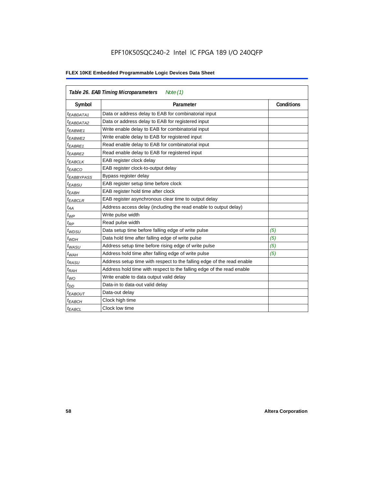# EPF10K50SQC240-2 Intel IC FPGA 189 I/O 240QFP

| Table 26. EAB Timing Microparameters<br>Note $(1)$ |                                                                        |                   |  |  |  |  |
|----------------------------------------------------|------------------------------------------------------------------------|-------------------|--|--|--|--|
| Symbol                                             | Parameter                                                              | <b>Conditions</b> |  |  |  |  |
| $t_{EABDATA1}$                                     | Data or address delay to EAB for combinatorial input                   |                   |  |  |  |  |
| <sup>t</sup> EABDATA2                              | Data or address delay to EAB for registered input                      |                   |  |  |  |  |
| t <sub>EABWE1</sub>                                | Write enable delay to EAB for combinatorial input                      |                   |  |  |  |  |
| t <sub>EABWE2</sub>                                | Write enable delay to EAB for registered input                         |                   |  |  |  |  |
| <sup>t</sup> EABRE1                                | Read enable delay to EAB for combinatorial input                       |                   |  |  |  |  |
| $t_{EABRE2}$                                       | Read enable delay to EAB for registered input                          |                   |  |  |  |  |
| $t_{EABCLK}$                                       | EAB register clock delay                                               |                   |  |  |  |  |
| $t_{EABCO}$                                        | EAB register clock-to-output delay                                     |                   |  |  |  |  |
| <sup>t</sup> EABBYPASS                             | Bypass register delay                                                  |                   |  |  |  |  |
| <sup>t</sup> EABSU                                 | EAB register setup time before clock                                   |                   |  |  |  |  |
| <sup>t</sup> EABH                                  | EAB register hold time after clock                                     |                   |  |  |  |  |
| <sup>t</sup> EABCLR                                | EAB register asynchronous clear time to output delay                   |                   |  |  |  |  |
| $t_{AA}$                                           | Address access delay (including the read enable to output delay)       |                   |  |  |  |  |
| $t_{WP}$                                           | Write pulse width                                                      |                   |  |  |  |  |
| $t_{RP}$                                           | Read pulse width                                                       |                   |  |  |  |  |
| $t_{WDSU}$                                         | Data setup time before falling edge of write pulse                     | (5)               |  |  |  |  |
| $t_{WDH}$                                          | Data hold time after falling edge of write pulse                       | (5)               |  |  |  |  |
| $t_{WASU}$                                         | Address setup time before rising edge of write pulse                   | (5)               |  |  |  |  |
| $t_{WAH}$                                          | Address hold time after falling edge of write pulse                    | (5)               |  |  |  |  |
| t <sub>RASU</sub>                                  | Address setup time with respect to the falling edge of the read enable |                   |  |  |  |  |
| $t_{RAH}$                                          | Address hold time with respect to the falling edge of the read enable  |                   |  |  |  |  |
| $t_{WO}$                                           | Write enable to data output valid delay                                |                   |  |  |  |  |
| $t_{DD}$                                           | Data-in to data-out valid delay                                        |                   |  |  |  |  |
| <sup>t</sup> EABOUT                                | Data-out delay                                                         |                   |  |  |  |  |
| <sup>t</sup> EABCH                                 | Clock high time                                                        |                   |  |  |  |  |
| <sup>t</sup> EABCL                                 | Clock low time                                                         |                   |  |  |  |  |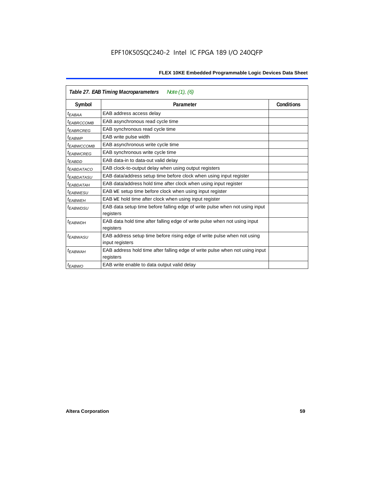| Table 27. EAB Timing Macroparameters<br>Note (1), (6) |                                                                                           |  |  |  |  |  |
|-------------------------------------------------------|-------------------------------------------------------------------------------------------|--|--|--|--|--|
| Symbol                                                | <b>Conditions</b><br>Parameter                                                            |  |  |  |  |  |
| <sup>t</sup> EABAA                                    | EAB address access delay                                                                  |  |  |  |  |  |
| <sup>t</sup> EABRCCOMB                                | EAB asynchronous read cycle time                                                          |  |  |  |  |  |
| <sup>t</sup> EABRCREG                                 | EAB synchronous read cycle time                                                           |  |  |  |  |  |
| <sup>t</sup> EABWP                                    | EAB write pulse width                                                                     |  |  |  |  |  |
| <sup>t</sup> ЕАВWССОМВ                                | EAB asynchronous write cycle time                                                         |  |  |  |  |  |
| <sup>t</sup> EABWCREG                                 | EAB synchronous write cycle time                                                          |  |  |  |  |  |
| <sup>t</sup> EABDD                                    | EAB data-in to data-out valid delay                                                       |  |  |  |  |  |
| <sup>t</sup> EABDATACO                                | EAB clock-to-output delay when using output registers                                     |  |  |  |  |  |
| <sup>t</sup> EABDATASU                                | EAB data/address setup time before clock when using input register                        |  |  |  |  |  |
| <sup>t</sup> EABDATAH                                 | EAB data/address hold time after clock when using input register                          |  |  |  |  |  |
| <sup>t</sup> EABWESU                                  | EAB WE setup time before clock when using input register                                  |  |  |  |  |  |
| t <sub>EABWEH</sub>                                   | EAB WE hold time after clock when using input register                                    |  |  |  |  |  |
| <sup>t</sup> EABWDSU                                  | EAB data setup time before falling edge of write pulse when not using input               |  |  |  |  |  |
|                                                       | registers                                                                                 |  |  |  |  |  |
| t <sub>EABWDH</sub>                                   | EAB data hold time after falling edge of write pulse when not using input                 |  |  |  |  |  |
|                                                       | registers                                                                                 |  |  |  |  |  |
| t <sub>EABWASU</sub>                                  | EAB address setup time before rising edge of write pulse when not using                   |  |  |  |  |  |
|                                                       | input registers                                                                           |  |  |  |  |  |
| t <sub>EABWAH</sub>                                   | EAB address hold time after falling edge of write pulse when not using input<br>registers |  |  |  |  |  |
| t <sub>EABWO</sub>                                    | EAB write enable to data output valid delay                                               |  |  |  |  |  |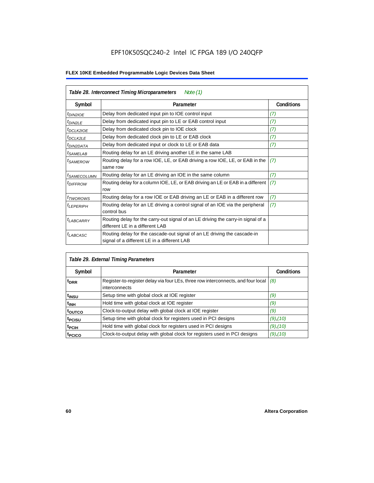# EPF10K50SQC240-2 Intel IC FPGA 189 I/O 240QFP

| Table 28. Interconnect Timing Microparameters<br>Note $(1)$ |                                                                                                                         |                   |  |  |  |  |
|-------------------------------------------------------------|-------------------------------------------------------------------------------------------------------------------------|-------------------|--|--|--|--|
| Symbol                                                      | Parameter                                                                                                               | <b>Conditions</b> |  |  |  |  |
| $tD$ IN2IOE                                                 | Delay from dedicated input pin to IOE control input                                                                     | (7)               |  |  |  |  |
| $t_{DIN2LE}$                                                | Delay from dedicated input pin to LE or EAB control input                                                               | (7)               |  |  |  |  |
| t <sub>DCLK2IOE</sub>                                       | Delay from dedicated clock pin to IOE clock                                                                             | (7)               |  |  |  |  |
| $t_{DCLK2LE}$                                               | Delay from dedicated clock pin to LE or EAB clock                                                                       | (7)               |  |  |  |  |
| <sup>t</sup> DIN2DATA                                       | Delay from dedicated input or clock to LE or EAB data                                                                   | (7)               |  |  |  |  |
| <sup>t</sup> SAMELAB                                        | Routing delay for an LE driving another LE in the same LAB                                                              |                   |  |  |  |  |
| <i>t</i> SAMEROW                                            | Routing delay for a row IOE, LE, or EAB driving a row IOE, LE, or EAB in the<br>same row                                | (7)               |  |  |  |  |
| <sup>t</sup> SAMECOLUMN                                     | Routing delay for an LE driving an IOE in the same column                                                               | (7)               |  |  |  |  |
| <i>t<sub>DIFFROW</sub></i>                                  | Routing delay for a column IOE, LE, or EAB driving an LE or EAB in a different<br>row                                   | (7)               |  |  |  |  |
| <i>t</i> <sub>TWOROWS</sub>                                 | Routing delay for a row IOE or EAB driving an LE or EAB in a different row                                              | (7)               |  |  |  |  |
| <sup>t</sup> LEPERIPH                                       | Routing delay for an LE driving a control signal of an IOE via the peripheral<br>control bus                            | (7)               |  |  |  |  |
| t <sub>LABCARRY</sub>                                       | Routing delay for the carry-out signal of an LE driving the carry-in signal of a<br>different LE in a different LAB     |                   |  |  |  |  |
| $t_{LABCASC}$                                               | Routing delay for the cascade-out signal of an LE driving the cascade-in<br>signal of a different LE in a different LAB |                   |  |  |  |  |

| Table 29. External Timing Parameters |                                                                                                   |                   |  |  |  |  |  |
|--------------------------------------|---------------------------------------------------------------------------------------------------|-------------------|--|--|--|--|--|
| Symbol                               | Parameter                                                                                         | <b>Conditions</b> |  |  |  |  |  |
| <sup>t</sup> DRR                     | Register-to-register delay via four LEs, three row interconnects, and four local<br>interconnects | (8)               |  |  |  |  |  |
| t <sub>insu</sub>                    | Setup time with global clock at IOE register                                                      | (9)               |  |  |  |  |  |
| $t_{\rm INH}$                        | Hold time with global clock at IOE register                                                       | (9)               |  |  |  |  |  |
| toutco                               | Clock-to-output delay with global clock at IOE register                                           | (9)               |  |  |  |  |  |
| t <sub>PCISU</sub>                   | Setup time with global clock for registers used in PCI designs                                    | $(9)$ , $(10)$    |  |  |  |  |  |
| <sup>t</sup> PCIH                    | Hold time with global clock for registers used in PCI designs                                     | $(9)$ , $(10)$    |  |  |  |  |  |
| <sup>T</sup> PCICO                   | Clock-to-output delay with global clock for registers used in PCI designs                         | $(9)$ , $(10)$    |  |  |  |  |  |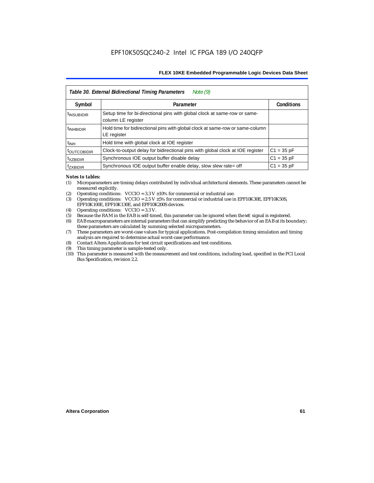| Table 30. External Bidirectional Timing Parameters<br>Note $(9)$ |                                                                                                 |                   |  |  |  |  |  |
|------------------------------------------------------------------|-------------------------------------------------------------------------------------------------|-------------------|--|--|--|--|--|
| Symbol                                                           | Parameter                                                                                       | <b>Conditions</b> |  |  |  |  |  |
| <sup>t</sup> INSUBIDIR                                           | Setup time for bi-directional pins with global clock at same-row or same-<br>column LE register |                   |  |  |  |  |  |
| <sup>t</sup> INHBIDIR                                            | Hold time for bidirectional pins with global clock at same-row or same-column<br>LE register    |                   |  |  |  |  |  |
| <sup>t</sup> INH                                                 | Hold time with global clock at IOE register                                                     |                   |  |  |  |  |  |
| <b><i>LOUTCOBIDIR</i></b>                                        | Clock-to-output delay for bidirectional pins with global clock at IOE register                  | $C1 = 35 pF$      |  |  |  |  |  |
| <sup>t</sup> xzbidir                                             | Synchronous IOE output buffer disable delay                                                     | $C1 = 35 pF$      |  |  |  |  |  |
| <sup>T</sup> ZXBIDIR                                             | Synchronous IOE output buffer enable delay, slow slew rate= off                                 | $C1 = 35 pF$      |  |  |  |  |  |

#### *Notes to tables:*

- (1) Microparameters are timing delays contributed by individual architectural elements. These parameters cannot be measured explicitly.
- (2) Operating conditions:  $VCCIO = 3.3 V ±10%$  for commercial or industrial use.<br>(3) Operating conditions:  $VCCIO = 2.5 V ±5%$  for commercial or industrial use in
- Operating conditions: VCCIO =  $2.5$  V  $\pm 5$ % for commercial or industrial use in EPF10K30E, EPF10K50S, EPF10K100E, EPF10K130E, and EPF10K200S devices.
- (4) Operating conditions: VCCIO = 3.3 V.
- (5) Because the RAM in the EAB is self-timed, this parameter can be ignored when the WE signal is registered.<br>(6) EAB macroparameters are internal parameters that can simplify predicting the behavior of an EAB at its bor
- EAB macroparameters are internal parameters that can simplify predicting the behavior of an EAB at its boundary; these parameters are calculated by summing selected microparameters.
- (7) These parameters are worst-case values for typical applications. Post-compilation timing simulation and timing analysis are required to determine actual worst-case performance.
- (8) Contact Altera Applications for test circuit specifications and test conditions.
- (9) This timing parameter is sample-tested only.
- (10) This parameter is measured with the measurement and test conditions, including load, specified in the PCI Local Bus Specification, revision 2.2.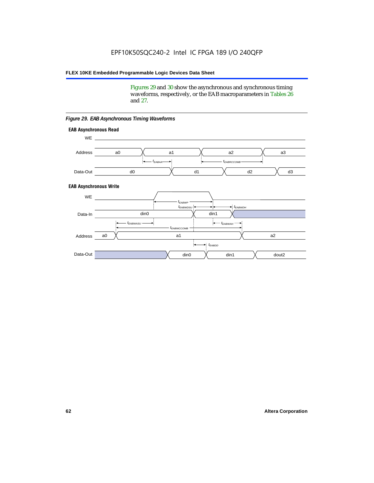Figures 29 and 30 show the asynchronous and synchronous timing waveforms, respectively, or the EAB macroparameters in Tables 26 and 27.

**EAB Asynchronous Write EAB Asynchronous Read** WE. a0 d0 d3  $t_{EABRCCOMB}$ a1 *《*、 a2 *《*、 a3 d2  $t_{FABA}$ d1 Address Data-Out WE a0 din1  $\chi$  dout2  $t_{EABDD}$ a1 a2 din1 din0  $t_{EABWCCOMB}$  $t_{EABWASU}$   $\longrightarrow$  $t_{EABWDSU}$  +  $\longrightarrow$   $t_{EABWDH}$  $t_{EABWP}$ Data-In din0 Address Data-Out

#### *Figure 29. EAB Asynchronous Timing Waveforms*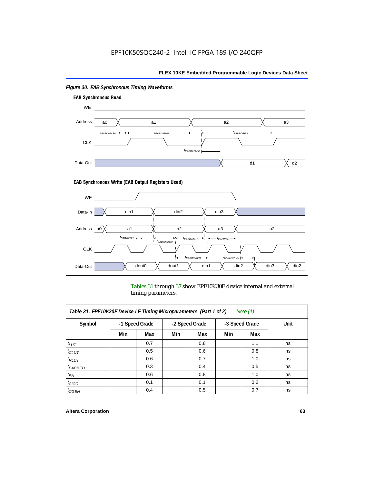

# *Figure 30. EAB Synchronous Timing Waveforms*

### **EAB Synchronous Write (EAB Output Registers Used)**



Tables 31 through 37 show EPF10K30E device internal and external timing parameters.

| Table 31. EPF10K30E Device LE Timing Microparameters (Part 1 of 2)<br>Note $(1)$ |     |                |     |                |                |     |    |  |      |
|----------------------------------------------------------------------------------|-----|----------------|-----|----------------|----------------|-----|----|--|------|
| Symbol                                                                           |     | -1 Speed Grade |     | -2 Speed Grade | -3 Speed Grade |     |    |  | Unit |
|                                                                                  | Min | Max            | Min | Max            | Min            | Max |    |  |      |
| $t_{LUT}$                                                                        |     | 0.7            |     | 0.8            |                | 1.1 | ns |  |      |
| $t_{CLUT}$                                                                       |     | 0.5            |     | 0.6            |                | 0.8 | ns |  |      |
| $t_{RLUT}$                                                                       |     | 0.6            |     | 0.7            |                | 1.0 | ns |  |      |
| $t_{PACKED}$                                                                     |     | 0.3            |     | 0.4            |                | 0.5 | ns |  |      |
| $t_{EN}$                                                                         |     | 0.6            |     | 0.8            |                | 1.0 | ns |  |      |
| $t_{CICO}$                                                                       |     | 0.1            |     | 0.1            |                | 0.2 | ns |  |      |
| $t_{GEN}$                                                                        |     | 0.4            |     | 0.5            |                | 0.7 | ns |  |      |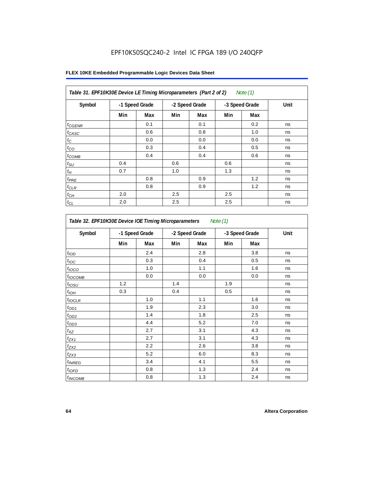# EPF10K50SQC240-2 Intel IC FPGA 189 I/O 240QFP

| Table 31. EPF10K30E Device LE Timing Microparameters (Part 2 of 2)<br>Note (1) |     |                |     |                |                |     |      |  |
|--------------------------------------------------------------------------------|-----|----------------|-----|----------------|----------------|-----|------|--|
| Symbol                                                                         |     | -1 Speed Grade |     | -2 Speed Grade | -3 Speed Grade |     | Unit |  |
|                                                                                | Min | Max            | Min | Max            | Min            | Max |      |  |
| $t_{GENR}$                                                                     |     | 0.1            |     | 0.1            |                | 0.2 | ns   |  |
| $t_{CASC}$                                                                     |     | 0.6            |     | 0.8            |                | 1.0 | ns   |  |
| $t_C$                                                                          |     | 0.0            |     | 0.0            |                | 0.0 | ns   |  |
| $t_{CO}$                                                                       |     | 0.3            |     | 0.4            |                | 0.5 | ns   |  |
| $t_{COMB}$                                                                     |     | 0.4            |     | 0.4            |                | 0.6 | ns   |  |
| $t_{\text{SU}}$                                                                | 0.4 |                | 0.6 |                | 0.6            |     | ns   |  |
| $t_H\,$                                                                        | 0.7 |                | 1.0 |                | 1.3            |     | ns   |  |
| $t_{PRE}$                                                                      |     | 0.8            |     | 0.9            |                | 1.2 | ns   |  |
| $t_{CLR}$                                                                      |     | 0.8            |     | 0.9            |                | 1.2 | ns   |  |
| $t_{\mathit{CH}}$                                                              | 2.0 |                | 2.5 |                | 2.5            |     | ns   |  |
| $t_{CL}$                                                                       | 2.0 |                | 2.5 |                | 2.5            |     | ns   |  |

| Table 32. EPF10K30E Device IOE Timing Microparameters<br>Note $(1)$ |                |     |                |     |                |     |      |  |
|---------------------------------------------------------------------|----------------|-----|----------------|-----|----------------|-----|------|--|
| Symbol                                                              | -1 Speed Grade |     | -2 Speed Grade |     | -3 Speed Grade |     | Unit |  |
|                                                                     | Min            | Max | Min            | Max | Min            | Max |      |  |
| t <sub>IOD</sub>                                                    |                | 2.4 |                | 2.8 |                | 3.8 | ns   |  |
| $t_{\text{IOC}}$                                                    |                | 0.3 |                | 0.4 |                | 0.5 | ns   |  |
| t <sub>IOCO</sub>                                                   |                | 1.0 |                | 1.1 |                | 1.6 | ns   |  |
| $t_{IOCOMB}$                                                        |                | 0.0 |                | 0.0 |                | 0.0 | ns   |  |
| $t_{IOSU}$                                                          | 1.2            |     | 1.4            |     | 1.9            |     | ns   |  |
| $t_{IOH}$                                                           | 0.3            |     | 0.4            |     | 0.5            |     | ns   |  |
| $t_{IOCLR}$                                                         |                | 1.0 |                | 1.1 |                | 1.6 | ns   |  |
| $t_{OD1}$                                                           |                | 1.9 |                | 2.3 |                | 3.0 | ns   |  |
| $t_{OD2}$                                                           |                | 1.4 |                | 1.8 |                | 2.5 | ns   |  |
| $t_{OD3}$                                                           |                | 4.4 |                | 5.2 |                | 7.0 | ns   |  |
| $t_{\mathsf{XZ}}$                                                   |                | 2.7 |                | 3.1 |                | 4.3 | ns   |  |
| $t_{ZX1}$                                                           |                | 2.7 |                | 3.1 |                | 4.3 | ns   |  |
| $t_{ZX2}$                                                           |                | 2.2 |                | 2.6 |                | 3.8 | ns   |  |
| $t_{ZX3}$                                                           |                | 5.2 |                | 6.0 |                | 8.3 | ns   |  |
| <i>t</i> <sub>INREG</sub>                                           |                | 3.4 |                | 4.1 |                | 5.5 | ns   |  |
| $t_{IOFD}$                                                          |                | 0.8 |                | 1.3 |                | 2.4 | ns   |  |
| $t_{INCOMB}$                                                        |                | 0.8 |                | 1.3 |                | 2.4 | ns   |  |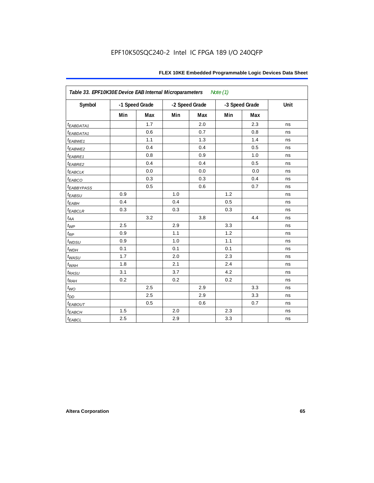| Table 33. EPF10K30E Device EAB Internal Microparameters<br>Note $(1)$ |     |                |     |                |     |                |      |  |  |
|-----------------------------------------------------------------------|-----|----------------|-----|----------------|-----|----------------|------|--|--|
| Symbol                                                                |     | -1 Speed Grade |     | -2 Speed Grade |     | -3 Speed Grade | Unit |  |  |
|                                                                       | Min | Max            | Min | Max            | Min | <b>Max</b>     |      |  |  |
| <i>EABDATA1</i>                                                       |     | 1.7            |     | 2.0            |     | 2.3            | ns   |  |  |
| $t_{EABDATA1}$                                                        |     | 0.6            |     | 0.7            |     | 0.8            | ns   |  |  |
| t <sub>EABWE1</sub>                                                   |     | 1.1            |     | 1.3            |     | 1.4            | ns   |  |  |
| t <sub>EABWE2</sub>                                                   |     | 0.4            |     | 0.4            |     | 0.5            | ns   |  |  |
| t <sub>EABRE1</sub>                                                   |     | 0.8            |     | 0.9            |     | 1.0            | ns   |  |  |
| t <sub>EABRE2</sub>                                                   |     | 0.4            |     | 0.4            |     | 0.5            | ns   |  |  |
| $t_{EABCLK}$                                                          |     | 0.0            |     | 0.0            |     | 0.0            | ns   |  |  |
| t <sub>EABCO</sub>                                                    |     | 0.3            |     | 0.3            |     | 0.4            | ns   |  |  |
| <b><i>EABBYPASS</i></b>                                               |     | 0.5            |     | 0.6            |     | 0.7            | ns   |  |  |
| $t_{EABSU}$                                                           | 0.9 |                | 1.0 |                | 1.2 |                | ns   |  |  |
| t <sub>EABH</sub>                                                     | 0.4 |                | 0.4 |                | 0.5 |                | ns   |  |  |
| $t_{EABCLR}$                                                          | 0.3 |                | 0.3 |                | 0.3 |                | ns   |  |  |
| $t_{AA}$                                                              |     | 3.2            |     | 3.8            |     | 4.4            | ns   |  |  |
| $t_{WP}$                                                              | 2.5 |                | 2.9 |                | 3.3 |                | ns   |  |  |
| $t_{\mathsf{RP}}$                                                     | 0.9 |                | 1.1 |                | 1.2 |                | ns   |  |  |
| $t_{WDSU}$                                                            | 0.9 |                | 1.0 |                | 1.1 |                | ns   |  |  |
| $t_{WDH}$                                                             | 0.1 |                | 0.1 |                | 0.1 |                | ns   |  |  |
| $t_{WASU}$                                                            | 1.7 |                | 2.0 |                | 2.3 |                | ns   |  |  |
| $t_{WAH}$                                                             | 1.8 |                | 2.1 |                | 2.4 |                | ns   |  |  |
| $t_{RASU}$                                                            | 3.1 |                | 3.7 |                | 4.2 |                | ns   |  |  |
| $t_{RAH}$                                                             | 0.2 |                | 0.2 |                | 0.2 |                | ns   |  |  |
| $t_{WO}$                                                              |     | 2.5            |     | 2.9            |     | 3.3            | ns   |  |  |
| $t_{DD}$                                                              |     | 2.5            |     | 2.9            |     | 3.3            | ns   |  |  |
| $t_{EABOUT}$                                                          |     | 0.5            |     | $0.6\,$        |     | 0.7            | ns   |  |  |
| $t_{EABCH}$                                                           | 1.5 |                | 2.0 |                | 2.3 |                | ns   |  |  |
| $t_{EABCL}$                                                           | 2.5 |                | 2.9 |                | 3.3 |                | ns   |  |  |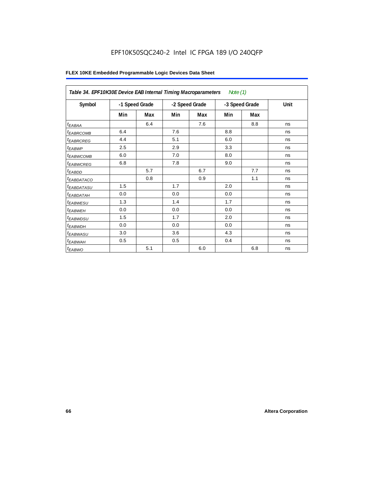# EPF10K50SQC240-2 Intel IC FPGA 189 I/O 240QFP

|                        | Table 34. EPF10K30E Device EAB Internal Timing Macroparameters<br>Note $(1)$ |     |                |     |                |     |      |  |  |  |
|------------------------|------------------------------------------------------------------------------|-----|----------------|-----|----------------|-----|------|--|--|--|
| Symbol                 | -1 Speed Grade                                                               |     | -2 Speed Grade |     | -3 Speed Grade |     | Unit |  |  |  |
|                        | Min                                                                          | Max | Min            | Max | Min            | Max |      |  |  |  |
| $t_{EABA}$             |                                                                              | 6.4 |                | 7.6 |                | 8.8 | ns   |  |  |  |
| <sup>t</sup> EABRCOMB  | 6.4                                                                          |     | 7.6            |     | 8.8            |     | ns   |  |  |  |
| <i><b>EABRCREG</b></i> | 4.4                                                                          |     | 5.1            |     | 6.0            |     | ns   |  |  |  |
| $t_{EABWP}$            | 2.5                                                                          |     | 2.9            |     | 3.3            |     | ns   |  |  |  |
| <sup>t</sup> ЕАВWСОМВ  | 6.0                                                                          |     | 7.0            |     | 8.0            |     | ns   |  |  |  |
| <sup>t</sup> EABWCREG  | 6.8                                                                          |     | 7.8            |     | 9.0            |     | ns   |  |  |  |
| t <sub>EABDD</sub>     |                                                                              | 5.7 |                | 6.7 |                | 7.7 | ns   |  |  |  |
| t <sub>eabdataco</sub> |                                                                              | 0.8 |                | 0.9 |                | 1.1 | ns   |  |  |  |
| <sup>t</sup> EABDATASU | 1.5                                                                          |     | 1.7            |     | 2.0            |     | ns   |  |  |  |
| t <sub>EABDATAH</sub>  | 0.0                                                                          |     | 0.0            |     | 0.0            |     | ns   |  |  |  |
| <sup>t</sup> EABWESU   | 1.3                                                                          |     | 1.4            |     | 1.7            |     | ns   |  |  |  |
| <sup>t</sup> EABWEH    | 0.0                                                                          |     | 0.0            |     | 0.0            |     | ns   |  |  |  |
| t <sub>EABWDSU</sub>   | 1.5                                                                          |     | 1.7            |     | 2.0            |     | ns   |  |  |  |
| <sup>t</sup> EABWDH    | 0.0                                                                          |     | 0.0            |     | 0.0            |     | ns   |  |  |  |
| <sup>t</sup> EABWASU   | 3.0                                                                          |     | 3.6            |     | 4.3            |     | ns   |  |  |  |
| <sup>t</sup> EABWAH    | 0.5                                                                          |     | 0.5            |     | 0.4            |     | ns   |  |  |  |
| $t_{EABWO}$            |                                                                              | 5.1 |                | 6.0 |                | 6.8 | ns   |  |  |  |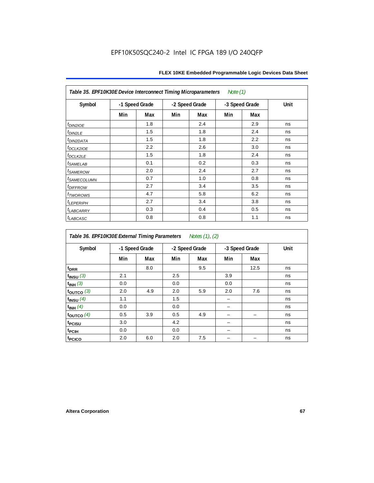| Table 35. EPF10K30E Device Interconnect Timing Microparameters<br>Note $(1)$ |                |     |     |                |     |                |      |  |  |  |
|------------------------------------------------------------------------------|----------------|-----|-----|----------------|-----|----------------|------|--|--|--|
| Symbol                                                                       | -1 Speed Grade |     |     | -2 Speed Grade |     | -3 Speed Grade | Unit |  |  |  |
|                                                                              | Min            | Max | Min | Max            | Min | Max            |      |  |  |  |
| $tD$ IN2IOE                                                                  |                | 1.8 |     | 2.4            |     | 2.9            | ns   |  |  |  |
| t <sub>DIN2LE</sub>                                                          |                | 1.5 |     | 1.8            |     | 2.4            | ns   |  |  |  |
| <sup>t</sup> DIN2DATA                                                        |                | 1.5 |     | 1.8            |     | 2.2            | ns   |  |  |  |
| t <sub>DCLK2IOE</sub>                                                        |                | 2.2 |     | 2.6            |     | 3.0            | ns   |  |  |  |
| $t_{DCLK2LE}$                                                                |                | 1.5 |     | 1.8            |     | 2.4            | ns   |  |  |  |
| <sup>t</sup> SAMELAB                                                         |                | 0.1 |     | 0.2            |     | 0.3            | ns   |  |  |  |
| <i>t<sub>SAMEROW</sub></i>                                                   |                | 2.0 |     | 2.4            |     | 2.7            | ns   |  |  |  |
| <i>t<sub>SAMECOLUMN</sub></i>                                                |                | 0.7 |     | 1.0            |     | 0.8            | ns   |  |  |  |
| t <sub>DIFFROW</sub>                                                         |                | 2.7 |     | 3.4            |     | 3.5            | ns   |  |  |  |
| <i>t</i> <sub>TWOROWS</sub>                                                  |                | 4.7 |     | 5.8            |     | 6.2            | ns   |  |  |  |
| <b><i>LEPERIPH</i></b>                                                       |                | 2.7 |     | 3.4            |     | 3.8            | ns   |  |  |  |
| t <sub>LABCARRY</sub>                                                        |                | 0.3 |     | 0.4            |     | 0.5            | ns   |  |  |  |
| t <sub>LABCASC</sub>                                                         |                | 0.8 |     | 0.8            |     | 1.1            | ns   |  |  |  |

| Table 36. EPF10K30E External Timing Parameters Notes (1), (2) |                |     |     |                |     |                |      |  |  |  |
|---------------------------------------------------------------|----------------|-----|-----|----------------|-----|----------------|------|--|--|--|
| Symbol                                                        | -1 Speed Grade |     |     | -2 Speed Grade |     | -3 Speed Grade | Unit |  |  |  |
|                                                               | Min            | Max | Min | Max            | Min | Max            |      |  |  |  |
| t <sub>DRR</sub>                                              |                | 8.0 |     | 9.5            |     | 12.5           | ns   |  |  |  |
| $t$ <sub>INSU</sub> $(3)$                                     | 2.1            |     | 2.5 |                | 3.9 |                | ns   |  |  |  |
| $t_{INH}$ (3)                                                 | 0.0            |     | 0.0 |                | 0.0 |                | ns   |  |  |  |
| $t_{OUTCO}$ (3)                                               | 2.0            | 4.9 | 2.0 | 5.9            | 2.0 | 7.6            | ns   |  |  |  |
| $t_{INSU}$ (4)                                                | 1.1            |     | 1.5 |                |     |                | ns   |  |  |  |
| $t_{INH}$ (4)                                                 | 0.0            |     | 0.0 |                |     |                | ns   |  |  |  |
| $t_{\text{OUTCO}}(4)$                                         | 0.5            | 3.9 | 0.5 | 4.9            |     |                | ns   |  |  |  |
| t <sub>PCISU</sub>                                            | 3.0            |     | 4.2 |                |     |                | ns   |  |  |  |
| t <sub>PCIH</sub>                                             | 0.0            |     | 0.0 |                |     |                | ns   |  |  |  |
| t <sub>PCICO</sub>                                            | 2.0            | 6.0 | 2.0 | 7.5            |     |                | ns   |  |  |  |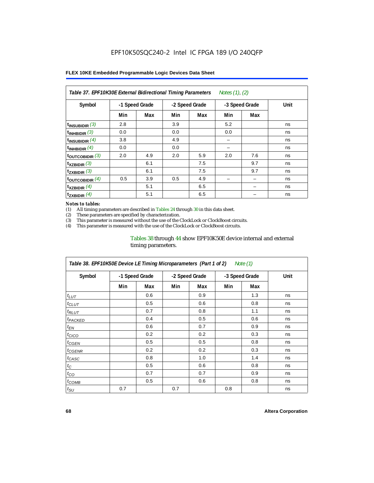| Table 37. EPF10K30E External Bidirectional Timing Parameters<br>Notes (1), (2) |                |     |     |                |     |                |      |  |  |  |
|--------------------------------------------------------------------------------|----------------|-----|-----|----------------|-----|----------------|------|--|--|--|
| Symbol                                                                         | -1 Speed Grade |     |     | -2 Speed Grade |     | -3 Speed Grade | Unit |  |  |  |
|                                                                                | Min            | Max | Min | Max            | Min | Max            |      |  |  |  |
| $t_{INSUBIDIR}$ (3)                                                            | 2.8            |     | 3.9 |                | 5.2 |                | ns   |  |  |  |
| $t_{INHBIDIR}$ (3)                                                             | 0.0            |     | 0.0 |                | 0.0 |                | ns   |  |  |  |
| $t_{INSUBIDIR}(4)$                                                             | 3.8            |     | 4.9 |                | -   |                | ns   |  |  |  |
| $t_{INHBIDIR}$ (4)                                                             | 0.0            |     | 0.0 |                |     |                | ns   |  |  |  |
| $t_{\text{OUTCOBIDIR}}$ (3)                                                    | 2.0            | 4.9 | 2.0 | 5.9            | 2.0 | 7.6            | ns   |  |  |  |
| $t_{XZBIDIR}$ (3)                                                              |                | 6.1 |     | 7.5            |     | 9.7            | ns   |  |  |  |
| $t_{ZXBIDIR}$ (3)                                                              |                | 6.1 |     | 7.5            |     | 9.7            | ns   |  |  |  |
| $t_{\text{OUTCOBIDIR}}(4)$                                                     | 0.5            | 3.9 | 0.5 | 4.9            |     |                | ns   |  |  |  |
| $t_{XZBIDIR}$ (4)                                                              |                | 5.1 |     | 6.5            |     |                | ns   |  |  |  |
| $t_{ZXBIDIR}$ (4)                                                              |                | 5.1 |     | 6.5            |     |                | ns   |  |  |  |

#### *Notes to tables:*

(1) All timing parameters are described in Tables 24 through 30 in this data sheet.<br>(2) These parameters are specified by characterization.

(2) These parameters are specified by characterization.<br>(3) This parameter is measured without the use of the C

This parameter is measured without the use of the ClockLock or ClockBoost circuits.

(4) This parameter is measured with the use of the ClockLock or ClockBoost circuits.

### Tables 38 through 44 show EPF10K50E device internal and external timing parameters.

| Table 38. EPF10K50E Device LE Timing Microparameters (Part 1 of 2)<br>Note (1) |     |                |     |                |     |                |      |  |  |  |
|--------------------------------------------------------------------------------|-----|----------------|-----|----------------|-----|----------------|------|--|--|--|
| Symbol                                                                         |     | -1 Speed Grade |     | -2 Speed Grade |     | -3 Speed Grade | Unit |  |  |  |
|                                                                                | Min | Max            | Min | Max            | Min | Max            |      |  |  |  |
| $t_{LUT}$                                                                      |     | 0.6            |     | 0.9            |     | 1.3            | ns   |  |  |  |
| $t_{CLUT}$                                                                     |     | 0.5            |     | 0.6            |     | 0.8            | ns   |  |  |  |
| $t_{RLUT}$                                                                     |     | 0.7            |     | 0.8            |     | 1.1            | ns   |  |  |  |
| <b><i>t<sub>PACKED</sub></i></b>                                               |     | 0.4            |     | 0.5            |     | 0.6            | ns   |  |  |  |
| $t_{EN}$                                                                       |     | 0.6            |     | 0.7            |     | 0.9            | ns   |  |  |  |
| $t_{CICO}$                                                                     |     | 0.2            |     | 0.2            |     | 0.3            | ns   |  |  |  |
| $t_{GEN}$                                                                      |     | 0.5            |     | 0.5            |     | 0.8            | ns   |  |  |  |
| ${}^t$ CGENR                                                                   |     | 0.2            |     | 0.2            |     | 0.3            | ns   |  |  |  |
| t <sub>CASC</sub>                                                              |     | 0.8            |     | 1.0            |     | 1.4            | ns   |  |  |  |
| $t_C$                                                                          |     | 0.5            |     | 0.6            |     | 0.8            | ns   |  |  |  |
| $t_{CO}$                                                                       |     | 0.7            |     | 0.7            |     | 0.9            | ns   |  |  |  |
| $t_{COMB}$                                                                     |     | 0.5            |     | 0.6            |     | 0.8            | ns   |  |  |  |
| $t_{\rm SU}$                                                                   | 0.7 |                | 0.7 |                | 0.8 |                | ns   |  |  |  |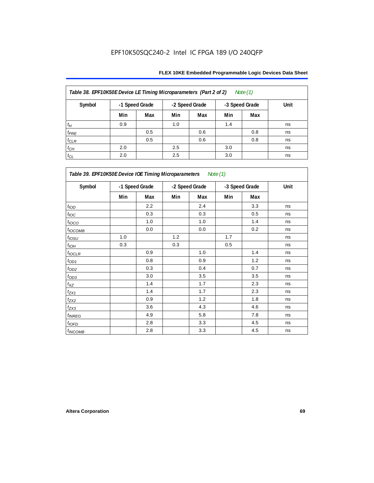| Table 38. EPF10K50E Device LE Timing Microparameters (Part 2 of 2)<br>Note $(1)$ |                |     |     |                |     |                |      |  |  |  |
|----------------------------------------------------------------------------------|----------------|-----|-----|----------------|-----|----------------|------|--|--|--|
| Symbol                                                                           | -1 Speed Grade |     |     | -2 Speed Grade |     | -3 Speed Grade | Unit |  |  |  |
|                                                                                  | Min            | Max | Min | Max            | Min | Max            |      |  |  |  |
| $t_H$                                                                            | 0.9            |     | 1.0 |                | 1.4 |                | ns   |  |  |  |
| $t_{PRE}$                                                                        |                | 0.5 |     | 0.6            |     | 0.8            | ns   |  |  |  |
| $t_{CLR}$                                                                        |                | 0.5 |     | 0.6            |     | 0.8            | ns   |  |  |  |
| $t_{CH}$                                                                         | 2.0            |     | 2.5 |                | 3.0 |                | ns   |  |  |  |
| $t_{CL}$                                                                         | 2.0            |     | 2.5 |                | 3.0 |                | ns   |  |  |  |

| Table 39. EPF10K50E Device IOE Timing Microparameters Note (1) |     |                |                |     |                |     |      |  |  |
|----------------------------------------------------------------|-----|----------------|----------------|-----|----------------|-----|------|--|--|
| Symbol                                                         |     | -1 Speed Grade | -2 Speed Grade |     | -3 Speed Grade |     | Unit |  |  |
|                                                                | Min | Max            | Min            | Max | Min            | Max |      |  |  |
| t <sub>IOD</sub>                                               |     | 2.2            |                | 2.4 |                | 3.3 | ns   |  |  |
| $t_{\text{IOC}}$                                               |     | 0.3            |                | 0.3 |                | 0.5 | ns   |  |  |
| $t_{IOCO}$                                                     |     | 1.0            |                | 1.0 |                | 1.4 | ns   |  |  |
| $t_{IOCOMB}$                                                   |     | 0.0            |                | 0.0 |                | 0.2 | ns   |  |  |
| $t_{IOSU}$                                                     | 1.0 |                | 1.2            |     | 1.7            |     | ns   |  |  |
| $t_{IOH}$                                                      | 0.3 |                | 0.3            |     | 0.5            |     | ns   |  |  |
| $t_{IOCLR}$                                                    |     | 0.9            |                | 1.0 |                | 1.4 | ns   |  |  |
| $t_{OD1}$                                                      |     | 0.8            |                | 0.9 |                | 1.2 | ns   |  |  |
| $t_{OD2}$                                                      |     | 0.3            |                | 0.4 |                | 0.7 | ns   |  |  |
| $t_{OD3}$                                                      |     | 3.0            |                | 3.5 |                | 3.5 | ns   |  |  |
| $t_{\mathsf{XZ}}$                                              |     | 1.4            |                | 1.7 |                | 2.3 | ns   |  |  |
| $t_{ZX1}$                                                      |     | 1.4            |                | 1.7 |                | 2.3 | ns   |  |  |
| $t_{ZX2}$                                                      |     | 0.9            |                | 1.2 |                | 1.8 | ns   |  |  |
| $t_{ZX3}$                                                      |     | 3.6            |                | 4.3 |                | 4.6 | ns   |  |  |
| $t_{INREG}$                                                    |     | 4.9            |                | 5.8 |                | 7.8 | ns   |  |  |
| $t_{IOFD}$                                                     |     | 2.8            |                | 3.3 |                | 4.5 | ns   |  |  |
| <b>t</b> INCOMB                                                |     | 2.8            |                | 3.3 |                | 4.5 | ns   |  |  |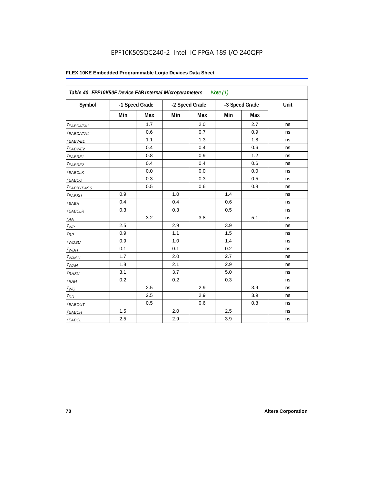# EPF10K50SQC240-2 Intel IC FPGA 189 I/O 240QFP

| Table 40. EPF10K50E Device EAB Internal Microparameters<br>Note $(1)$ |                |     |                |     |                |     |      |  |  |
|-----------------------------------------------------------------------|----------------|-----|----------------|-----|----------------|-----|------|--|--|
| Symbol                                                                | -1 Speed Grade |     | -2 Speed Grade |     | -3 Speed Grade |     | Unit |  |  |
|                                                                       | Min            | Max | Min            | Max | Min            | Max |      |  |  |
| <sup>t</sup> EABDATA1                                                 |                | 1.7 |                | 2.0 |                | 2.7 | ns   |  |  |
| $t_{EABDATA1}$                                                        |                | 0.6 |                | 0.7 |                | 0.9 | ns   |  |  |
| <sup>t</sup> EABWE1                                                   |                | 1.1 |                | 1.3 |                | 1.8 | ns   |  |  |
| t <sub>EABWE2</sub>                                                   |                | 0.4 |                | 0.4 |                | 0.6 | ns   |  |  |
| t <sub>EABRE1</sub>                                                   |                | 0.8 |                | 0.9 |                | 1.2 | ns   |  |  |
| $t_{EABRE2}$                                                          |                | 0.4 |                | 0.4 |                | 0.6 | ns   |  |  |
| $t_{EABCLK}$                                                          |                | 0.0 |                | 0.0 |                | 0.0 | ns   |  |  |
| t <sub>EABCO</sub>                                                    |                | 0.3 |                | 0.3 |                | 0.5 | ns   |  |  |
| <sup>t</sup> EABBYPASS                                                |                | 0.5 |                | 0.6 |                | 0.8 | ns   |  |  |
| $t_{EABSU}$                                                           | 0.9            |     | 1.0            |     | 1.4            |     | ns   |  |  |
| $t_{EABH}$                                                            | 0.4            |     | 0.4            |     | 0.6            |     | ns   |  |  |
| <sup>t</sup> EABCLR                                                   | 0.3            |     | 0.3            |     | 0.5            |     | ns   |  |  |
| $t_{AA}$                                                              |                | 3.2 |                | 3.8 |                | 5.1 | ns   |  |  |
| $t_{WP}$                                                              | 2.5            |     | 2.9            |     | 3.9            |     | ns   |  |  |
| $t_{RP}$                                                              | 0.9            |     | 1.1            |     | 1.5            |     | ns   |  |  |
| $t_{WDSU}$                                                            | 0.9            |     | 1.0            |     | 1.4            |     | ns   |  |  |
| $t_{WDH}$                                                             | 0.1            |     | 0.1            |     | 0.2            |     | ns   |  |  |
| $t_{WASU}$                                                            | 1.7            |     | 2.0            |     | 2.7            |     | ns   |  |  |
| $t_{WAH}$                                                             | 1.8            |     | 2.1            |     | 2.9            |     | ns   |  |  |
| $t_{RASU}$                                                            | 3.1            |     | 3.7            |     | 5.0            |     | ns   |  |  |
| $t_{RAH}$                                                             | 0.2            |     | 0.2            |     | 0.3            |     | ns   |  |  |
| $t_{\textit{WO}}$                                                     |                | 2.5 |                | 2.9 |                | 3.9 | ns   |  |  |
| $t_{DD}$                                                              |                | 2.5 |                | 2.9 |                | 3.9 | ns   |  |  |
| <b><i>EABOUT</i></b>                                                  |                | 0.5 |                | 0.6 |                | 0.8 | ns   |  |  |
| t <sub>EABCH</sub>                                                    | $1.5$          |     | 2.0            |     | 2.5            |     | ns   |  |  |
| $t_{EABCL}$                                                           | 2.5            |     | 2.9            |     | 3.9            |     | ns   |  |  |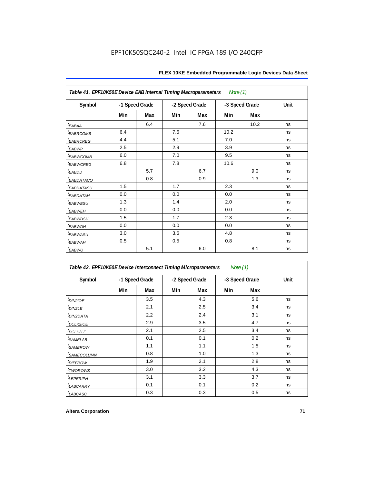| Note (1)<br>Table 41. EPF10K50E Device EAB Internal Timing Macroparameters |                |     |                |     |                |      |      |  |  |  |
|----------------------------------------------------------------------------|----------------|-----|----------------|-----|----------------|------|------|--|--|--|
| Symbol                                                                     | -1 Speed Grade |     | -2 Speed Grade |     | -3 Speed Grade |      | Unit |  |  |  |
|                                                                            | Min            | Max | Min            | Max | Min            | Max  |      |  |  |  |
| $t_{EABA}$                                                                 |                | 6.4 |                | 7.6 |                | 10.2 | ns   |  |  |  |
| <b><i>EABRCOMB</i></b>                                                     | 6.4            |     | 7.6            |     | 10.2           |      | ns   |  |  |  |
| t <sub>EABRCREG</sub>                                                      | 4.4            |     | 5.1            |     | 7.0            |      | ns   |  |  |  |
| t <sub>EABWP</sub>                                                         | 2.5            |     | 2.9            |     | 3.9            |      | ns   |  |  |  |
| <sup>t</sup> EABWCOMB                                                      | 6.0            |     | 7.0            |     | 9.5            |      | ns   |  |  |  |
| <sup>t</sup> EABWCREG                                                      | 6.8            |     | 7.8            |     | 10.6           |      | ns   |  |  |  |
| t <sub>EABDD</sub>                                                         |                | 5.7 |                | 6.7 |                | 9.0  | ns   |  |  |  |
| <sup>t</sup> EABDATACO                                                     |                | 0.8 |                | 0.9 |                | 1.3  | ns   |  |  |  |
| <sup>t</sup> EABDATASU                                                     | 1.5            |     | 1.7            |     | 2.3            |      | ns   |  |  |  |
| t <sub>eabdatah</sub>                                                      | 0.0            |     | 0.0            |     | 0.0            |      | ns   |  |  |  |
| <sup>t</sup> EABWESU                                                       | 1.3            |     | 1.4            |     | 2.0            |      | ns   |  |  |  |
| t <sub>EABWEH</sub>                                                        | 0.0            |     | 0.0            |     | 0.0            |      | ns   |  |  |  |
| <i>t<sub>EABWDSU</sub></i>                                                 | 1.5            |     | 1.7            |     | 2.3            |      | ns   |  |  |  |
| <sup>t</sup> EABWDH                                                        | 0.0            |     | 0.0            |     | 0.0            |      | ns   |  |  |  |
| t <sub>EABWASU</sub>                                                       | 3.0            |     | 3.6            |     | 4.8            |      | ns   |  |  |  |
| t <sub>EABWAH</sub>                                                        | 0.5            |     | 0.5            |     | 0.8            |      | ns   |  |  |  |
| $t_{EABWO}$                                                                |                | 5.1 |                | 6.0 |                | 8.1  | ns   |  |  |  |

| Table 42. EPF10K50E Device Interconnect Timing Microparameters<br>Note $(1)$ |                |     |                |     |                |     |      |
|------------------------------------------------------------------------------|----------------|-----|----------------|-----|----------------|-----|------|
| Symbol                                                                       | -1 Speed Grade |     | -2 Speed Grade |     | -3 Speed Grade |     | Unit |
|                                                                              | Min            | Max | Min            | Max | Min            | Max |      |
| $t_{DINZIOE}$                                                                |                | 3.5 |                | 4.3 |                | 5.6 | ns   |
| t <sub>DIN2LE</sub>                                                          |                | 2.1 |                | 2.5 |                | 3.4 | ns   |
| <sup>t</sup> DIN2DATA                                                        |                | 2.2 |                | 2.4 |                | 3.1 | ns   |
| $t$ DCLK2IOE                                                                 |                | 2.9 |                | 3.5 |                | 4.7 | ns   |
| $t$ DCLK2LE                                                                  |                | 2.1 |                | 2.5 |                | 3.4 | ns   |
| <sup>t</sup> SAMELAB                                                         |                | 0.1 |                | 0.1 |                | 0.2 | ns   |
| <sup>t</sup> SAMEROW                                                         |                | 1.1 |                | 1.1 |                | 1.5 | ns   |
| <sup>t</sup> SAMECOLUMN                                                      |                | 0.8 |                | 1.0 |                | 1.3 | ns   |
| <i>t<sub>DIFFROW</sub></i>                                                   |                | 1.9 |                | 2.1 |                | 2.8 | ns   |
| <i>t</i> TWOROWS                                                             |                | 3.0 |                | 3.2 |                | 4.3 | ns   |
| <sup>t</sup> LEPERIPH                                                        |                | 3.1 |                | 3.3 |                | 3.7 | ns   |
| <b><i>LABCARRY</i></b>                                                       |                | 0.1 |                | 0.1 |                | 0.2 | ns   |
| t <sub>LABCASC</sub>                                                         |                | 0.3 |                | 0.3 |                | 0.5 | ns   |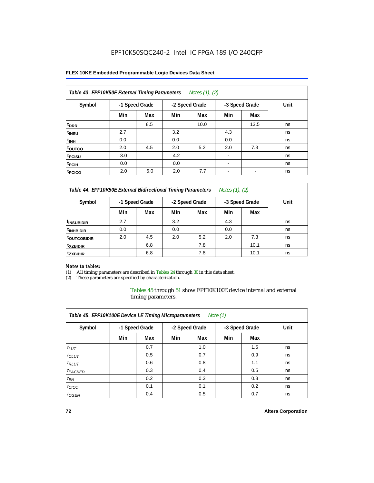#### **FLEX 10KE Embedded Programmable Logic Devices Data Sheet**

| Table 43. EPF10K50E External Timing Parameters<br>Notes $(1)$ , $(2)$ |                |     |     |                |                          |                |      |  |  |  |
|-----------------------------------------------------------------------|----------------|-----|-----|----------------|--------------------------|----------------|------|--|--|--|
| Symbol                                                                | -1 Speed Grade |     |     | -2 Speed Grade |                          | -3 Speed Grade | Unit |  |  |  |
|                                                                       | Min            | Max | Min | Max            | Min                      | Max            |      |  |  |  |
| t <sub>DRR</sub>                                                      |                | 8.5 |     | 10.0           |                          | 13.5           | ns   |  |  |  |
| t <sub>insu</sub>                                                     | 2.7            |     | 3.2 |                | 4.3                      |                | ns   |  |  |  |
| $t_{\rm INH}$                                                         | 0.0            |     | 0.0 |                | 0.0                      |                | ns   |  |  |  |
| <sup>t</sup> outco                                                    | 2.0            | 4.5 | 2.0 | 5.2            | 2.0                      | 7.3            | ns   |  |  |  |
| t <sub>PCISU</sub>                                                    | 3.0            |     | 4.2 |                | $\blacksquare$           |                | ns   |  |  |  |
| <sup>t</sup> PCIH                                                     | 0.0            |     | 0.0 |                | $\blacksquare$           |                | ns   |  |  |  |
| t <sub>PCICO</sub>                                                    | 2.0            | 6.0 | 2.0 | 7.7            | $\overline{\phantom{a}}$ | -              | ns   |  |  |  |

*Table 44. EPF10K50E External Bidirectional Timing Parameters Notes (1), (2)*

| Symbol                    | -1 Speed Grade |     |     | -2 Speed Grade |     | -3 Speed Grade | Unit |
|---------------------------|----------------|-----|-----|----------------|-----|----------------|------|
|                           | Min            | Max | Min | Max            | Min | Max            |      |
| <sup>I</sup> INSUBIDIR    | 2.7            |     | 3.2 |                | 4.3 |                | ns   |
| <sup>t</sup> INHBIDIR     | 0.0            |     | 0.0 |                | 0.0 |                | ns   |
| <b><i>LOUTCOBIDIR</i></b> | 2.0            | 4.5 | 2.0 | 5.2            | 2.0 | 7.3            | ns   |
| <sup>t</sup> xzbidir      |                | 6.8 |     | 7.8            |     | 10.1           | ns   |
| <sup>t</sup> zxbidir      |                | 6.8 |     | 7.8            |     | 10.1           | ns   |

#### *Notes to tables:*

(1) All timing parameters are described in Tables 24 through 30 in this data sheet.

(2) These parameters are specified by characterization.

Tables 45 through 51 show EPF10K100E device internal and external timing parameters.

| Table 45. EPF10K100E Device LE Timing Microparameters<br>Note $(1)$ |                |     |     |                |     |                |      |  |  |  |  |
|---------------------------------------------------------------------|----------------|-----|-----|----------------|-----|----------------|------|--|--|--|--|
| Symbol                                                              | -1 Speed Grade |     |     | -2 Speed Grade |     | -3 Speed Grade | Unit |  |  |  |  |
|                                                                     | Min            | Max | Min | Max            | Min | Max            |      |  |  |  |  |
| $t_{LUT}$                                                           |                | 0.7 |     | 1.0            |     | 1.5            | ns   |  |  |  |  |
| $t_{CLUT}$                                                          |                | 0.5 |     | 0.7            |     | 0.9            | ns   |  |  |  |  |
| $t_{RLUT}$                                                          |                | 0.6 |     | 0.8            |     | 1.1            | ns   |  |  |  |  |
| <sup>t</sup> PACKED                                                 |                | 0.3 |     | 0.4            |     | 0.5            | ns   |  |  |  |  |
| $t_{EN}$                                                            |                | 0.2 |     | 0.3            |     | 0.3            | ns   |  |  |  |  |
| $t_{CICO}$                                                          |                | 0.1 |     | 0.1            |     | 0.2            | ns   |  |  |  |  |
| $t_{\text{GEN}}$                                                    |                | 0.4 |     | 0.5            |     | 0.7            | ns   |  |  |  |  |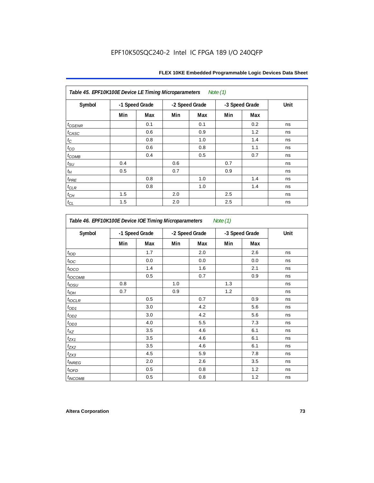| Table 45. EPF10K100E Device LE Timing Microparameters Note (1) |                |     |     |                |     |                |      |  |  |
|----------------------------------------------------------------|----------------|-----|-----|----------------|-----|----------------|------|--|--|
| Symbol                                                         | -1 Speed Grade |     |     | -2 Speed Grade |     | -3 Speed Grade | Unit |  |  |
|                                                                | Min            | Max | Min | Max            | Min | Max            |      |  |  |
| $t_{GENR}$                                                     |                | 0.1 |     | 0.1            |     | 0.2            | ns   |  |  |
| $t_{CASC}$                                                     |                | 0.6 |     | 0.9            |     | 1.2            | ns   |  |  |
| $t_{\rm C}$                                                    |                | 0.8 |     | 1.0            |     | 1.4            | ns   |  |  |
| $t_{CO}$                                                       |                | 0.6 |     | 0.8            |     | 1.1            | ns   |  |  |
| $t_{COMB}$                                                     |                | 0.4 |     | 0.5            |     | 0.7            | ns   |  |  |
| $t_{\text{SU}}$                                                | 0.4            |     | 0.6 |                | 0.7 |                | ns   |  |  |
| $t_H\,$                                                        | 0.5            |     | 0.7 |                | 0.9 |                | ns   |  |  |
| $t_{PRE}$                                                      |                | 0.8 |     | 1.0            |     | 1.4            | ns   |  |  |
| $t_{\mathrm{CLR}}$                                             |                | 0.8 |     | 1.0            |     | 1.4            | ns   |  |  |
| $t_{\mathit{CH}}$                                              | 1.5            |     | 2.0 |                | 2.5 |                | ns   |  |  |
| $t_{CL}$                                                       | 1.5            |     | 2.0 |                | 2.5 |                | ns   |  |  |

| Symbol                   |     | -1 Speed Grade |     | -2 Speed Grade |     | -3 Speed Grade | Unit |
|--------------------------|-----|----------------|-----|----------------|-----|----------------|------|
|                          | Min | Max            | Min | Max            | Min | Max            |      |
| t <sub>IOD</sub>         |     | 1.7            |     | 2.0            |     | 2.6            | ns   |
| $t_{\text{loc}}$         |     | 0.0            |     | 0.0            |     | 0.0            | ns   |
| $t_{\text{IOCO}}$        |     | 1.4            |     | 1.6            |     | 2.1            | ns   |
| t <sub>IOCOMB</sub>      |     | 0.5            |     | 0.7            |     | 0.9            | ns   |
| $t_{IOSU}$               | 0.8 |                | 1.0 |                | 1.3 |                | ns   |
| $t_{IOH}$                | 0.7 |                | 0.9 |                | 1.2 |                | ns   |
| $t_{IOCLR}$              |     | 0.5            |     | 0.7            |     | 0.9            | ns   |
| $t_{OD1}$                |     | 3.0            |     | 4.2            |     | 5.6            | ns   |
| $t_{OD2}$                |     | 3.0            |     | 4.2            |     | 5.6            | ns   |
| $t_{OD3}$                |     | 4.0            |     | 5.5            |     | 7.3            | ns   |
| $t_{XZ}$                 |     | 3.5            |     | 4.6            |     | 6.1            | ns   |
| $t_{ZX1}$                |     | 3.5            |     | 4.6            |     | 6.1            | ns   |
| $t_{ZX2}$                |     | 3.5            |     | 4.6            |     | 6.1            | ns   |
| $t_{ZX3}$                |     | 4.5            |     | 5.9            |     | 7.8            | ns   |
| <i>t<sub>INREG</sub></i> |     | 2.0            |     | 2.6            |     | 3.5            | ns   |
| $t_{IOED}$               |     | 0.5            |     | 0.8            |     | 1.2            | ns   |
| <sup>t</sup> INCOMB      |     | 0.5            |     | 0.8            |     | 1.2            | ns   |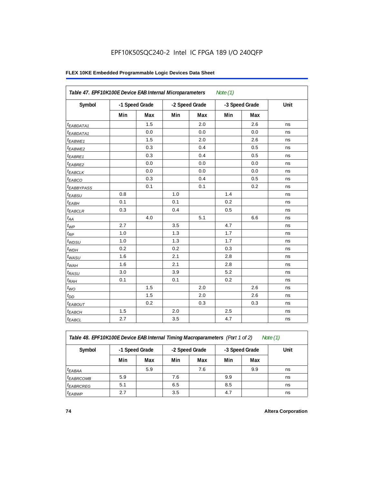#### **FLEX 10KE Embedded Programmable Logic Devices Data Sheet**

|                        | Table 47. EPF10K100E Device EAB Internal Microparameters<br>Note $(1)$ |                |                |     |     |                |      |  |  |  |
|------------------------|------------------------------------------------------------------------|----------------|----------------|-----|-----|----------------|------|--|--|--|
| Symbol                 |                                                                        | -1 Speed Grade | -2 Speed Grade |     |     | -3 Speed Grade | Unit |  |  |  |
|                        | Min                                                                    | Max            | Min            | Max | Min | Max            |      |  |  |  |
| <sup>t</sup> EABDATA1  |                                                                        | 1.5            |                | 2.0 |     | 2.6            | ns   |  |  |  |
| $t_{EABDATA1}$         |                                                                        | 0.0            |                | 0.0 |     | 0.0            | ns   |  |  |  |
| $t_{EABWE1}$           |                                                                        | 1.5            |                | 2.0 |     | 2.6            | ns   |  |  |  |
| t <sub>EABWE2</sub>    |                                                                        | 0.3            |                | 0.4 |     | 0.5            | ns   |  |  |  |
| t <sub>EABRE1</sub>    |                                                                        | 0.3            |                | 0.4 |     | 0.5            | ns   |  |  |  |
| $t_{EABRE2}$           |                                                                        | 0.0            |                | 0.0 |     | 0.0            | ns   |  |  |  |
| $t_{EABCLK}$           |                                                                        | 0.0            |                | 0.0 |     | 0.0            | ns   |  |  |  |
| $t_{EABCO}$            |                                                                        | 0.3            |                | 0.4 |     | 0.5            | ns   |  |  |  |
| t <sub>EABBYPASS</sub> |                                                                        | 0.1            |                | 0.1 |     | 0.2            | ns   |  |  |  |
| $t_{EABSU}$            | 0.8                                                                    |                | 1.0            |     | 1.4 |                | ns   |  |  |  |
| $t_{EABH}$             | 0.1                                                                    |                | 0.1            |     | 0.2 |                | ns   |  |  |  |
| $t_{EABCLR}$           | 0.3                                                                    |                | 0.4            |     | 0.5 |                | ns   |  |  |  |
| $t_{AA}$               |                                                                        | 4.0            |                | 5.1 |     | 6.6            | ns   |  |  |  |
| $t_{WP}$               | 2.7                                                                    |                | 3.5            |     | 4.7 |                | ns   |  |  |  |
| $t_{RP}$               | 1.0                                                                    |                | 1.3            |     | 1.7 |                | ns   |  |  |  |
| $t_{WDSU}$             | 1.0                                                                    |                | 1.3            |     | 1.7 |                | ns   |  |  |  |
| $t_{WDH}$              | 0.2                                                                    |                | 0.2            |     | 0.3 |                | ns   |  |  |  |
| $t_{WASU}$             | 1.6                                                                    |                | 2.1            |     | 2.8 |                | ns   |  |  |  |
| $t_{WAH}$              | 1.6                                                                    |                | 2.1            |     | 2.8 |                | ns   |  |  |  |
| $t_{RASU}$             | 3.0                                                                    |                | 3.9            |     | 5.2 |                | ns   |  |  |  |
| $t_{RAH}$              | 0.1                                                                    |                | 0.1            |     | 0.2 |                | ns   |  |  |  |
| $t_{WO}$               |                                                                        | 1.5            |                | 2.0 |     | 2.6            | ns   |  |  |  |
| $t_{DD}$               |                                                                        | 1.5            |                | 2.0 |     | 2.6            | ns   |  |  |  |
| $t_{EABOUT}$           |                                                                        | 0.2            |                | 0.3 |     | 0.3            | ns   |  |  |  |
| <sup>t</sup> EABCH     | 1.5                                                                    |                | 2.0            |     | 2.5 |                | ns   |  |  |  |
| $t_{EABCL}$            | 2.7                                                                    |                | 3.5            |     | 4.7 |                | ns   |  |  |  |

*Table 48. EPF10K100E Device EAB Internal Timing Macroparameters (Part 1 of 2) Note (1)*

| Symbol                | -1 Speed Grade |     |     | -2 Speed Grade |     | -3 Speed Grade | Unit |
|-----------------------|----------------|-----|-----|----------------|-----|----------------|------|
|                       | Min            | Max | Min | Max            | Min | Max            |      |
| $t_{EABA}$            |                | 5.9 |     | 7.6            |     | 9.9            | ns   |
| <sup>t</sup> EABRCOMB | 5.9            |     | 7.6 |                | 9.9 |                | ns   |
| $t_{EABRCREG}$        | 5.1            |     | 6.5 |                | 8.5 |                | ns   |
| $t_{EABWP}$           | 2.7            |     | 3.5 |                | 4.7 |                | ns   |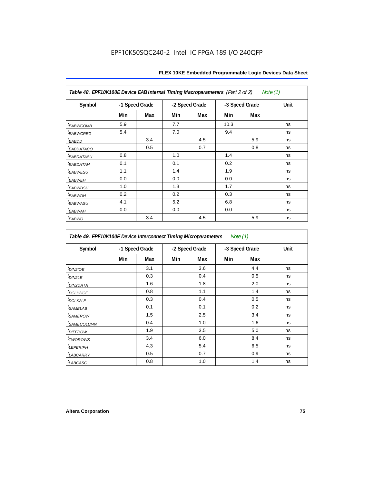| Table 48. EPF10K100E Device EAB Internal Timing Macroparameters (Part 2 of 2)<br>Note (1) |                |     |     |                |      |                |             |  |  |  |
|-------------------------------------------------------------------------------------------|----------------|-----|-----|----------------|------|----------------|-------------|--|--|--|
| Symbol                                                                                    | -1 Speed Grade |     |     | -2 Speed Grade |      | -3 Speed Grade | <b>Unit</b> |  |  |  |
|                                                                                           | Min            | Max | Min | Max            | Min  | Max            |             |  |  |  |
| <i>t<sub>EABWCOMB</sub></i>                                                               | 5.9            |     | 7.7 |                | 10.3 |                | ns          |  |  |  |
| <sup>t</sup> EABWCREG                                                                     | 5.4            |     | 7.0 |                | 9.4  |                | ns          |  |  |  |
| t <sub>EABDD</sub>                                                                        |                | 3.4 |     | 4.5            |      | 5.9            | ns          |  |  |  |
| <i>EABDATACO</i>                                                                          |                | 0.5 |     | 0.7            |      | 0.8            | ns          |  |  |  |
| <sup>t</sup> EABDATASU                                                                    | 0.8            |     | 1.0 |                | 1.4  |                | ns          |  |  |  |
| <sup>t</sup> EABDATAH                                                                     | 0.1            |     | 0.1 |                | 0.2  |                | ns          |  |  |  |
| <sup>t</sup> EABWESU                                                                      | 1.1            |     | 1.4 |                | 1.9  |                | ns          |  |  |  |
| <sup>t</sup> EABWEH                                                                       | 0.0            |     | 0.0 |                | 0.0  |                | ns          |  |  |  |
| <sup>t</sup> EABWDSU                                                                      | 1.0            |     | 1.3 |                | 1.7  |                | ns          |  |  |  |
| t <sub>EABWDH</sub>                                                                       | 0.2            |     | 0.2 |                | 0.3  |                | ns          |  |  |  |
| <sup>t</sup> EABWASU                                                                      | 4.1            |     | 5.2 |                | 6.8  |                | ns          |  |  |  |
| <sup>t</sup> ЕАВWАН                                                                       | 0.0            |     | 0.0 |                | 0.0  |                | ns          |  |  |  |
| t <sub>EABWO</sub>                                                                        |                | 3.4 |     | 4.5            |      | 5.9            | ns          |  |  |  |

*Table 49. EPF10K100E Device Interconnect Timing Microparameters Note (1)*

| Symbol                     |     | -1 Speed Grade |     | -2 Speed Grade |     | -3 Speed Grade | Unit |
|----------------------------|-----|----------------|-----|----------------|-----|----------------|------|
|                            | Min | Max            | Min | Max            | Min | Max            |      |
| $tD$ IN2IOE                |     | 3.1            |     | 3.6            |     | 4.4            | ns   |
| t <sub>DIN2LE</sub>        |     | 0.3            |     | 0.4            |     | 0.5            | ns   |
| <sup>t</sup> DIN2DATA      |     | 1.6            |     | 1.8            |     | 2.0            | ns   |
| <sup>t</sup> DCLK2IOE      |     | 0.8            |     | 1.1            |     | 1.4            | ns   |
| $t$ DCLK2LE                |     | 0.3            |     | 0.4            |     | 0.5            | ns   |
| <sup>t</sup> SAMELAB       |     | 0.1            |     | 0.1            |     | 0.2            | ns   |
| <i>t<sub>SAMEROW</sub></i> |     | 1.5            |     | 2.5            |     | 3.4            | ns   |
| <sup>t</sup> SAMECOLUMN    |     | 0.4            |     | 1.0            |     | 1.6            | ns   |
| <i>t<sub>DIFFROW</sub></i> |     | 1.9            |     | 3.5            |     | 5.0            | ns   |
| <i>t</i> TWOROWS           |     | 3.4            |     | 6.0            |     | 8.4            | ns   |
| <sup>t</sup> LEPERIPH      |     | 4.3            |     | 5.4            |     | 6.5            | ns   |
| t <sub>LABCARRY</sub>      |     | 0.5            |     | 0.7            |     | 0.9            | ns   |
| t <sub>LABCASC</sub>       |     | 0.8            |     | 1.0            |     | 1.4            | ns   |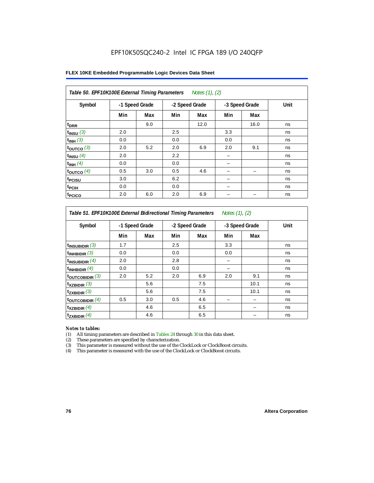#### **FLEX 10KE Embedded Programmable Logic Devices Data Sheet**

| Table 50. EPF10K100E External Timing Parameters Notes (1), (2) |     |                |     |                |     |                |      |  |  |  |
|----------------------------------------------------------------|-----|----------------|-----|----------------|-----|----------------|------|--|--|--|
| Symbol                                                         |     | -1 Speed Grade |     | -2 Speed Grade |     | -3 Speed Grade | Unit |  |  |  |
|                                                                | Min | Max            | Min | Max            | Min | Max            |      |  |  |  |
| t <sub>DRR</sub>                                               |     | 9.0            |     | 12.0           |     | 16.0           | ns   |  |  |  |
| $t_{INSU}$ (3)                                                 | 2.0 |                | 2.5 |                | 3.3 |                | ns   |  |  |  |
| $t_{INH}$ (3)                                                  | 0.0 |                | 0.0 |                | 0.0 |                | ns   |  |  |  |
| $t_{OUTCO}$ (3)                                                | 2.0 | 5.2            | 2.0 | 6.9            | 2.0 | 9.1            | ns   |  |  |  |
| $t_{INSU}$ (4)                                                 | 2.0 |                | 2.2 |                |     |                | ns   |  |  |  |
| $t_{INH}$ (4)                                                  | 0.0 |                | 0.0 |                |     |                | ns   |  |  |  |
| $t_{OUTCO}$ (4)                                                | 0.5 | 3.0            | 0.5 | 4.6            |     |                | ns   |  |  |  |
| t <sub>PCISU</sub>                                             | 3.0 |                | 6.2 |                |     |                | ns   |  |  |  |
| t <sub>PCIH</sub>                                              | 0.0 |                | 0.0 |                | -   |                | ns   |  |  |  |
| <sup>t</sup> PCICO                                             | 2.0 | 6.0            | 2.0 | 6.9            |     |                | ns   |  |  |  |

#### *Table 51. EPF10K100E External Bidirectional Timing Parameters Notes (1), (2)*

| Symbol                      | -1 Speed Grade |     |     | -2 Speed Grade |     | -3 Speed Grade | Unit |
|-----------------------------|----------------|-----|-----|----------------|-----|----------------|------|
|                             | Min            | Max | Min | Max            | Min | Max            |      |
| $t_{INSUBIDIR}$ (3)         | 1.7            |     | 2.5 |                | 3.3 |                | ns   |
| $t_{INHBIDIR}$ (3)          | 0.0            |     | 0.0 |                | 0.0 |                | ns   |
| $t_{INSUBIDIR}(4)$          | 2.0            |     | 2.8 |                |     |                | ns   |
| $t_{INHBIDIR}(4)$           | 0.0            |     | 0.0 |                |     |                | ns   |
| $t_{\text{OUTCOBIDIR}}$ (3) | 2.0            | 5.2 | 2.0 | 6.9            | 2.0 | 9.1            | ns   |
| $t_{XZBIDIR}$ (3)           |                | 5.6 |     | 7.5            |     | 10.1           | ns   |
| $t_{ZXBIDIR}$ (3)           |                | 5.6 |     | 7.5            |     | 10.1           | ns   |
| $t_{\text{OUTCOBIDIR}}$ (4) | 0.5            | 3.0 | 0.5 | 4.6            |     |                | ns   |
| $t_{XZBIDIR}$ (4)           |                | 4.6 |     | 6.5            |     |                | ns   |
| $t_{ZXBIDIR}$ (4)           |                | 4.6 |     | 6.5            |     |                | ns   |

#### *Notes to tables:*

(1) All timing parameters are described in Tables 24 through 30 in this data sheet.

(2) These parameters are specified by characterization.

(3) This parameter is measured without the use of the ClockLock or ClockBoost circuits.

(4) This parameter is measured with the use of the ClockLock or ClockBoost circuits.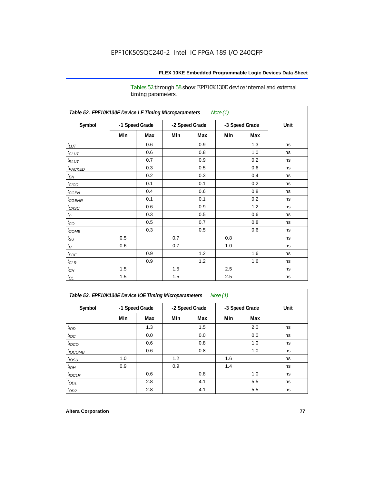Tables 52 through 58 show EPF10K130E device internal and external timing parameters.

| Table 52. EPF10K130E Device LE Timing Microparameters<br>Note (1) |     |                |     |                |     |                |      |  |  |
|-------------------------------------------------------------------|-----|----------------|-----|----------------|-----|----------------|------|--|--|
| Symbol                                                            |     | -1 Speed Grade |     | -2 Speed Grade |     | -3 Speed Grade | Unit |  |  |
|                                                                   | Min | Max            | Min | Max            | Min | Max            |      |  |  |
| $t_{LUT}$                                                         |     | 0.6            |     | 0.9            |     | 1.3            | ns   |  |  |
| $t_{CLUT}$                                                        |     | 0.6            |     | 0.8            |     | 1.0            | ns   |  |  |
| $t_{RLUT}$                                                        |     | 0.7            |     | 0.9            |     | 0.2            | ns   |  |  |
| t <sub>PACKED</sub>                                               |     | 0.3            |     | 0.5            |     | 0.6            | ns   |  |  |
| $t_{EN}$                                                          |     | 0.2            |     | 0.3            |     | 0.4            | ns   |  |  |
| $t_{CICO}$                                                        |     | 0.1            |     | 0.1            |     | 0.2            | ns   |  |  |
| $t_{CGEN}$                                                        |     | 0.4            |     | 0.6            |     | 0.8            | ns   |  |  |
| $t_{CGENR}$                                                       |     | 0.1            |     | 0.1            |     | 0.2            | ns   |  |  |
| $t_{CASC}$                                                        |     | 0.6            |     | 0.9            |     | 1.2            | ns   |  |  |
| $t_{\rm C}$                                                       |     | 0.3            |     | 0.5            |     | 0.6            | ns   |  |  |
| $t_{CO}$                                                          |     | 0.5            |     | 0.7            |     | 0.8            | ns   |  |  |
| $t_{COMB}$                                                        |     | 0.3            |     | 0.5            |     | 0.6            | ns   |  |  |
| $t_{\rm SU}$                                                      | 0.5 |                | 0.7 |                | 0.8 |                | ns   |  |  |
| $t_H$                                                             | 0.6 |                | 0.7 |                | 1.0 |                | ns   |  |  |
| $t_{PRE}$                                                         |     | 0.9            |     | 1.2            |     | 1.6            | ns   |  |  |
| $t_{CLR}$                                                         |     | 0.9            |     | 1.2            |     | 1.6            | ns   |  |  |
| $t_{CH}$                                                          | 1.5 |                | 1.5 |                | 2.5 |                | ns   |  |  |
| $t_{\rm CL}$                                                      | 1.5 |                | 1.5 |                | 2.5 |                | ns   |  |  |

*Table 53. EPF10K130E Device IOE Timing Microparameters Note (1)*

|                  |     | -1 Speed Grade |     |                | -3 Speed Grade |     | Unit |
|------------------|-----|----------------|-----|----------------|----------------|-----|------|
| Symbol           |     |                |     | -2 Speed Grade |                |     |      |
|                  | Min | Max            | Min | Max            | Min            | Max |      |
| t <sub>IOD</sub> |     | 1.3            |     | 1.5            |                | 2.0 | ns   |
| $t_{\text{IOC}}$ |     | 0.0            |     | 0.0            |                | 0.0 | ns   |
| $t_{IOCO}$       |     | 0.6            |     | 0.8            |                | 1.0 | ns   |
| $t_{IOCOMB}$     |     | 0.6            |     | 0.8            |                | 1.0 | ns   |
| $t_{IOSU}$       | 1.0 |                | 1.2 |                | 1.6            |     | ns   |
| $t_{IOH}$        | 0.9 |                | 0.9 |                | 1.4            |     | ns   |
| $t_{IOCLR}$      |     | 0.6            |     | 0.8            |                | 1.0 | ns   |
| $t_{OD1}$        |     | 2.8            |     | 4.1            |                | 5.5 | ns   |
| $t_{OD2}$        |     | 2.8            |     | 4.1            |                | 5.5 | ns   |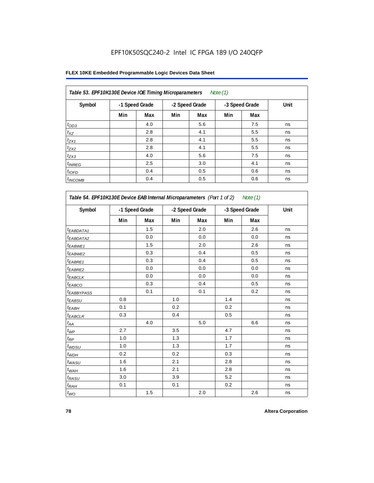#### **FLEX 10KE Embedded Programmable Logic Devices Data Sheet**

| Table 53. EPF10K130E Device IOE Timing Microparameters<br>Note $(1)$ |     |                |     |                |     |                |      |  |  |  |
|----------------------------------------------------------------------|-----|----------------|-----|----------------|-----|----------------|------|--|--|--|
| Symbol                                                               |     | -1 Speed Grade |     | -2 Speed Grade |     | -3 Speed Grade | Unit |  |  |  |
|                                                                      | Min | Max            | Min | Max            | Min | Max            |      |  |  |  |
| $t_{OD3}$                                                            |     | 4.0            |     | 5.6            |     | 7.5            | ns   |  |  |  |
| $t_{XZ}$                                                             |     | 2.8            |     | 4.1            |     | 5.5            | ns   |  |  |  |
| $t_{ZX1}$                                                            |     | 2.8            |     | 4.1            |     | 5.5            | ns   |  |  |  |
| $t_{ZX2}$                                                            |     | 2.8            |     | 4.1            |     | 5.5            | ns   |  |  |  |
| $t_{ZX3}$                                                            |     | 4.0            |     | 5.6            |     | 7.5            | ns   |  |  |  |
| $t_{INREG}$                                                          |     | 2.5            |     | 3.0            |     | 4.1            | ns   |  |  |  |
| $t_{IOFD}$                                                           |     | 0.4            |     | 0.5            |     | 0.6            | ns   |  |  |  |
| $t_{INCOMB}$                                                         |     | 0.4            |     | 0.5            |     | 0.6            | ns   |  |  |  |

| Table 54. EPF10K130E Device EAB Internal Microparameters (Part 1 of 2) Note (1) |                |     |                |     |                |     |      |
|---------------------------------------------------------------------------------|----------------|-----|----------------|-----|----------------|-----|------|
| Symbol                                                                          | -1 Speed Grade |     | -2 Speed Grade |     | -3 Speed Grade |     | Unit |
|                                                                                 | Min            | Max | Min            | Max | Min            | Max |      |
| <sup>t</sup> EABDATA1                                                           |                | 1.5 |                | 2.0 |                | 2.6 | ns   |
| t <sub>EABDATA2</sub>                                                           |                | 0.0 |                | 0.0 |                | 0.0 | ns   |
| t <sub>EABWE1</sub>                                                             |                | 1.5 |                | 2.0 |                | 2.6 | ns   |
| <sup>t</sup> EABWE2                                                             |                | 0.3 |                | 0.4 |                | 0.5 | ns   |
| t <sub>EABRE1</sub>                                                             |                | 0.3 |                | 0.4 |                | 0.5 | ns   |
| t <sub>EABRE2</sub>                                                             |                | 0.0 |                | 0.0 |                | 0.0 | ns   |
| t <sub>EABCLK</sub>                                                             |                | 0.0 |                | 0.0 |                | 0.0 | ns   |
| t <sub>EABCO</sub>                                                              |                | 0.3 |                | 0.4 |                | 0.5 | ns   |
| t <sub>EABBYPASS</sub>                                                          |                | 0.1 |                | 0.1 |                | 0.2 | ns   |
| $t_{EABSU}$                                                                     | 0.8            |     | 1.0            |     | 1.4            |     | ns   |
| t <sub>ЕАВН</sub>                                                               | 0.1            |     | 0.2            |     | 0.2            |     | ns   |
| $t_{EABCLR}$                                                                    | 0.3            |     | 0.4            |     | 0.5            |     | ns   |
| $t_{\mathcal{A}\mathcal{A}}$                                                    |                | 4.0 |                | 5.0 |                | 6.6 | ns   |
| $t_{\mathcal{WP}}$                                                              | 2.7            |     | 3.5            |     | 4.7            |     | ns   |
| $t_{RP}$                                                                        | 1.0            |     | 1.3            |     | 1.7            |     | ns   |
| $t_{WDSU}$                                                                      | 1.0            |     | 1.3            |     | 1.7            |     | ns   |
| $t_{WDH}$                                                                       | 0.2            |     | 0.2            |     | 0.3            |     | ns   |
| $t_{WASU}$                                                                      | 1.6            |     | 2.1            |     | 2.8            |     | ns   |
| $t_{WAH}$                                                                       | 1.6            |     | 2.1            |     | 2.8            |     | ns   |
| $t_{RASU}$                                                                      | 3.0            |     | 3.9            |     | 5.2            |     | ns   |
| $t_{RAH}$                                                                       | 0.1            |     | 0.1            |     | 0.2            |     | ns   |
| $t_{WO}$                                                                        |                | 1.5 |                | 2.0 |                | 2.6 | ns   |

**78 Altera Corporation**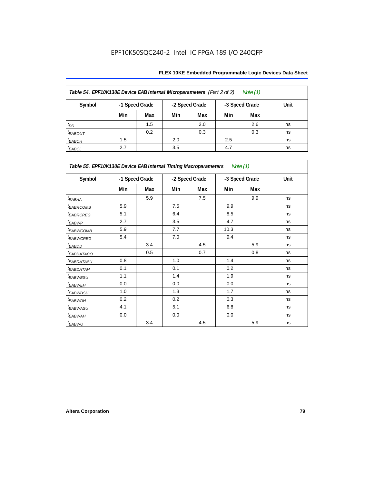| Table 54. EPF10K130E Device EAB Internal Microparameters (Part 2 of 2)<br>Note (1) |                                                    |     |     |     |     |     |      |  |  |  |  |
|------------------------------------------------------------------------------------|----------------------------------------------------|-----|-----|-----|-----|-----|------|--|--|--|--|
| Symbol                                                                             | -1 Speed Grade<br>-2 Speed Grade<br>-3 Speed Grade |     |     |     |     |     | Unit |  |  |  |  |
|                                                                                    | Min                                                | Max | Min | Max | Min | Max |      |  |  |  |  |
| $t_{DD}$                                                                           |                                                    | 1.5 |     | 2.0 |     | 2.6 | ns   |  |  |  |  |
| <b><i>EABOUT</i></b>                                                               |                                                    | 0.2 |     | 0.3 |     | 0.3 | ns   |  |  |  |  |
| $t_{EABCH}$                                                                        | 1.5                                                |     | 2.0 |     | 2.5 |     | ns   |  |  |  |  |
| $t_{EABCL}$                                                                        | 2.7                                                |     | 3.5 |     | 4.7 |     | ns   |  |  |  |  |

| Table 55. EPF10K130E Device EAB Internal Timing Macroparameters Note (1) |     |                |     |                |      |                |             |  |  |
|--------------------------------------------------------------------------|-----|----------------|-----|----------------|------|----------------|-------------|--|--|
| Symbol                                                                   |     | -1 Speed Grade |     | -2 Speed Grade |      | -3 Speed Grade | <b>Unit</b> |  |  |
|                                                                          | Min | Max            | Min | Max            | Min  | Max            |             |  |  |
| $t_{EABA}$                                                               |     | 5.9            |     | 7.5            |      | 9.9            | ns          |  |  |
| <sup>t</sup> EABRCOMB                                                    | 5.9 |                | 7.5 |                | 9.9  |                | ns          |  |  |
| <b><i>EABROREG</i></b>                                                   | 5.1 |                | 6.4 |                | 8.5  |                | ns          |  |  |
| t <sub>EABWP</sub>                                                       | 2.7 |                | 3.5 |                | 4.7  |                | ns          |  |  |
| <sup>t</sup> EABWCOMB                                                    | 5.9 |                | 7.7 |                | 10.3 |                | ns          |  |  |
| <sup>t</sup> EABWCREG                                                    | 5.4 |                | 7.0 |                | 9.4  |                | ns          |  |  |
| <sup>t</sup> EABDD                                                       |     | 3.4            |     | 4.5            |      | 5.9            | ns          |  |  |
| <sup>t</sup> EABDATACO                                                   |     | 0.5            |     | 0.7            |      | 0.8            | ns          |  |  |
| <sup>t</sup> EABDATASU                                                   | 0.8 |                | 1.0 |                | 1.4  |                | ns          |  |  |
| <sup>t</sup> EABDATAH                                                    | 0.1 |                | 0.1 |                | 0.2  |                | ns          |  |  |
| <sup>t</sup> EABWESU                                                     | 1.1 |                | 1.4 |                | 1.9  |                | ns          |  |  |
| <sup>t</sup> EABWEH                                                      | 0.0 |                | 0.0 |                | 0.0  |                | ns          |  |  |
| <sup>t</sup> EABWDSU                                                     | 1.0 |                | 1.3 |                | 1.7  |                | ns          |  |  |
| <sup>t</sup> EABWDH                                                      | 0.2 |                | 0.2 |                | 0.3  |                | ns          |  |  |
| <sup>t</sup> EABWASU                                                     | 4.1 |                | 5.1 |                | 6.8  |                | ns          |  |  |
| <sup>t</sup> EABWAH                                                      | 0.0 |                | 0.0 |                | 0.0  |                | ns          |  |  |
| t <sub>EABWO</sub>                                                       |     | 3.4            |     | 4.5            |      | 5.9            | ns          |  |  |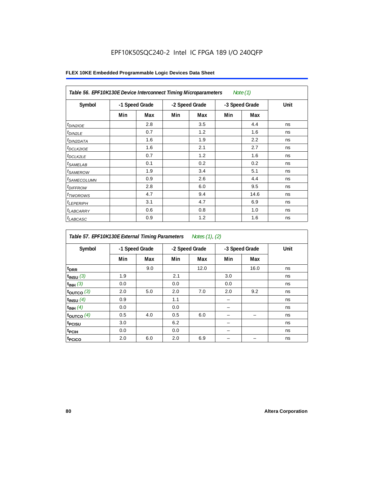| Table 56. EPF10K130E Device Interconnect Timing Microparameters<br>Note $(1)$ |                |     |                |     |                |      |      |  |  |  |
|-------------------------------------------------------------------------------|----------------|-----|----------------|-----|----------------|------|------|--|--|--|
| Symbol                                                                        | -1 Speed Grade |     | -2 Speed Grade |     | -3 Speed Grade |      | Unit |  |  |  |
|                                                                               | Min            | Max | Min            | Max | Min            | Max  |      |  |  |  |
| $t_{DIN2IOE}$                                                                 |                | 2.8 |                | 3.5 |                | 4.4  | ns   |  |  |  |
| $t_{DIN2LE}$                                                                  |                | 0.7 |                | 1.2 |                | 1.6  | ns   |  |  |  |
| <sup>t</sup> DIN2DATA                                                         |                | 1.6 |                | 1.9 |                | 2.2  | ns   |  |  |  |
| $t_{DCLK2IOE}$                                                                |                | 1.6 |                | 2.1 |                | 2.7  | ns   |  |  |  |
| $t_{DCLK2LE}$                                                                 |                | 0.7 |                | 1.2 |                | 1.6  | ns   |  |  |  |
| <sup>t</sup> SAMELAB                                                          |                | 0.1 |                | 0.2 |                | 0.2  | ns   |  |  |  |
| <sup>t</sup> SAMEROW                                                          |                | 1.9 |                | 3.4 |                | 5.1  | ns   |  |  |  |
| <sup>t</sup> SAMECOLUMN                                                       |                | 0.9 |                | 2.6 |                | 4.4  | ns   |  |  |  |
| <i>t<sub>DIFFROW</sub></i>                                                    |                | 2.8 |                | 6.0 |                | 9.5  | ns   |  |  |  |
| <sup>t</sup> TWOROWS                                                          |                | 4.7 |                | 9.4 |                | 14.6 | ns   |  |  |  |
| <sup>t</sup> LEPERIPH                                                         |                | 3.1 |                | 4.7 |                | 6.9  | ns   |  |  |  |
| <sup>t</sup> LABCARRY                                                         |                | 0.6 |                | 0.8 |                | 1.0  | ns   |  |  |  |
| <sup>t</sup> LABCASC                                                          |                | 0.9 |                | 1.2 |                | 1.6  | ns   |  |  |  |

| Table 57. EPF10K130E External Timing Parameters Notes (1), (2) |                |     |     |                |     |                |      |  |  |
|----------------------------------------------------------------|----------------|-----|-----|----------------|-----|----------------|------|--|--|
| Symbol                                                         | -1 Speed Grade |     |     | -2 Speed Grade |     | -3 Speed Grade | Unit |  |  |
|                                                                | Min            | Max | Min | Max            | Min | Max            |      |  |  |
| t <sub>DRR</sub>                                               |                | 9.0 |     | 12.0           |     | 16.0           | ns   |  |  |
| $t_{INSU}$ (3)                                                 | 1.9            |     | 2.1 |                | 3.0 |                | ns   |  |  |
| $t_{INH}$ (3)                                                  | 0.0            |     | 0.0 |                | 0.0 |                | ns   |  |  |
| $t_{OUTCO}$ (3)                                                | 2.0            | 5.0 | 2.0 | 7.0            | 2.0 | 9.2            | ns   |  |  |
| $t_{INSU}$ (4)                                                 | 0.9            |     | 1.1 |                |     |                | ns   |  |  |
| $t_{INH}$ (4)                                                  | 0.0            |     | 0.0 |                |     |                | ns   |  |  |
| $t_{OUTCO}$ (4)                                                | 0.5            | 4.0 | 0.5 | 6.0            |     |                | ns   |  |  |
| t <sub>PCISU</sub>                                             | 3.0            |     | 6.2 |                |     |                | ns   |  |  |
| $t_{\rm{PCH}}$                                                 | 0.0            |     | 0.0 |                |     |                | ns   |  |  |
| t <sub>PCICO</sub>                                             | 2.0            | 6.0 | 2.0 | 6.9            |     |                | ns   |  |  |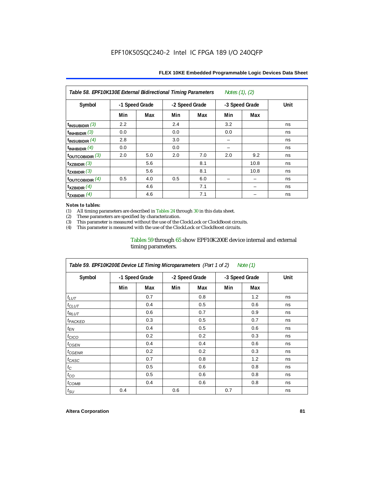| Notes $(1)$ , $(2)$<br>Table 58. EPF10K130E External Bidirectional Timing Parameters |                |     |     |                |     |                |      |  |  |
|--------------------------------------------------------------------------------------|----------------|-----|-----|----------------|-----|----------------|------|--|--|
| Symbol                                                                               | -1 Speed Grade |     |     | -2 Speed Grade |     | -3 Speed Grade | Unit |  |  |
|                                                                                      | Min            | Max | Min | Max            | Min | Max            |      |  |  |
| $t_{INSUBIDIR}$ (3)                                                                  | 2.2            |     | 2.4 |                | 3.2 |                | ns   |  |  |
| $t_{INHBIDIR}$ (3)                                                                   | 0.0            |     | 0.0 |                | 0.0 |                | ns   |  |  |
| $t_{INSUBIDIR}(4)$                                                                   | 2.8            |     | 3.0 |                |     |                | ns   |  |  |
| t <sub>INHBIDIR</sub> $(4)$                                                          | 0.0            |     | 0.0 |                |     |                | ns   |  |  |
| toutcobidir $(3)$                                                                    | 2.0            | 5.0 | 2.0 | 7.0            | 2.0 | 9.2            | ns   |  |  |
| $\mathsf{t}_{\texttt{XZBIDIR}}(3)$                                                   |                | 5.6 |     | 8.1            |     | 10.8           | ns   |  |  |
| $t_{ZXBIDIR}$ (3)                                                                    |                | 5.6 |     | 8.1            |     | 10.8           | ns   |  |  |
| $\tt$ OUTCOBIDIR $(4)$                                                               | 0.5            | 4.0 | 0.5 | 6.0            |     |                | ns   |  |  |
| $t_{XZBIDIR}$ (4)                                                                    |                | 4.6 |     | 7.1            |     |                | ns   |  |  |
| $\mathsf{t}_{\mathsf{ZXBIDIR}}$ (4)                                                  |                | 4.6 |     | 7.1            |     |                | ns   |  |  |

#### *Notes to tables:*

(1) All timing parameters are described in Tables 24 through 30 in this data sheet.<br>(2) These parameters are specified by characterization.

(2) These parameters are specified by characterization.<br>
(3) This parameter is measured without the use of the C

This parameter is measured without the use of the ClockLock or ClockBoost circuits.

(4) This parameter is measured with the use of the ClockLock or ClockBoost circuits.

#### Tables 59 through 65 show EPF10K200E device internal and external timing parameters.

| Table 59. EPF10K200E Device LE Timing Microparameters (Part 1 of 2) Note (1) |     |                |     |                |                |     |      |  |  |
|------------------------------------------------------------------------------|-----|----------------|-----|----------------|----------------|-----|------|--|--|
| Symbol                                                                       |     | -1 Speed Grade |     | -2 Speed Grade | -3 Speed Grade |     | Unit |  |  |
|                                                                              | Min | Max            | Min | Max            | Min            | Max |      |  |  |
| $t_{LUT}$                                                                    |     | 0.7            |     | 0.8            |                | 1.2 | ns   |  |  |
| $t_{CLUT}$                                                                   |     | 0.4            |     | 0.5            |                | 0.6 | ns   |  |  |
| $t_{RLUT}$                                                                   |     | 0.6            |     | 0.7            |                | 0.9 | ns   |  |  |
| <sup>t</sup> PACKED                                                          |     | 0.3            |     | 0.5            |                | 0.7 | ns   |  |  |
| $t_{EN}$                                                                     |     | 0.4            |     | 0.5            |                | 0.6 | ns   |  |  |
| $t_{CICO}$                                                                   |     | 0.2            |     | 0.2            |                | 0.3 | ns   |  |  |
| $t_{GEN}$                                                                    |     | 0.4            |     | 0.4            |                | 0.6 | ns   |  |  |
| <sup>t</sup> CGENR                                                           |     | 0.2            |     | 0.2            |                | 0.3 | ns   |  |  |
| $t_{CASC}$                                                                   |     | 0.7            |     | 0.8            |                | 1.2 | ns   |  |  |
| $t_C$                                                                        |     | 0.5            |     | 0.6            |                | 0.8 | ns   |  |  |
| $t_{CO}$                                                                     |     | 0.5            |     | 0.6            |                | 0.8 | ns   |  |  |
| $t_{COMB}$                                                                   |     | 0.4            |     | 0.6            |                | 0.8 | ns   |  |  |
| $t_{\text{SU}}$                                                              | 0.4 |                | 0.6 |                | 0.7            |     | ns   |  |  |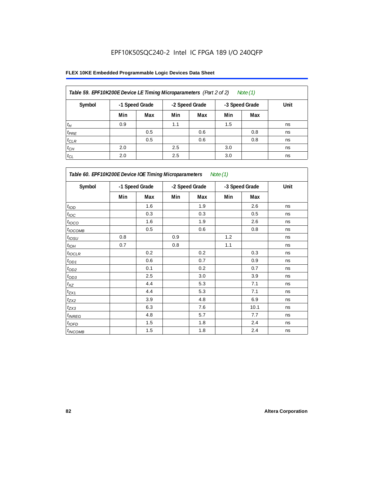| Table 59. EPF10K200E Device LE Timing Microparameters (Part 2 of 2)<br>Note (1) |     |                |     |                |     |                |      |  |  |  |
|---------------------------------------------------------------------------------|-----|----------------|-----|----------------|-----|----------------|------|--|--|--|
| Symbol                                                                          |     | -1 Speed Grade |     | -2 Speed Grade |     | -3 Speed Grade | Unit |  |  |  |
|                                                                                 | Min | Max            | Min | Max            | Min | Max            |      |  |  |  |
| $t_H$                                                                           | 0.9 |                | 1.1 |                | 1.5 |                | ns   |  |  |  |
| $t_{PRE}$                                                                       |     | 0.5            |     | 0.6            |     | 0.8            | ns   |  |  |  |
| $t_{CLR}$                                                                       |     | 0.5            |     | 0.6            |     | 0.8            | ns   |  |  |  |
| $t_{CH}$                                                                        | 2.0 |                | 2.5 |                | 3.0 |                | ns   |  |  |  |
| $t_{CL}$                                                                        | 2.0 |                | 2.5 |                | 3.0 |                | ns   |  |  |  |

| Table 60. EPF10K200E Device IOE Timing Microparameters Note (1) |                |     |                |     |                |      |      |  |
|-----------------------------------------------------------------|----------------|-----|----------------|-----|----------------|------|------|--|
| Symbol                                                          | -1 Speed Grade |     | -2 Speed Grade |     | -3 Speed Grade |      | Unit |  |
|                                                                 | Min            | Max | Min            | Max | Min            | Max  |      |  |
| t <sub>IOD</sub>                                                |                | 1.6 |                | 1.9 |                | 2.6  | ns   |  |
| $t_{\text{IOC}}$                                                |                | 0.3 |                | 0.3 |                | 0.5  | ns   |  |
| $t_{IOCO}$                                                      |                | 1.6 |                | 1.9 |                | 2.6  | ns   |  |
| $t_{IOCOMB}$                                                    |                | 0.5 |                | 0.6 |                | 0.8  | ns   |  |
| $t_{IOSU}$                                                      | 0.8            |     | 0.9            |     | 1.2            |      | ns   |  |
| $t_{IOH}$                                                       | 0.7            |     | 0.8            |     | 1.1            |      | ns   |  |
| $t_{IOCLR}$                                                     |                | 0.2 |                | 0.2 |                | 0.3  | ns   |  |
| $t_{OD1}$                                                       |                | 0.6 |                | 0.7 |                | 0.9  | ns   |  |
| $t_{OD2}$                                                       |                | 0.1 |                | 0.2 |                | 0.7  | ns   |  |
| $t_{\underline{OD3}}$                                           |                | 2.5 |                | 3.0 |                | 3.9  | ns   |  |
| $t_{\mathsf{XZ}}$                                               |                | 4.4 |                | 5.3 |                | 7.1  | ns   |  |
| $t_{ZX1}$                                                       |                | 4.4 |                | 5.3 |                | 7.1  | ns   |  |
| $t_{ZX2}$                                                       |                | 3.9 |                | 4.8 |                | 6.9  | ns   |  |
| $t_{ZX3}$                                                       |                | 6.3 |                | 7.6 |                | 10.1 | ns   |  |
| $t_{INREG}$                                                     |                | 4.8 |                | 5.7 |                | 7.7  | ns   |  |
| $t_{IOED}$                                                      |                | 1.5 |                | 1.8 |                | 2.4  | ns   |  |
| $t_{INCOMB}$                                                    |                | 1.5 |                | 1.8 |                | 2.4  | ns   |  |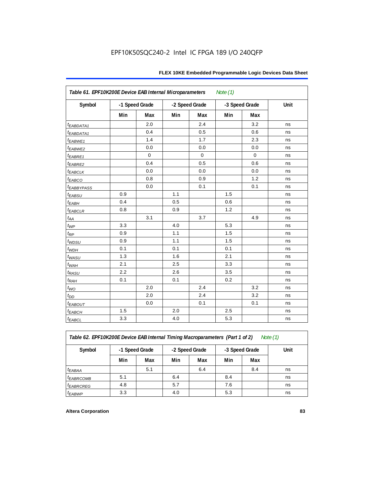| Table 61. EPF10K200E Device EAB Internal Microparameters<br>Note $(1)$ |                |             |                |             |                |             |      |  |  |
|------------------------------------------------------------------------|----------------|-------------|----------------|-------------|----------------|-------------|------|--|--|
| Symbol                                                                 | -1 Speed Grade |             | -2 Speed Grade |             | -3 Speed Grade |             | Unit |  |  |
|                                                                        | Min            | Max         | Min            | Max         | Min            | Max         |      |  |  |
| $t_{EABDATA1}$                                                         |                | 2.0         |                | 2.4         |                | 3.2         | ns   |  |  |
| t <sub>EABDATA1</sub>                                                  |                | 0.4         |                | 0.5         |                | 0.6         | ns   |  |  |
| t <sub>EABWE1</sub>                                                    |                | 1.4         |                | 1.7         |                | 2.3         | ns   |  |  |
| t <sub>EABWE2</sub>                                                    |                | 0.0         |                | 0.0         |                | 0.0         | ns   |  |  |
| $t_{EABRE1}$                                                           |                | $\mathbf 0$ |                | $\mathbf 0$ |                | $\mathbf 0$ | ns   |  |  |
| $t_{EABRE2}$                                                           |                | 0.4         |                | 0.5         |                | 0.6         | ns   |  |  |
| $t_{EABCLK}$                                                           |                | 0.0         |                | 0.0         |                | 0.0         | ns   |  |  |
| $t_{EABCO}$                                                            |                | 0.8         |                | 0.9         |                | 1.2         | ns   |  |  |
| <i><b>EABBYPASS</b></i>                                                |                | 0.0         |                | 0.1         |                | 0.1         | ns   |  |  |
| $t_{EABSU}$                                                            | 0.9            |             | 1.1            |             | 1.5            |             | ns   |  |  |
| $t_{EABH}$                                                             | 0.4            |             | 0.5            |             | 0.6            |             | ns   |  |  |
| $t_{EABCLR}$                                                           | 0.8            |             | 0.9            |             | 1.2            |             | ns   |  |  |
| $t_{AA}$                                                               |                | 3.1         |                | 3.7         |                | 4.9         | ns   |  |  |
| $t_{WP}$                                                               | 3.3            |             | 4.0            |             | 5.3            |             | ns   |  |  |
| $t_{RP}$                                                               | 0.9            |             | 1.1            |             | 1.5            |             | ns   |  |  |
| t <sub>WDSU</sub>                                                      | 0.9            |             | 1.1            |             | 1.5            |             | ns   |  |  |
| $t_{WDH}$                                                              | 0.1            |             | 0.1            |             | 0.1            |             | ns   |  |  |
| $t_{WASU}$                                                             | 1.3            |             | 1.6            |             | 2.1            |             | ns   |  |  |
| $t_{\textit{WAH}}$                                                     | 2.1            |             | 2.5            |             | 3.3            |             | ns   |  |  |
| $t_{RASU}$                                                             | 2.2            |             | 2.6            |             | 3.5            |             | ns   |  |  |
| $t_{RAH}$                                                              | 0.1            |             | 0.1            |             | 0.2            |             | ns   |  |  |
| $t_{WO}$                                                               |                | 2.0         |                | 2.4         |                | 3.2         | ns   |  |  |
| $t_{DD}$                                                               |                | 2.0         |                | 2.4         |                | 3.2         | ns   |  |  |
| $t_{EABOUT}$                                                           |                | 0.0         |                | 0.1         |                | 0.1         | ns   |  |  |
| $t_{EABCH}$                                                            | 1.5            |             | 2.0            |             | 2.5            |             | ns   |  |  |
| $t_{EABCL}$                                                            | 3.3            |             | 4.0            |             | 5.3            |             | ns   |  |  |

*Table 62. EPF10K200E Device EAB Internal Timing Macroparameters (Part 1 of 2) Note (1)*

| Symbol                      | -1 Speed Grade |     |     | -2 Speed Grade |     | -3 Speed Grade | Unit |
|-----------------------------|----------------|-----|-----|----------------|-----|----------------|------|
|                             | Min            | Max | Min | Max            | Min | Max            |      |
| t <sub>EABAA</sub>          |                | 5.1 |     | 6.4            |     | 8.4            | ns   |
| t <sub>EABRCOMB</sub>       | 5.1            |     | 6.4 |                | 8.4 |                | ns   |
| <i>t<sub>EABRCREG</sub></i> | 4.8            |     | 5.7 |                | 7.6 |                | ns   |
| t <sub>EABWP</sub>          | 3.3            |     | 4.0 |                | 5.3 |                | ns   |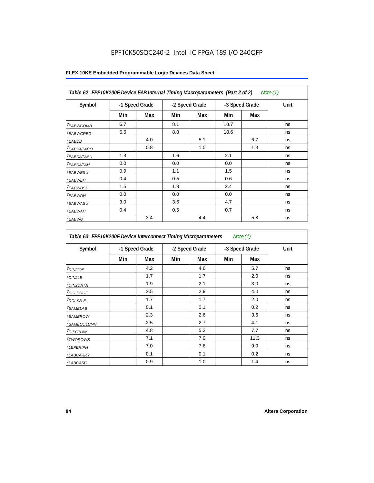| Table 62. EPF10K200E Device EAB Internal Timing Macroparameters (Part 2 of 2)<br>Note (1) |                |     |                |     |                |     |      |  |  |
|-------------------------------------------------------------------------------------------|----------------|-----|----------------|-----|----------------|-----|------|--|--|
| Symbol                                                                                    | -1 Speed Grade |     | -2 Speed Grade |     | -3 Speed Grade |     | Unit |  |  |
|                                                                                           | Min            | Max | Min            | Max | Min            | Max |      |  |  |
| <sup>t</sup> EABWCOMB                                                                     | 6.7            |     | 8.1            |     | 10.7           |     | ns   |  |  |
| <sup>t</sup> EABWCREG                                                                     | 6.6            |     | 8.0            |     | 10.6           |     | ns   |  |  |
| <sup>t</sup> EABDD                                                                        |                | 4.0 |                | 5.1 |                | 6.7 | ns   |  |  |
| <sup>t</sup> EABDATACO                                                                    |                | 0.8 |                | 1.0 |                | 1.3 | ns   |  |  |
| <sup>t</sup> EABDATASU                                                                    | 1.3            |     | 1.6            |     | 2.1            |     | ns   |  |  |
| <sup>t</sup> EABDATAH                                                                     | 0.0            |     | 0.0            |     | 0.0            |     | ns   |  |  |
| <sup>t</sup> EABWESU                                                                      | 0.9            |     | 1.1            |     | 1.5            |     | ns   |  |  |
| <sup>t</sup> EABWEH                                                                       | 0.4            |     | 0.5            |     | 0.6            |     | ns   |  |  |
| <sup>t</sup> EABWDSU                                                                      | 1.5            |     | 1.8            |     | 2.4            |     | ns   |  |  |
| <sup>t</sup> EABWDH                                                                       | 0.0            |     | 0.0            |     | 0.0            |     | ns   |  |  |
| <sup>t</sup> EABWASU                                                                      | 3.0            |     | 3.6            |     | 4.7            |     | ns   |  |  |
| <sup>t</sup> EABWAH                                                                       | 0.4            |     | 0.5            |     | 0.7            |     | ns   |  |  |
| <sup>t</sup> EABWO                                                                        |                | 3.4 |                | 4.4 |                | 5.8 | ns   |  |  |

| Table 63. EPF10K200E Device Interconnect Timing Microparameters<br>Note $(1)$ |     |                |                |     |                |      |      |  |  |
|-------------------------------------------------------------------------------|-----|----------------|----------------|-----|----------------|------|------|--|--|
| Symbol                                                                        |     | -1 Speed Grade | -2 Speed Grade |     | -3 Speed Grade |      | Unit |  |  |
|                                                                               | Min | Max            | Min            | Max | Min            | Max  |      |  |  |
| t <sub>DIN2IOE</sub>                                                          |     | 4.2            |                | 4.6 |                | 5.7  | ns   |  |  |
| t <sub>DIN2LE</sub>                                                           |     | 1.7            |                | 1.7 |                | 2.0  | ns   |  |  |
| <sup>t</sup> DIN2DATA                                                         |     | 1.9            |                | 2.1 |                | 3.0  | ns   |  |  |
| <sup>t</sup> DCLK2IOE                                                         |     | 2.5            |                | 2.9 |                | 4.0  | ns   |  |  |
| <sup>t</sup> DCLK2LE                                                          |     | 1.7            |                | 1.7 |                | 2.0  | ns   |  |  |
| <sup>t</sup> SAMELAB                                                          |     | 0.1            |                | 0.1 |                | 0.2  | ns   |  |  |
| <i>t</i> SAMEROW                                                              |     | 2.3            |                | 2.6 |                | 3.6  | ns   |  |  |
| <sup>t</sup> SAMECOLUMN                                                       |     | 2.5            |                | 2.7 |                | 4.1  | ns   |  |  |
| <sup>t</sup> DIFFROW                                                          |     | 4.8            |                | 5.3 |                | 7.7  | ns   |  |  |
| t <sub>TWOROWS</sub>                                                          |     | 7.1            |                | 7.9 |                | 11.3 | ns   |  |  |
| <sup>t</sup> LEPERIPH                                                         |     | 7.0            |                | 7.6 |                | 9.0  | ns   |  |  |
| <sup>t</sup> LABCARRY                                                         |     | 0.1            |                | 0.1 |                | 0.2  | ns   |  |  |
| t <sub>LABCASC</sub>                                                          |     | 0.9            |                | 1.0 |                | 1.4  | ns   |  |  |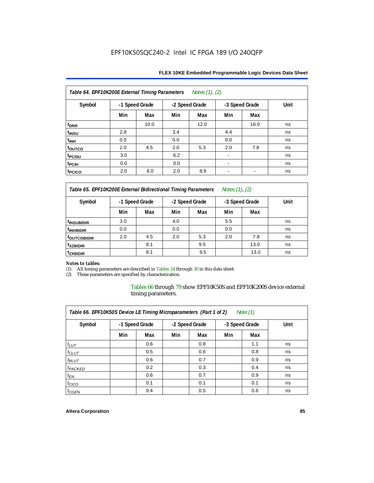| Table 64. EPF10K200E External Timing Parameters<br>Notes (1), (2) |                |      |     |                |     |                |      |  |  |  |
|-------------------------------------------------------------------|----------------|------|-----|----------------|-----|----------------|------|--|--|--|
| Symbol                                                            | -1 Speed Grade |      |     | -2 Speed Grade |     | -3 Speed Grade | Unit |  |  |  |
|                                                                   | Min            | Max  | Min | Max            | Min | Max            |      |  |  |  |
| t <sub>DRR</sub>                                                  |                | 10.0 |     | 12.0           |     | 16.0           | ns   |  |  |  |
| t <sub>insu</sub>                                                 | 2.8            |      | 3.4 |                | 4.4 |                | ns   |  |  |  |
| t <sub>INH</sub>                                                  | 0.0            |      | 0.0 |                | 0.0 |                | ns   |  |  |  |
| toutco                                                            | 2.0            | 4.5  | 2.0 | 5.3            | 2.0 | 7.8            | ns   |  |  |  |
| <sup>t</sup> PCISU                                                | 3.0            |      | 6.2 |                |     |                | ns   |  |  |  |
| t <sub>pCIH</sub>                                                 | 0.0            |      | 0.0 |                |     |                | ns   |  |  |  |
| t <sub>PCICO</sub>                                                | 2.0            | 6.0  | 2.0 | 8.9            |     | $\blacksquare$ | ns   |  |  |  |

*Table 65. EPF10K200E External Bidirectional Timing Parameters Notes (1), (2)*

| Symbol                  | -1 Speed Grade |     | -2 Speed Grade |     | -3 Speed Grade |      | Unit |
|-------------------------|----------------|-----|----------------|-----|----------------|------|------|
|                         | Min            | Max | Min            | Max | Min            | Max  |      |
| <sup>t</sup> INSUBIDIR  | 3.0            |     | 4.0            |     | 5.5            |      | ns   |
| <sup>t</sup> INHBIDIR   | 0.0            |     | 0.0            |     | 0.0            |      | ns   |
| <sup>t</sup> OUTCOBIDIR | 2.0            | 4.5 | 2.0            | 5.3 | 2.0            | 7.8  | ns   |
| <sup>t</sup> xzbidir    |                | 8.1 |                | 9.5 |                | 13.0 | ns   |
| <sup>t</sup> zxbidir    |                | 8.1 |                | 9.5 |                | 13.0 | ns   |

# *Notes to tables:*

(1) All timing parameters are described in Tables 24 through 30 in this data sheet.<br>(2) These parameters are specified by characterization.

These parameters are specified by characterization.

Tables 66 through 79 show EPF10K50S and EPF10K200S device external timing parameters.

| Table 66. EPF10K50S Device LE Timing Microparameters (Part 1 of 2)<br>Note $(1)$ |     |                |     |                |     |                |      |  |  |  |  |
|----------------------------------------------------------------------------------|-----|----------------|-----|----------------|-----|----------------|------|--|--|--|--|
| Symbol                                                                           |     | -1 Speed Grade |     | -2 Speed Grade |     | -3 Speed Grade | Unit |  |  |  |  |
|                                                                                  | Min | Max            | Min | Max            | Min | Max            |      |  |  |  |  |
| $t_{LUT}$                                                                        |     | 0.6            |     | 0.8            |     | 1.1            | ns   |  |  |  |  |
| $t_{CLUT}$                                                                       |     | 0.5            |     | 0.6            |     | 0.8            | ns   |  |  |  |  |
| $t_{RLUT}$                                                                       |     | 0.6            |     | 0.7            |     | 0.9            | ns   |  |  |  |  |
| <sup>t</sup> PACKED                                                              |     | 0.2            |     | 0.3            |     | 0.4            | ns   |  |  |  |  |
| $t_{EN}$                                                                         |     | 0.6            |     | 0.7            |     | 0.9            | ns   |  |  |  |  |
| $t_{CICO}$                                                                       |     | 0.1            |     | 0.1            |     | 0.1            | ns   |  |  |  |  |
| $t_{GEN}$                                                                        |     | 0.4            |     | 0.5            |     | 0.6            | ns   |  |  |  |  |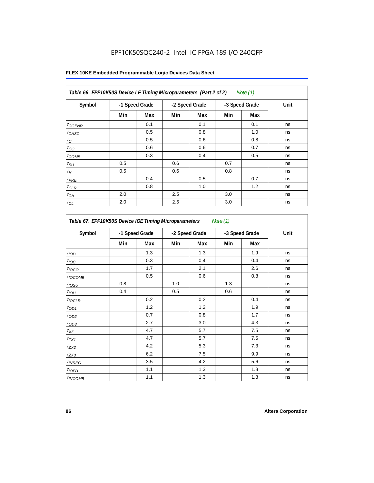| Table 66. EPF10K50S Device LE Timing Microparameters (Part 2 of 2)<br>Note (1) |                |     |     |                |     |                |      |  |  |  |
|--------------------------------------------------------------------------------|----------------|-----|-----|----------------|-----|----------------|------|--|--|--|
| Symbol                                                                         | -1 Speed Grade |     |     | -2 Speed Grade |     | -3 Speed Grade | Unit |  |  |  |
|                                                                                | Min            | Max | Min | Max            | Min | Max            |      |  |  |  |
| $t_{G\textit{ENR}}$                                                            |                | 0.1 |     | 0.1            |     | 0.1            | ns   |  |  |  |
| $t_{CASC}$                                                                     |                | 0.5 |     | 0.8            |     | 1.0            | ns   |  |  |  |
| $t_C$                                                                          |                | 0.5 |     | 0.6            |     | 0.8            | ns   |  |  |  |
| $t_{CO}$                                                                       |                | 0.6 |     | 0.6            |     | 0.7            | ns   |  |  |  |
| $t_{COMB}$                                                                     |                | 0.3 |     | 0.4            |     | 0.5            | ns   |  |  |  |
| $t_{\text{SU}}$                                                                | 0.5            |     | 0.6 |                | 0.7 |                | ns   |  |  |  |
| $t_H\,$                                                                        | 0.5            |     | 0.6 |                | 0.8 |                | ns   |  |  |  |
| $t_{PRE}$                                                                      |                | 0.4 |     | 0.5            |     | 0.7            | ns   |  |  |  |
| $t_{CLR}$                                                                      |                | 0.8 |     | 1.0            |     | 1.2            | ns   |  |  |  |
| $t_{\mathit{CH}}$                                                              | 2.0            |     | 2.5 |                | 3.0 |                | ns   |  |  |  |
| $t_{CL}$                                                                       | 2.0            |     | 2.5 |                | 3.0 |                | ns   |  |  |  |

| Table 67. EPF10K50S Device IOE Timing Microparameters<br>Note (1) |                |     |     |                |     |                |      |  |  |
|-------------------------------------------------------------------|----------------|-----|-----|----------------|-----|----------------|------|--|--|
| Symbol                                                            | -1 Speed Grade |     |     | -2 Speed Grade |     | -3 Speed Grade | Unit |  |  |
|                                                                   | Min            | Max | Min | Max            | Min | Max            |      |  |  |
| t <sub>IOD</sub>                                                  |                | 1.3 |     | 1.3            |     | 1.9            | ns   |  |  |
| $t_{\text{IOC}}$                                                  |                | 0.3 |     | 0.4            |     | 0.4            | ns   |  |  |
| t <sub>IOCO</sub>                                                 |                | 1.7 |     | 2.1            |     | 2.6            | ns   |  |  |
| $t_{IOCOMB}$                                                      |                | 0.5 |     | 0.6            |     | 0.8            | ns   |  |  |
| t <sub>iosu</sub>                                                 | 0.8            |     | 1.0 |                | 1.3 |                | ns   |  |  |
| $t_{IOM}$                                                         | 0.4            |     | 0.5 |                | 0.6 |                | ns   |  |  |
| $t_{IOCLR}$                                                       |                | 0.2 |     | 0.2            |     | 0.4            | ns   |  |  |
| $t_{OD1}$                                                         |                | 1.2 |     | 1.2            |     | 1.9            | ns   |  |  |
| $t_{OD2}$                                                         |                | 0.7 |     | 0.8            |     | 1.7            | ns   |  |  |
| $t_{OD3}$                                                         |                | 2.7 |     | 3.0            |     | 4.3            | ns   |  |  |
| $t_{\mathsf{XZ}}$                                                 |                | 4.7 |     | 5.7            |     | 7.5            | ns   |  |  |
| $t_{ZX1}$                                                         |                | 4.7 |     | 5.7            |     | 7.5            | ns   |  |  |
| $t_{ZX2}$                                                         |                | 4.2 |     | 5.3            |     | 7.3            | ns   |  |  |
| $t_{ZX3}$                                                         |                | 6.2 |     | 7.5            |     | 9.9            | ns   |  |  |
| <i>t</i> <sub>INREG</sub>                                         |                | 3.5 |     | 4.2            |     | 5.6            | ns   |  |  |
| $t_{IOFD}$                                                        |                | 1.1 |     | 1.3            |     | 1.8            | ns   |  |  |
| $t_{INCOMB}$                                                      |                | 1.1 |     | 1.3            |     | 1.8            | ns   |  |  |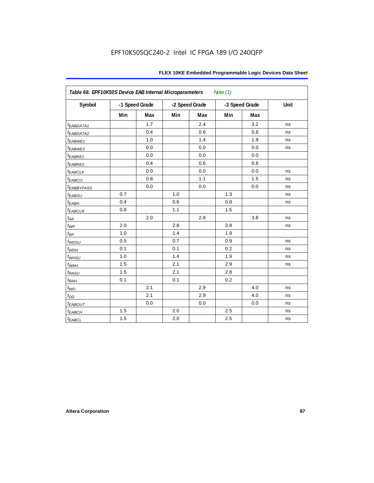| Table 68. EPF10K50S Device EAB Internal Microparameters<br>Note (1) |                |     |                |     |                |     |      |  |  |
|---------------------------------------------------------------------|----------------|-----|----------------|-----|----------------|-----|------|--|--|
| Symbol                                                              | -1 Speed Grade |     | -2 Speed Grade |     | -3 Speed Grade |     | Unit |  |  |
|                                                                     | Min            | Max | Min            | Max | Min            | Max |      |  |  |
| $t_{EABDATA1}$                                                      |                | 1.7 |                | 2.4 |                | 3.2 | ns   |  |  |
| $t_{EABDATA2}$                                                      |                | 0.4 |                | 0.6 |                | 0.8 | ns   |  |  |
| $t_{EABWE1}$                                                        |                | 1.0 |                | 1.4 |                | 1.9 | ns   |  |  |
| t <sub>EABWE2</sub>                                                 |                | 0.0 |                | 0.0 |                | 0.0 | ns   |  |  |
| $t_{EABRE1}$                                                        |                | 0.0 |                | 0.0 |                | 0.0 |      |  |  |
| $t_{EABRE2}$                                                        |                | 0.4 |                | 0.6 |                | 0.8 |      |  |  |
| $t_{EABCLK}$                                                        |                | 0.0 |                | 0.0 |                | 0.0 | ns   |  |  |
| $t_{EABCO}$                                                         |                | 0.8 |                | 1.1 |                | 1.5 | ns   |  |  |
| <i><b><i>EABBYPASS</i></b></i>                                      |                | 0.0 |                | 0.0 |                | 0.0 | ns   |  |  |
| $t_{EABSU}$                                                         | 0.7            |     | 1.0            |     | 1.3            |     | ns   |  |  |
| $t_{EABH}$                                                          | 0.4            |     | 0.6            |     | 0.8            |     | ns   |  |  |
| $t_{EABCLR}$                                                        | 0.8            |     | 1.1            |     | 1.5            |     |      |  |  |
| $t_{AA}$                                                            |                | 2.0 |                | 2.8 |                | 3.8 | ns   |  |  |
| $t_{WP}$                                                            | 2.0            |     | 2.8            |     | 3.8            |     | ns   |  |  |
| $t_{RP}$                                                            | 1.0            |     | 1.4            |     | 1.9            |     |      |  |  |
| $t_{WDSU}$                                                          | 0.5            |     | 0.7            |     | 0.9            |     | ns   |  |  |
| $t_{WDH}$                                                           | 0.1            |     | 0.1            |     | 0.2            |     | ns   |  |  |
| $t_{WASU}$                                                          | 1.0            |     | 1.4            |     | 1.9            |     | ns   |  |  |
| $t_{W\!AH}$                                                         | 1.5            |     | 2.1            |     | 2.9            |     | ns   |  |  |
| $t_{RASU}$                                                          | 1.5            |     | 2.1            |     | 2.8            |     |      |  |  |
| $t_{RAH}$                                                           | 0.1            |     | 0.1            |     | 0.2            |     |      |  |  |
| $t_{WO}$                                                            |                | 2.1 |                | 2.9 |                | 4.0 | ns   |  |  |
| $t_{DD}$                                                            |                | 2.1 |                | 2.9 |                | 4.0 | ns   |  |  |
| $t_{EABOUT}$                                                        |                | 0.0 |                | 0.0 |                | 0.0 | ns   |  |  |
| $t_{EABCH}$                                                         | 1.5            |     | 2.0            |     | 2.5            |     | ns   |  |  |
| $t_{EABCL}$                                                         | 1.5            |     | 2.0            |     | 2.5            |     | ns   |  |  |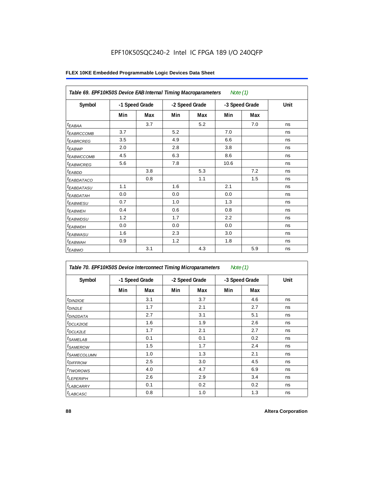| Table 69. EPF10K50S Device EAB Internal Timing Macroparameters<br>Note $(1)$ |                |     |                |     |                |     |      |  |  |  |
|------------------------------------------------------------------------------|----------------|-----|----------------|-----|----------------|-----|------|--|--|--|
| Symbol                                                                       | -1 Speed Grade |     | -2 Speed Grade |     | -3 Speed Grade |     | Unit |  |  |  |
|                                                                              | Min            | Max | Min            | Max | Min            | Max |      |  |  |  |
| $t_{EABA}$                                                                   |                | 3.7 |                | 5.2 |                | 7.0 | ns   |  |  |  |
| <sup>t</sup> EABRCCOMB                                                       | 3.7            |     | 5.2            |     | 7.0            |     | ns   |  |  |  |
| <i><b>EABRCREG</b></i>                                                       | 3.5            |     | 4.9            |     | 6.6            |     | ns   |  |  |  |
| $t_{EABWP}$                                                                  | 2.0            |     | 2.8            |     | 3.8            |     | ns   |  |  |  |
| <sup>t</sup> EABWCCOMB                                                       | 4.5            |     | 6.3            |     | 8.6            |     | ns   |  |  |  |
| <i>EABWCREG</i>                                                              | 5.6            |     | 7.8            |     | 10.6           |     | ns   |  |  |  |
| $t_{EABDD}$                                                                  |                | 3.8 |                | 5.3 |                | 7.2 | ns   |  |  |  |
| <sup>t</sup> EABDATACO                                                       |                | 0.8 |                | 1.1 |                | 1.5 | ns   |  |  |  |
| <i>t<sub>EABDATASU</sub></i>                                                 | 1.1            |     | 1.6            |     | 2.1            |     | ns   |  |  |  |
| t <sub>EABDATAH</sub>                                                        | 0.0            |     | 0.0            |     | 0.0            |     | ns   |  |  |  |
| t <sub>EABWESU</sub>                                                         | 0.7            |     | 1.0            |     | 1.3            |     | ns   |  |  |  |
| <sup>t</sup> EABWEH                                                          | 0.4            |     | 0.6            |     | 0.8            |     | ns   |  |  |  |
| t <sub>EABWDSU</sub>                                                         | 1.2            |     | 1.7            |     | 2.2            |     | ns   |  |  |  |
| t <sub>EABWDH</sub>                                                          | 0.0            |     | 0.0            |     | 0.0            |     | ns   |  |  |  |
| t <sub>EABWASU</sub>                                                         | 1.6            |     | 2.3            |     | 3.0            |     | ns   |  |  |  |
| t <sub>EABWAH</sub>                                                          | 0.9            |     | 1.2            |     | 1.8            |     | ns   |  |  |  |
| $t_{EABWO}$                                                                  |                | 3.1 |                | 4.3 |                | 5.9 | ns   |  |  |  |

| Table 70. EPF10K50S Device Interconnect Timing Microparameters<br>Note $(1)$ |                |     |     |                |                |     |      |  |  |
|------------------------------------------------------------------------------|----------------|-----|-----|----------------|----------------|-----|------|--|--|
| Symbol                                                                       | -1 Speed Grade |     |     | -2 Speed Grade | -3 Speed Grade |     | Unit |  |  |
|                                                                              | Min            | Max | Min | Max            | Min            | Max |      |  |  |
| t <sub>DIN2IOE</sub>                                                         |                | 3.1 |     | 3.7            |                | 4.6 | ns   |  |  |
| <sup>t</sup> DIN2LE                                                          |                | 1.7 |     | 2.1            |                | 2.7 | ns   |  |  |
| <sup>t</sup> DIN2DATA                                                        |                | 2.7 |     | 3.1            |                | 5.1 | ns   |  |  |
| <sup>t</sup> DCLK2IOE                                                        |                | 1.6 |     | 1.9            |                | 2.6 | ns   |  |  |
| <sup>t</sup> DCLK2LE                                                         |                | 1.7 |     | 2.1            |                | 2.7 | ns   |  |  |
| <sup>t</sup> SAMELAB                                                         |                | 0.1 |     | 0.1            |                | 0.2 | ns   |  |  |
| <sup>t</sup> SAMEROW                                                         |                | 1.5 |     | 1.7            |                | 2.4 | ns   |  |  |
| <sup>t</sup> SAMECOLUMN                                                      |                | 1.0 |     | 1.3            |                | 2.1 | ns   |  |  |
| <i>t<sub>DIFFROW</sub></i>                                                   |                | 2.5 |     | 3.0            |                | 4.5 | ns   |  |  |
| <sup>t</sup> TWOROWS                                                         |                | 4.0 |     | 4.7            |                | 6.9 | ns   |  |  |
| <sup>t</sup> LEPERIPH                                                        |                | 2.6 |     | 2.9            |                | 3.4 | ns   |  |  |
| <b>LABCARRY</b>                                                              |                | 0.1 |     | 0.2            |                | 0.2 | ns   |  |  |
| <sup>t</sup> LABCASC                                                         |                | 0.8 |     | 1.0            |                | 1.3 | ns   |  |  |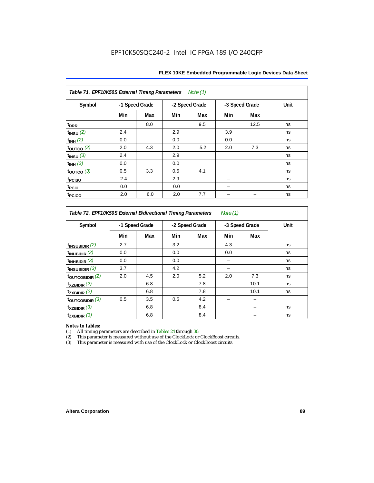| Table 71. EPF10K50S External Timing Parameters<br>Note (1) |     |                |     |                |     |                |      |  |  |
|------------------------------------------------------------|-----|----------------|-----|----------------|-----|----------------|------|--|--|
| Symbol                                                     |     | -1 Speed Grade |     | -2 Speed Grade |     | -3 Speed Grade | Unit |  |  |
|                                                            | Min | Max            | Min | Max            | Min | Max            |      |  |  |
| t <sub>DRR</sub>                                           |     | 8.0            |     | 9.5            |     | 12.5           | ns   |  |  |
| $t_{INSU}$ (2)                                             | 2.4 |                | 2.9 |                | 3.9 |                | ns   |  |  |
| $t_{INH}$ (2)                                              | 0.0 |                | 0.0 |                | 0.0 |                | ns   |  |  |
| $\tt_{\text{OUTCO}}$ (2)                                   | 2.0 | 4.3            | 2.0 | 5.2            | 2.0 | 7.3            | ns   |  |  |
| $t_{INSU}$ (3)                                             | 2.4 |                | 2.9 |                |     |                | ns   |  |  |
| $t_{INH}$ (3)                                              | 0.0 |                | 0.0 |                |     |                | ns   |  |  |
| toutco $(3)$                                               | 0.5 | 3.3            | 0.5 | 4.1            |     |                | ns   |  |  |
| t <sub>PCISU</sub>                                         | 2.4 |                | 2.9 |                |     |                | ns   |  |  |
| t <sub>PCIH</sub>                                          | 0.0 |                | 0.0 |                |     |                | ns   |  |  |
| t <sub>PCICO</sub>                                         | 2.0 | 6.0            | 2.0 | 7.7            |     |                | ns   |  |  |

*Table 72. EPF10K50S External Bidirectional Timing Parameters Note (1)*

| Symbol              | -1 Speed Grade |     | -2 Speed Grade |     | -3 Speed Grade |      | Unit |
|---------------------|----------------|-----|----------------|-----|----------------|------|------|
|                     | Min            | Max | Min            | Max | Min            | Max  |      |
| $t_{INSUBIDIR}$ (2) | 2.7            |     | 3.2            |     | 4.3            |      | ns   |
| $t_{INHBIDIR}$ (2)  | 0.0            |     | 0.0            |     | 0.0            |      | ns   |
| $t_{INHBIDIR}$ (3)  | 0.0            |     | 0.0            |     |                |      | ns   |
| $t_{INSUBIDIR}$ (3) | 3.7            |     | 4.2            |     |                |      | ns   |
| toutcobidir $(2)$   | 2.0            | 4.5 | 2.0            | 5.2 | 2.0            | 7.3  | ns   |
| $t_{XZBIDIR}$ (2)   |                | 6.8 |                | 7.8 |                | 10.1 | ns   |
| $t_{ZXBIDIR}$ (2)   |                | 6.8 |                | 7.8 |                | 10.1 | ns   |
| toutcobidir $(3)$   | 0.5            | 3.5 | 0.5            | 4.2 |                |      |      |
| $t_{XZBIDIR}$ (3)   |                | 6.8 |                | 8.4 |                |      | ns   |
| $t_{ZXBIDIR}$ (3)   |                | 6.8 |                | 8.4 |                |      | ns   |

*Notes to tables:* All timing parameters are described in Tables 24 through 30.

(2) This parameter is measured without use of the ClockLock or ClockBoost circuits.<br>(3) This parameter is measured with use of the ClockLock or ClockBoost circuits

This parameter is measured with use of the ClockLock or ClockBoost circuits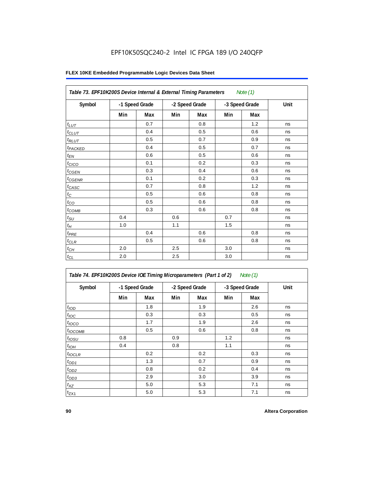| Table 73. EPF10K200S Device Internal & External Timing Parameters<br>Note $(1)$ |                |     |     |                |     |                |      |  |
|---------------------------------------------------------------------------------|----------------|-----|-----|----------------|-----|----------------|------|--|
| Symbol                                                                          | -1 Speed Grade |     |     | -2 Speed Grade |     | -3 Speed Grade | Unit |  |
|                                                                                 | Min            | Max | Min | Max            | Min | Max            |      |  |
| $t_{LUT}$                                                                       |                | 0.7 |     | 0.8            |     | 1.2            | ns   |  |
| $t_{CLUT}$                                                                      |                | 0.4 |     | 0.5            |     | 0.6            | ns   |  |
| $t_{RLUT}$                                                                      |                | 0.5 |     | 0.7            |     | 0.9            | ns   |  |
| t <sub>PACKED</sub>                                                             |                | 0.4 |     | 0.5            |     | 0.7            | ns   |  |
| $t_{EN}$                                                                        |                | 0.6 |     | 0.5            |     | 0.6            | ns   |  |
| t <sub>CICO</sub>                                                               |                | 0.1 |     | 0.2            |     | 0.3            | ns   |  |
| $t_{GEN}$                                                                       |                | 0.3 |     | 0.4            |     | 0.6            | ns   |  |
| $t_{\text{GENR}}$                                                               |                | 0.1 |     | 0.2            |     | 0.3            | ns   |  |
| $t_{CASC}$                                                                      |                | 0.7 |     | 0.8            |     | 1.2            | ns   |  |
| $t_{\rm C}$                                                                     |                | 0.5 |     | 0.6            |     | 0.8            | ns   |  |
| $t_{\rm CO}$                                                                    |                | 0.5 |     | 0.6            |     | 0.8            | ns   |  |
| $t_{COMB}$                                                                      |                | 0.3 |     | 0.6            |     | 0.8            | ns   |  |
| $t_{\rm SU}$                                                                    | 0.4            |     | 0.6 |                | 0.7 |                | ns   |  |
| $t_H\,$                                                                         | 1.0            |     | 1.1 |                | 1.5 |                | ns   |  |
| $t_{PRE}$                                                                       |                | 0.4 |     | 0.6            |     | 0.8            | ns   |  |
| $t_{CLR}$                                                                       |                | 0.5 |     | 0.6            |     | 0.8            | ns   |  |
| $t_{CH}$                                                                        | 2.0            |     | 2.5 |                | 3.0 |                | ns   |  |
| $t_{CL}$                                                                        | 2.0            |     | 2.5 |                | 3.0 |                | ns   |  |

| Table 74. EPF10K200S Device IOE Timing Microparameters (Part 1 of 2) Note (1) |  |  |  |
|-------------------------------------------------------------------------------|--|--|--|
|-------------------------------------------------------------------------------|--|--|--|

| Symbol           | -1 Speed Grade |     | -2 Speed Grade |     | -3 Speed Grade |     | Unit |
|------------------|----------------|-----|----------------|-----|----------------|-----|------|
|                  | Min            | Max | Min            | Max | Min            | Max |      |
| t <sub>IOD</sub> |                | 1.8 |                | 1.9 |                | 2.6 | ns   |
| $t_{\text{IOC}}$ |                | 0.3 |                | 0.3 |                | 0.5 | ns   |
| $t_{IOCO}$       |                | 1.7 |                | 1.9 |                | 2.6 | ns   |
| $t_{IOCOMB}$     |                | 0.5 |                | 0.6 |                | 0.8 | ns   |
| $t_{IOSU}$       | 0.8            |     | 0.9            |     | 1.2            |     | ns   |
| $t_{IOH}$        | 0.4            |     | 0.8            |     | 1.1            |     | ns   |
| $t_{IOCLR}$      |                | 0.2 |                | 0.2 |                | 0.3 | ns   |
| $t_{OD1}$        |                | 1.3 |                | 0.7 |                | 0.9 | ns   |
| $t_{OD2}$        |                | 0.8 |                | 0.2 |                | 0.4 | ns   |
| $t_{OD3}$        |                | 2.9 |                | 3.0 |                | 3.9 | ns   |
| $t_{XZ}$         |                | 5.0 |                | 5.3 |                | 7.1 | ns   |
| $t_{ZX1}$        |                | 5.0 |                | 5.3 |                | 7.1 | ns   |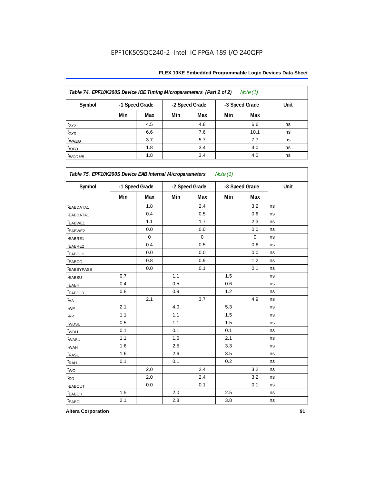| Table 74. EPF10K200S Device IOE Timing Microparameters (Part 2 of 2)<br>Note $(1)$ |                |     |                |     |                |      |      |  |
|------------------------------------------------------------------------------------|----------------|-----|----------------|-----|----------------|------|------|--|
| Symbol                                                                             | -1 Speed Grade |     | -2 Speed Grade |     | -3 Speed Grade |      | Unit |  |
|                                                                                    | Min            | Max | Min            | Max | Min            | Max  |      |  |
| $t_{ZX2}$                                                                          |                | 4.5 |                | 4.8 |                | 6.6  | ns   |  |
| $t_{ZX3}$                                                                          |                | 6.6 |                | 7.6 |                | 10.1 | ns   |  |
| $t_{INREG}$                                                                        |                | 3.7 |                | 5.7 |                | 7.7  | ns   |  |
| $t_{IOFD}$                                                                         |                | 1.8 |                | 3.4 |                | 4.0  | ns   |  |
| $t_{INCOMB}$                                                                       |                | 1.8 |                | 3.4 |                | 4.0  | ns   |  |

| Symbol                |     | -1 Speed Grade |     | -2 Speed Grade |     | -3 Speed Grade | Unit |
|-----------------------|-----|----------------|-----|----------------|-----|----------------|------|
|                       | Min | Max            | Min | Max            | Min | Max            |      |
| t <sub>EABDATA1</sub> |     | 1.8            |     | 2.4            |     | 3.2            | ns   |
| t <sub>EABDATA1</sub> |     | 0.4            |     | 0.5            |     | 0.6            | ns   |
| t <sub>EABWE1</sub>   |     | 1.1            |     | 1.7            |     | 2.3            | ns   |
| t <sub>EABWE2</sub>   |     | 0.0            |     | 0.0            |     | 0.0            | ns   |
| t <sub>EABRE1</sub>   |     | $\mathbf 0$    |     | $\mathbf 0$    |     | $\mathbf 0$    | ns   |
| t <sub>EABRE2</sub>   |     | 0.4            |     | 0.5            |     | 0.6            | ns   |
| <b><i>EABCLK</i></b>  |     | 0.0            |     | 0.0            |     | 0.0            | ns   |
| t <sub>EABCO</sub>    |     | 0.8            |     | 0.9            |     | 1.2            | ns   |
| <b>EABBYPASS</b>      |     | 0.0            |     | 0.1            |     | 0.1            | ns   |
| <sup>t</sup> EABSU    | 0.7 |                | 1.1 |                | 1.5 |                | ns   |
| t <sub>EABH</sub>     | 0.4 |                | 0.5 |                | 0.6 |                | ns   |
| t <sub>EABCLR</sub>   | 0.8 |                | 0.9 |                | 1.2 |                | ns   |
| $t_{AA}$              |     | 2.1            |     | 3.7            |     | 4.9            | ns   |
| $t_{WP}$              | 2.1 |                | 4.0 |                | 5.3 |                | ns   |
| $t_{\mathsf{RP}}$     | 1.1 |                | 1.1 |                | 1.5 |                | ns   |
| t <sub>WDSU</sub>     | 0.5 |                | 1.1 |                | 1.5 |                | ns   |
| t <sub>WDH</sub>      | 0.1 |                | 0.1 |                | 0.1 |                | ns   |
| twasu                 | 1.1 |                | 1.6 |                | 2.1 |                | ns   |
| t <sub>WAH</sub>      | 1.6 |                | 2.5 |                | 3.3 |                | ns   |
| t <sub>RASU</sub>     | 1.6 |                | 2.6 |                | 3.5 |                | ns   |
| t <sub>RAH</sub>      | 0.1 |                | 0.1 |                | 0.2 |                | ns   |
| $t_{WO}$              |     | 2.0            |     | 2.4            |     | 3.2            | ns   |
| $t_{DD}$              |     | 2.0            |     | 2.4            |     | 3.2            | ns   |
| <b><i>EABOUT</i></b>  |     | 0.0            |     | 0.1            |     | 0.1            | ns   |
| t <sub>EABCH</sub>    | 1.5 |                | 2.0 |                | 2.5 |                | ns   |
| $t_{EABCL}$           | 2.1 |                | 2.8 |                | 3.8 |                | ns   |

**Altera Corporation 91**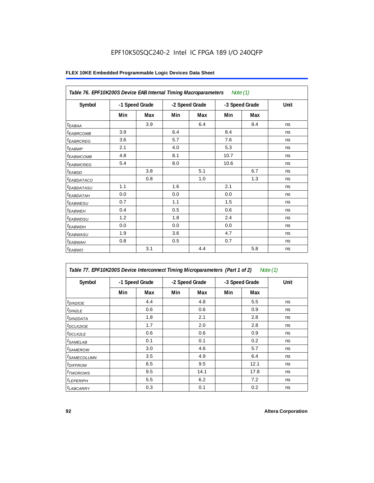| Table 76. EPF10K200S Device EAB Internal Timing Macroparameters<br>Note (1) |                |     |                |     |                |     |      |  |
|-----------------------------------------------------------------------------|----------------|-----|----------------|-----|----------------|-----|------|--|
| Symbol                                                                      | -1 Speed Grade |     | -2 Speed Grade |     | -3 Speed Grade |     | Unit |  |
|                                                                             | Min            | Max | Min            | Max | Min            | Max |      |  |
| $t_{EABA}$                                                                  |                | 3.9 |                | 6.4 |                | 8.4 | ns   |  |
| <sup>t</sup> EABRCOMB                                                       | 3.9            |     | 6.4            |     | 8.4            |     | ns   |  |
| <sup>t</sup> EABRCREG                                                       | 3.6            |     | 5.7            |     | 7.6            |     | ns   |  |
| <sup>t</sup> EABWP                                                          | 2.1            |     | 4.0            |     | 5.3            |     | ns   |  |
| <sup>t</sup> EABWCOMB                                                       | 4.8            |     | 8.1            |     | 10.7           |     | ns   |  |
| <sup>t</sup> EABWCREG                                                       | 5.4            |     | 8.0            |     | 10.6           |     | ns   |  |
| $t_{EABDD}$                                                                 |                | 3.8 |                | 5.1 |                | 6.7 | ns   |  |
| <sup>t</sup> EABDATACO                                                      |                | 0.8 |                | 1.0 |                | 1.3 | ns   |  |
| <sup>t</sup> EABDATASU                                                      | 1.1            |     | 1.6            |     | 2.1            |     | ns   |  |
| <sup>t</sup> EABDATAH                                                       | 0.0            |     | 0.0            |     | 0.0            |     | ns   |  |
| <sup>t</sup> EABWESU                                                        | 0.7            |     | 1.1            |     | 1.5            |     | ns   |  |
| <sup>t</sup> EABWEH                                                         | 0.4            |     | 0.5            |     | 0.6            |     | ns   |  |
| <sup>t</sup> EABWDSU                                                        | 1.2            |     | 1.8            |     | 2.4            |     | ns   |  |
| <sup>t</sup> EABWDH                                                         | 0.0            |     | 0.0            |     | 0.0            |     | ns   |  |
| <sup>t</sup> EABWASU                                                        | 1.9            |     | 3.6            |     | 4.7            |     | ns   |  |
| <sup>t</sup> EABWAH                                                         | 0.8            |     | 0.5            |     | 0.7            |     | ns   |  |
| $t_{EABWO}$                                                                 |                | 3.1 |                | 4.4 |                | 5.8 | ns   |  |

| Table 77. EPF10K200S Device Interconnect Timing Microparameters (Part 1 of 2)<br>Note (1) |     |                |                |      |                |      |      |
|-------------------------------------------------------------------------------------------|-----|----------------|----------------|------|----------------|------|------|
| Symbol                                                                                    |     | -1 Speed Grade | -2 Speed Grade |      | -3 Speed Grade |      | Unit |
|                                                                                           | Min | Max            | Min            | Max  | Min            | Max  |      |
| <i>t<sub>DIN2IOE</sub></i>                                                                |     | 4.4            |                | 4.8  |                | 5.5  | ns   |
| t <sub>DIN2LE</sub>                                                                       |     | 0.6            |                | 0.6  |                | 0.9  | ns   |
| <sup>t</sup> DIN2DATA                                                                     |     | 1.8            |                | 2.1  |                | 2.8  | ns   |
| <sup>t</sup> DCLK2IOE                                                                     |     | 1.7            |                | 2.0  |                | 2.8  | ns   |
| $t$ DCLK2LE                                                                               |     | 0.6            |                | 0.6  |                | 0.9  | ns   |
| <sup>t</sup> SAMELAB                                                                      |     | 0.1            |                | 0.1  |                | 0.2  | ns   |
| <i>t</i> SAMEROW                                                                          |     | 3.0            |                | 4.6  |                | 5.7  | ns   |
| <sup>t</sup> SAMECOLUMN                                                                   |     | 3.5            |                | 4.9  |                | 6.4  | ns   |
| <i>t<sub>DIFFROW</sub></i>                                                                |     | 6.5            |                | 9.5  |                | 12.1 | ns   |
| <sup>t</sup> TWOROWS                                                                      |     | 9.5            |                | 14.1 |                | 17.8 | ns   |
| <sup>t</sup> LEPERIPH                                                                     |     | 5.5            |                | 6.2  |                | 7.2  | ns   |
| <b><i>LABCARRY</i></b>                                                                    |     | 0.3            |                | 0.1  |                | 0.2  | ns   |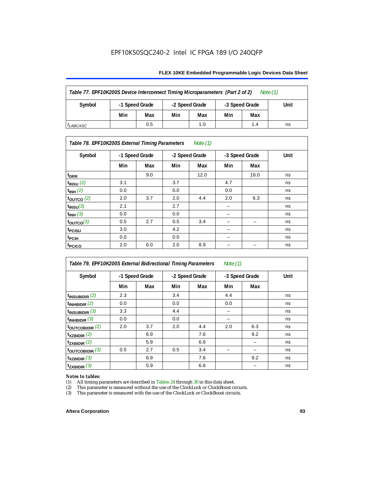#### **FLEX 10KE Embedded Programmable Logic Devices Data Sheet**

| Table 77. EPF10K200S Device Interconnect Timing Microparameters (Part 2 of 2)<br>Note $(1)$ |                |                |     |                |     |      |    |
|---------------------------------------------------------------------------------------------|----------------|----------------|-----|----------------|-----|------|----|
| Symbol                                                                                      | -1 Speed Grade | -2 Speed Grade |     | -3 Speed Grade |     | Unit |    |
|                                                                                             | Min            | Max            | Min | Max            | Min | Max  |    |
| <sup>I</sup> LABCASC                                                                        |                | 0.5            |     | 1.0            |     | 1.4  | ns |

#### *Table 78. EPF10K200S External Timing Parameters Note (1)*

| Symbol                    |     | -1 Speed Grade |     | -2 Speed Grade |     | -3 Speed Grade | Unit |
|---------------------------|-----|----------------|-----|----------------|-----|----------------|------|
|                           | Min | Max            | Min | Max            | Min | Max            |      |
| t <sub>DRR</sub>          |     | 9.0            |     | 12.0           |     | 16.0           | ns   |
| $t$ <sub>INSU</sub> $(2)$ | 3.1 |                | 3.7 |                | 4.7 |                | ns   |
| $t_{INH}$ (2)             | 0.0 |                | 0.0 |                | 0.0 |                | ns   |
| $t_{\text{OUTCO}}(2)$     | 2.0 | 3.7            | 2.0 | 4.4            | 2.0 | 6.3            | ns   |
| $t_{INSU}(3)$             | 2.1 |                | 2.7 |                |     |                | ns   |
| $t_{INH}$ (3)             | 0.0 |                | 0.0 |                | -   |                | ns   |
| $t_{OUTCO}(3)$            | 0.5 | 2.7            | 0.5 | 3.4            | -   | -              | ns   |
| t <sub>PCISU</sub>        | 3.0 |                | 4.2 |                | -   |                | ns   |
| <sup>t</sup> PCIH         | 0.0 |                | 0.0 |                | -   |                | ns   |
| t <sub>PCICO</sub>        | 2.0 | 6.0            | 2.0 | 8.9            |     |                | ns   |

| Table 79. EPF10K200S External Bidirectional Timing Parameters<br>Note $(1)$ |                |     |     |                |     |                |      |  |
|-----------------------------------------------------------------------------|----------------|-----|-----|----------------|-----|----------------|------|--|
| Symbol                                                                      | -1 Speed Grade |     |     | -2 Speed Grade |     | -3 Speed Grade | Unit |  |
|                                                                             | Min            | Max | Min | Max            | Min | Max            |      |  |
| $t_{\text{INSUBIDIR}}(2)$                                                   | 2.3            |     | 3.4 |                | 4.4 |                | ns   |  |
| $t_{INHBIDIR}$ (2)                                                          | 0.0            |     | 0.0 |                | 0.0 |                | ns   |  |
| $t_{INSUBIDIR}$ (3)                                                         | 3.3            |     | 4.4 |                |     |                | ns   |  |
| $t_{INHBIDIR}$ (3)                                                          | 0.0            |     | 0.0 |                |     |                | ns   |  |
| toutcobidir $(2)$                                                           | 2.0            | 3.7 | 2.0 | 4.4            | 2.0 | 6.3            | ns   |  |
| $t_{XZBIDIR}$ (2)                                                           |                | 6.9 |     | 7.6            |     | 9.2            | ns   |  |
| $t_{ZXBIDIR}$ (2)                                                           |                | 5.9 |     | 6.6            |     |                | ns   |  |
| $t_{\text{OUTC}OBIDIR}$ (3)                                                 | 0.5            | 2.7 | 0.5 | 3.4            |     |                | ns   |  |
| $t_{XZBIDIR}$ (3)                                                           |                | 6.9 |     | 7.6            |     | 9.2            | ns   |  |
| $t_{ZXBIDIR}$ (3)                                                           |                | 5.9 |     | 6.6            |     |                | ns   |  |

# *Notes to tables:*<br>(1) All timing p

(1) All timing parameters are described in Tables  $24$  through  $30$  in this data sheet.<br>
(2) This parameter is measured without the use of the ClockLock or ClockBoost ci

(2) This parameter is measured without the use of the ClockLock or ClockBoost circuits.<br>(3) This parameter is measured with the use of the ClockLock or ClockBoost circuits.

This parameter is measured with the use of the ClockLock or ClockBoost circuits.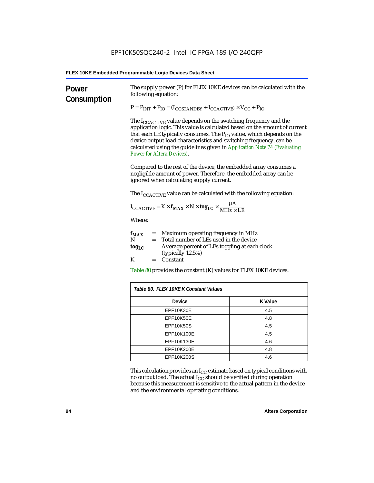| Power<br>Consumption | The supply power (P) for FLEX 10KE devices can be calculated with the<br>following equation:                                                                                                                                                                                                                                                                                                                                 |                |  |  |  |  |
|----------------------|------------------------------------------------------------------------------------------------------------------------------------------------------------------------------------------------------------------------------------------------------------------------------------------------------------------------------------------------------------------------------------------------------------------------------|----------------|--|--|--|--|
|                      | $P = P_{INT} + P_{IO} = (I_{COSTANDBY} + I_{CCACTIVE}) \times V_{CC} + P_{IO}$                                                                                                                                                                                                                                                                                                                                               |                |  |  |  |  |
|                      | The $I_{\text{CCACTIVE}}$ value depends on the switching frequency and the<br>application logic. This value is calculated based on the amount of current<br>that each LE typically consumes. The $P_{IO}$ value, which depends on the<br>device output load characteristics and switching frequency, can be<br>calculated using the guidelines given in Application Note 74 (Evaluating<br><b>Power for Altera Devices).</b> |                |  |  |  |  |
|                      | Compared to the rest of the device, the embedded array consumes a<br>negligible amount of power. Therefore, the embedded array can be<br>ignored when calculating supply current.                                                                                                                                                                                                                                            |                |  |  |  |  |
|                      | The $I_{\text{CCACTIVE}}$ value can be calculated with the following equation:                                                                                                                                                                                                                                                                                                                                               |                |  |  |  |  |
|                      | $I_{\text{CCACTIVE}} = K \times f_{\text{MAX}} \times N \times \text{tog}_{\text{LC}} \times \frac{\mu A}{M H Z \times LE}$                                                                                                                                                                                                                                                                                                  |                |  |  |  |  |
|                      | Where:                                                                                                                                                                                                                                                                                                                                                                                                                       |                |  |  |  |  |
|                      | = Maximum operating frequency in MHz<br>$f_{MAX}$<br>N<br>Total number of LEs used in the device<br>$=$                                                                                                                                                                                                                                                                                                                      |                |  |  |  |  |
|                      | Average percent of LEs toggling at each clock<br>tog <sub>LC</sub><br>$=$<br>(typically 12.5%)                                                                                                                                                                                                                                                                                                                               |                |  |  |  |  |
|                      | K<br>Constant<br>$=$                                                                                                                                                                                                                                                                                                                                                                                                         |                |  |  |  |  |
|                      | Table 80 provides the constant (K) values for FLEX 10KE devices.                                                                                                                                                                                                                                                                                                                                                             |                |  |  |  |  |
|                      | Table 80. FLEX 10KE K Constant Values                                                                                                                                                                                                                                                                                                                                                                                        |                |  |  |  |  |
|                      | Device                                                                                                                                                                                                                                                                                                                                                                                                                       | <b>K</b> Value |  |  |  |  |
|                      | EPF10K30E                                                                                                                                                                                                                                                                                                                                                                                                                    | 4.5            |  |  |  |  |
|                      | EPF10K50E                                                                                                                                                                                                                                                                                                                                                                                                                    | 4.8            |  |  |  |  |
|                      | <b>EPF10K50S</b>                                                                                                                                                                                                                                                                                                                                                                                                             | 4.5            |  |  |  |  |
|                      | EPF10K100E                                                                                                                                                                                                                                                                                                                                                                                                                   | 4.5            |  |  |  |  |
|                      | EPF10K130E<br>4.6                                                                                                                                                                                                                                                                                                                                                                                                            |                |  |  |  |  |
|                      | EPF10K200E                                                                                                                                                                                                                                                                                                                                                                                                                   | 4.8            |  |  |  |  |
|                      | EPF10K200S                                                                                                                                                                                                                                                                                                                                                                                                                   | 4.6            |  |  |  |  |

This calculation provides an  $\rm I_{CC}$  estimate based on typical conditions with no output load. The actual I $_{\rm CC}$  should be verified during operation because this measurement is sensitive to the actual pattern in the device and the environmental operating conditions.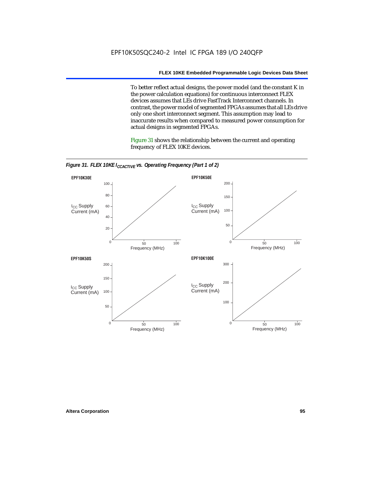To better reflect actual designs, the power model (and the constant K in the power calculation equations) for continuous interconnect FLEX devices assumes that LEs drive FastTrack Interconnect channels. In contrast, the power model of segmented FPGAs assumes that all LEs drive only one short interconnect segment. This assumption may lead to inaccurate results when compared to measured power consumption for actual designs in segmented FPGAs.

Figure 31 shows the relationship between the current and operating frequency of FLEX 10KE devices.



*Figure 31. FLEX 10KE I<sub>CCACTIVE</sub> vs. Operating Frequency (Part 1 of 2)*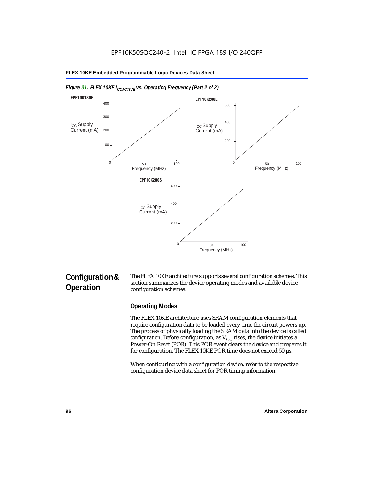

#### *Figure 31. FLEX 10KE I<sub>CCACTIVE</sub> vs. Operating Frequency (Part 2 of 2)*

# **Configuration & Operation**

The FLEX 10KE architecture supports several configuration schemes. This section summarizes the device operating modes and available device configuration schemes.

### **Operating Modes**

The FLEX 10KE architecture uses SRAM configuration elements that require configuration data to be loaded every time the circuit powers up. The process of physically loading the SRAM data into the device is called *configuration.* Before configuration, as  $V_{CC}$  rises, the device initiates a Power-On Reset (POR). This POR event clears the device and prepares it for configuration. The FLEX 10KE POR time does not exceed 50 µs.

When configuring with a configuration device, refer to the respective configuration device data sheet for POR timing information.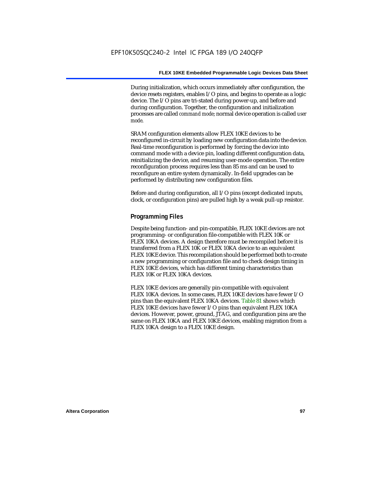During initialization, which occurs immediately after configuration, the device resets registers, enables I/O pins, and begins to operate as a logic device. The I/O pins are tri-stated during power-up, and before and during configuration. Together, the configuration and initialization processes are called *command mode*; normal device operation is called *user mode*.

SRAM configuration elements allow FLEX 10KE devices to be reconfigured in-circuit by loading new configuration data into the device. Real-time reconfiguration is performed by forcing the device into command mode with a device pin, loading different configuration data, reinitializing the device, and resuming user-mode operation. The entire reconfiguration process requires less than 85 ms and can be used to reconfigure an entire system dynamically. In-field upgrades can be performed by distributing new configuration files.

Before and during configuration, all I/O pins (except dedicated inputs, clock, or configuration pins) are pulled high by a weak pull-up resistor.

#### **Programming Files**

Despite being function- and pin-compatible, FLEX 10KE devices are not programming- or configuration file-compatible with FLEX 10K or FLEX 10KA devices. A design therefore must be recompiled before it is transferred from a FLEX 10K or FLEX 10KA device to an equivalent FLEX 10KE device. This recompilation should be performed both to create a new programming or configuration file and to check design timing in FLEX 10KE devices, which has different timing characteristics than FLEX 10K or FLEX 10KA devices.

FLEX 10KE devices are generally pin-compatible with equivalent FLEX 10KA devices. In some cases, FLEX 10KE devices have fewer I/O pins than the equivalent FLEX 10KA devices. Table 81 shows which FLEX 10KE devices have fewer I/O pins than equivalent FLEX 10KA devices. However, power, ground, JTAG, and configuration pins are the same on FLEX 10KA and FLEX 10KE devices, enabling migration from a FLEX 10KA design to a FLEX 10KE design.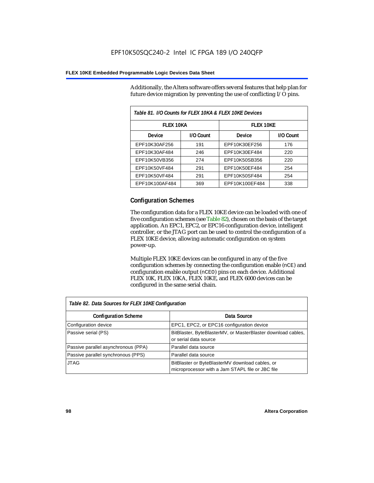Additionally, the Altera software offers several features that help plan for future device migration by preventing the use of conflicting I/O pins.

| Table 81. I/O Counts for FLEX 10KA & FLEX 10KE Devices |           |                  |           |  |
|--------------------------------------------------------|-----------|------------------|-----------|--|
| <b>FLEX 10KA</b>                                       |           | <b>FLEX 10KE</b> |           |  |
| <b>Device</b>                                          | I/O Count | Device           | I/O Count |  |
| EPF10K30AF256                                          | 191       | EPF10K30EF256    | 176       |  |
| EPF10K30AF484                                          | 246       | EPF10K30EF484    | 220       |  |
| EPF10K50VB356                                          | 274       | EPF10K50SB356    | 220       |  |
| EPF10K50VF484                                          | 291       | EPF10K50EF484    | 254       |  |
| EPF10K50VF484                                          | 291       | EPF10K50SF484    | 254       |  |
| EPF10K100AF484                                         | 369       | EPF10K100EF484   | 338       |  |

#### **Configuration Schemes**

The configuration data for a FLEX 10KE device can be loaded with one of five configuration schemes (see Table 82), chosen on the basis of the target application. An EPC1, EPC2, or EPC16 configuration device, intelligent controller, or the JTAG port can be used to control the configuration of a FLEX 10KE device, allowing automatic configuration on system power-up.

Multiple FLEX 10KE devices can be configured in any of the five configuration schemes by connecting the configuration enable (nCE) and configuration enable output (nCEO) pins on each device. Additional FLEX 10K, FLEX 10KA, FLEX 10KE, and FLEX 6000 devices can be configured in the same serial chain.

| Table 82. Data Sources for FLEX 10KE Configuration |                                                                                                     |  |  |  |
|----------------------------------------------------|-----------------------------------------------------------------------------------------------------|--|--|--|
| <b>Configuration Scheme</b>                        | Data Source                                                                                         |  |  |  |
| Configuration device                               | EPC1, EPC2, or EPC16 configuration device                                                           |  |  |  |
| Passive serial (PS)                                | BitBlaster, ByteBlasterMV, or MasterBlaster download cables,<br>or serial data source               |  |  |  |
| Passive parallel asynchronous (PPA)                | Parallel data source                                                                                |  |  |  |
| Passive parallel synchronous (PPS)                 | Parallel data source                                                                                |  |  |  |
| <b>JTAG</b>                                        | BitBlaster or ByteBlasterMV download cables, or<br>microprocessor with a Jam STAPL file or JBC file |  |  |  |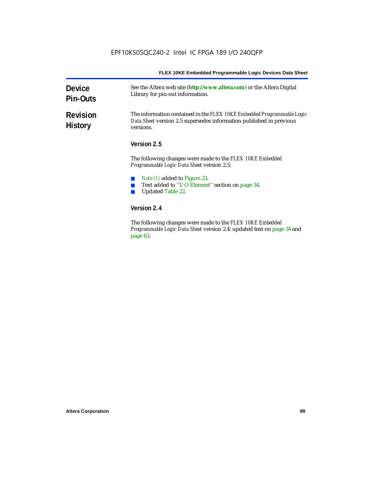| <b>Device</b><br><b>Pin-Outs</b>  | See the Altera web site (http://www.altera.com) or the Altera Digital<br>Library for pin-out information.                                                  |  |
|-----------------------------------|------------------------------------------------------------------------------------------------------------------------------------------------------------|--|
| <b>Revision</b><br><b>History</b> | The information contained in the FLEX 10KE Embedded Programmable Logic<br>Data Sheet version 2.5 supersedes information published in previous<br>versions. |  |
|                                   | Version 2.5                                                                                                                                                |  |
|                                   | The following changes were made to the FLEX 10KE Embedded<br><i>Programmable Logic Data Sheet version 2.5:</i>                                             |  |
|                                   | <i>Note (1)</i> added to Figure 23.<br>Text added to "I/O Element" section on page 34.<br><b>Updated Table 22.</b>                                         |  |
|                                   | Version 2.4                                                                                                                                                |  |
|                                   | The following changes were made to the FLFY 10KF Embedded                                                                                                  |  |

The following changes were made to the *FLEX 10KE Embedded Programmable Logic Data Sheet* version 2.4: updated text on page 34 and page 63.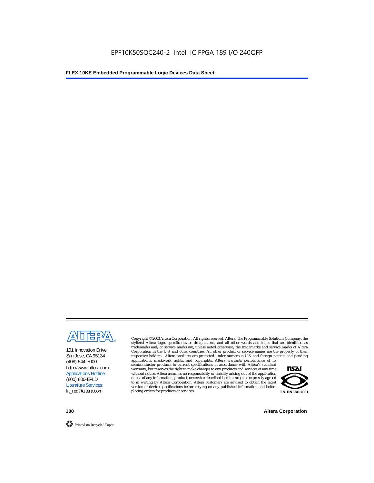

101 Innovation Drive San Jose, CA 95134 (408) 544-7000 http://www.altera.com Applications Hotline: (800) 800-EPLD Literature Services: lit\_req@altera.com

Copyright © 2003 Altera Corporation. All rights reserved. Altera, The Programmable Solutions Company, the stylized Altera logo, specific device designations, and all other words and logos that are identified as trademarks and/or service marks are, unless noted otherwise, the trademarks and service marks of Altera Corporation in the U.S. and other countries. All other product or service names are the property of their respective holders. Altera products are protected under numerous U.S. and foreign patents and pending

applications, maskwork rights, and copyrights. Altera warrants performance of its semiconductor products to current specifications in accordance with Altera's standard warranty, but reserves the right to make changes to any products and services at any time without notice. Altera assumes no responsibility or liability arising out of the application or use of any information, product, or service described herein except as expressly agreed to in writing by Altera Corporation. Altera customers are advised to obtain the latest version of device specifications before relying on any published information and before placing orders for products or services.



**100 Altera Corporation**



Printed on Recycled Paper.